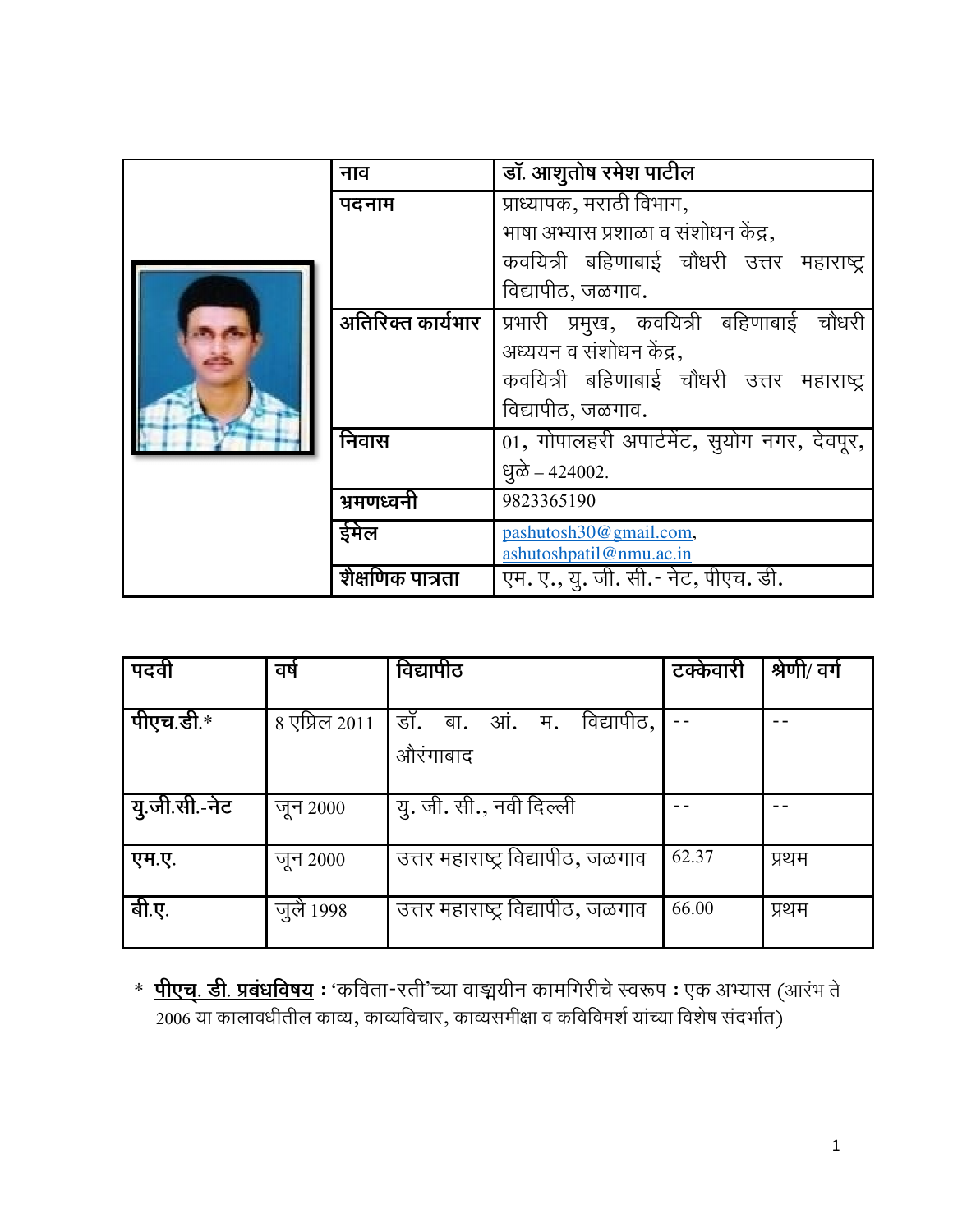|  | नाव               | डॉ. आशुतोष रमेश पाटील                       |
|--|-------------------|---------------------------------------------|
|  | पदनाम             | प्राध्यापक, मराठी विभाग,                    |
|  |                   | भाषा अभ्यास प्रशाळा व संशोधन केंद्र,        |
|  |                   | कवयित्री बहिणाबाई चौधरी उत्तर महाराष्ट्र    |
|  |                   | विद्यापीठ, जळगाव.                           |
|  | अतिरिक्त कार्यभार | प्रभारी प्रमुख, कवयित्री बहिणाबाई चौधरी     |
|  |                   | अध्ययन व संशोधन केंद्र,                     |
|  |                   | कवयित्री बहिणाबाई चौधरी उत्तर महाराष्ट्र    |
|  |                   | विद्यापीठ, जळगाव.                           |
|  | निवास             | 01, गोपालहरी अपार्टमेंट, सुयोग नगर, देवपूर, |
|  |                   | धूळे – 424002.                              |
|  | भ्रमणध्वनी        | 9823365190                                  |
|  | ईमेल              | pashutosh30@gmail.com,                      |
|  |                   | ashutoshpatil@nmu.ac.in                     |
|  | शैक्षणिक पात्रता  | एम. ए., यु. जी. सी.- नेट, पीएच. डी.         |

| पदवी          | वर्ष          | विद्यापीठ                                   | टक्केवारी | श्रेणी/ वर्ग |
|---------------|---------------|---------------------------------------------|-----------|--------------|
| पीएच.डी.*     | 8 एप्रिल 2011 | विद्यापीठ,<br>डॉ. बा.<br>आं. म.<br>औरंगाबाद |           |              |
| यु.जी.सी.-नेट | जून 2000      | यु. जी. सी., नवी दिल्ली                     |           |              |
| एम.ए.         | जून 2000      | उत्तर महाराष्ट्र विद्यापीठ, जळगाव           | 62.37     | प्रथम        |
| बी.ए.         | जुलै 1998     | उत्तर महाराष्ट्र विद्यापीठ, जळगाव           | 66.00     | प्रथम        |

\* पीएच्. डी. प्रबंधविषय : 'कविता-रती'च्या वाङ्मयीन कामगिरीचे स्वरूप : एक अभ्यास (आरंभ ते 2006 या कालावधीतील काव्य, काव्यविचार, काव्यसमीक्षा व कविविमर्श यांच्या विशेष संदर्भात)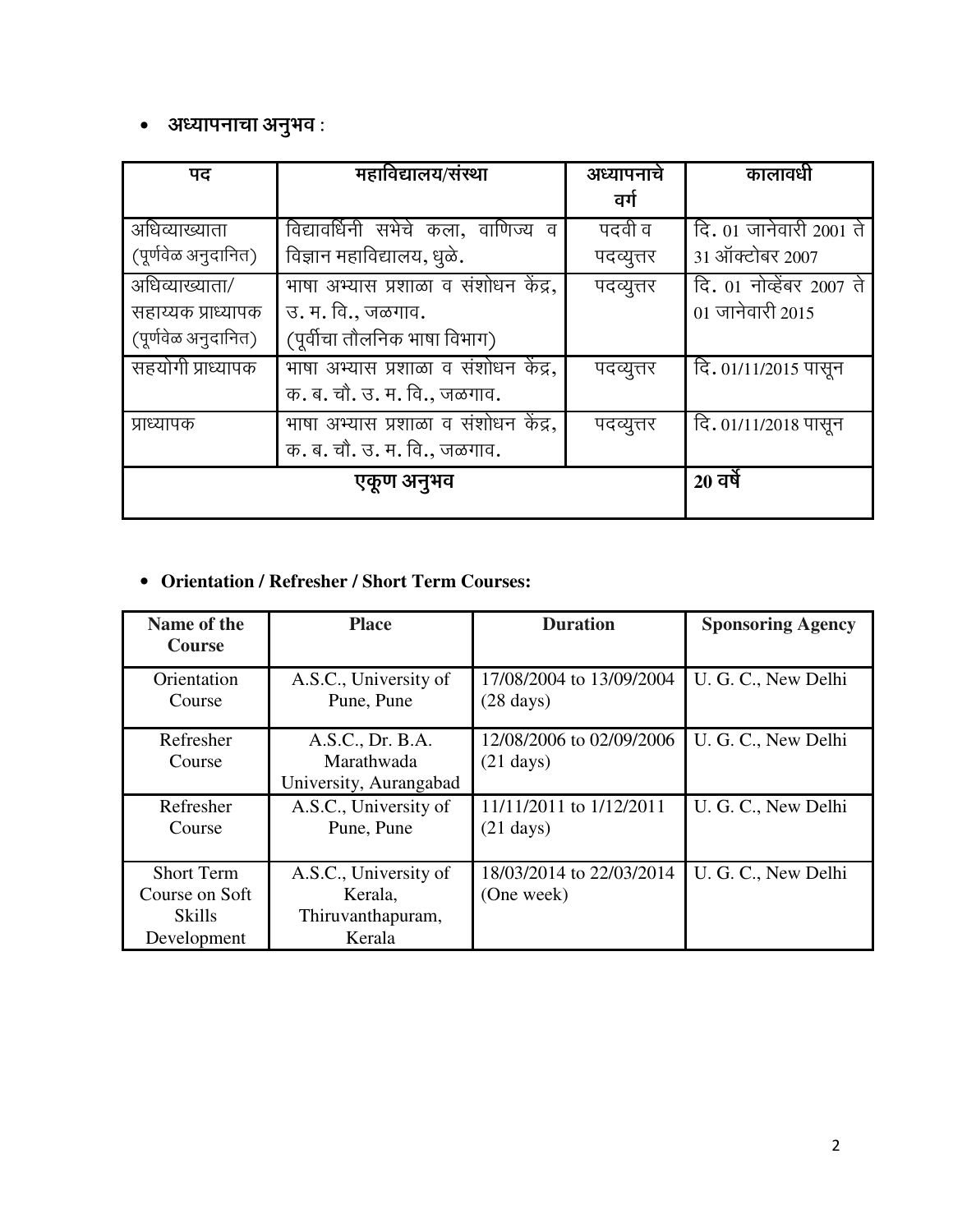#### • अध्यापनाचा अनुभव :

| पद                  | महाविद्यालय/संस्था                   | अध्यापनाचे | कालावधी                  |
|---------------------|--------------------------------------|------------|--------------------------|
|                     |                                      | वर्ग       |                          |
| अधिव्याख्याता       | विद्यावर्धिनी सभेचे कला, वाणिज्य व   | पदवी व     | दि. 01 जानेवारी 2001 ते  |
| (पूर्णवेळ अनुदानित) | विज्ञान महाविद्यालय, धुळे.           | पदव्युत्तर | 31 ऑक्टोबर 2007          |
| अधिव्याख्याता/      | भाषा अभ्यास प्रशाळा व संशोधन केंद्र, | पदव्युत्तर | दि. 01 नोव्हेंबर 2007 ते |
| सहाय्यक प्राध्यापक  | उ. म. वि., जळगाव.                    |            | $01$ जानेवारी 2015       |
| (पूर्णवेळ अनुदानित) | (पूर्वीचा तौलनिक भाषा विभाग)         |            |                          |
| सहयोगी प्राध्यापक   | भाषा अभ्यास प्रशाळा व संशोधन केंद्र, | पदव्युत्तर | दि. 01/11/2015 पासून     |
|                     | क. ब. चौ. उ. म. वि., जळगाव.          |            |                          |
| प्राध्यापक          | भाषा अभ्यास प्रशाळा व संशोधन केंद्र, | पदव्यूत्तर | दि. 01/11/2018 पासून     |
|                     | क. ब. चौ. उ. म. वि., जळगाव.          |            |                          |
|                     | एकूण अनुभव                           |            | $20$ वर्षे               |
|                     |                                      |            |                          |

#### • **Orientation / Refresher / Short Term Courses:**

| Name of the<br><b>Course</b> | <b>Place</b>           | <b>Duration</b>          | <b>Sponsoring Agency</b> |
|------------------------------|------------------------|--------------------------|--------------------------|
|                              |                        |                          |                          |
| Orientation                  | A.S.C., University of  | 17/08/2004 to 13/09/2004 | U. G. C., New Delhi      |
| Course                       | Pune, Pune             | $(28 \text{ days})$      |                          |
| Refresher                    | A.S.C., Dr. B.A.       | 12/08/2006 to 02/09/2006 | U. G. C., New Delhi      |
| Course                       | Marathwada             | $(21 \text{ days})$      |                          |
|                              | University, Aurangabad |                          |                          |
| Refresher                    | A.S.C., University of  | 11/11/2011 to 1/12/2011  | U. G. C., New Delhi      |
| Course                       | Pune, Pune             | $(21 \text{ days})$      |                          |
|                              |                        |                          |                          |
| <b>Short Term</b>            | A.S.C., University of  | 18/03/2014 to 22/03/2014 | U. G. C., New Delhi      |
| Course on Soft               | Kerala.                | (One week)               |                          |
| <b>Skills</b>                | Thiruvanthapuram,      |                          |                          |
| Development                  | Kerala                 |                          |                          |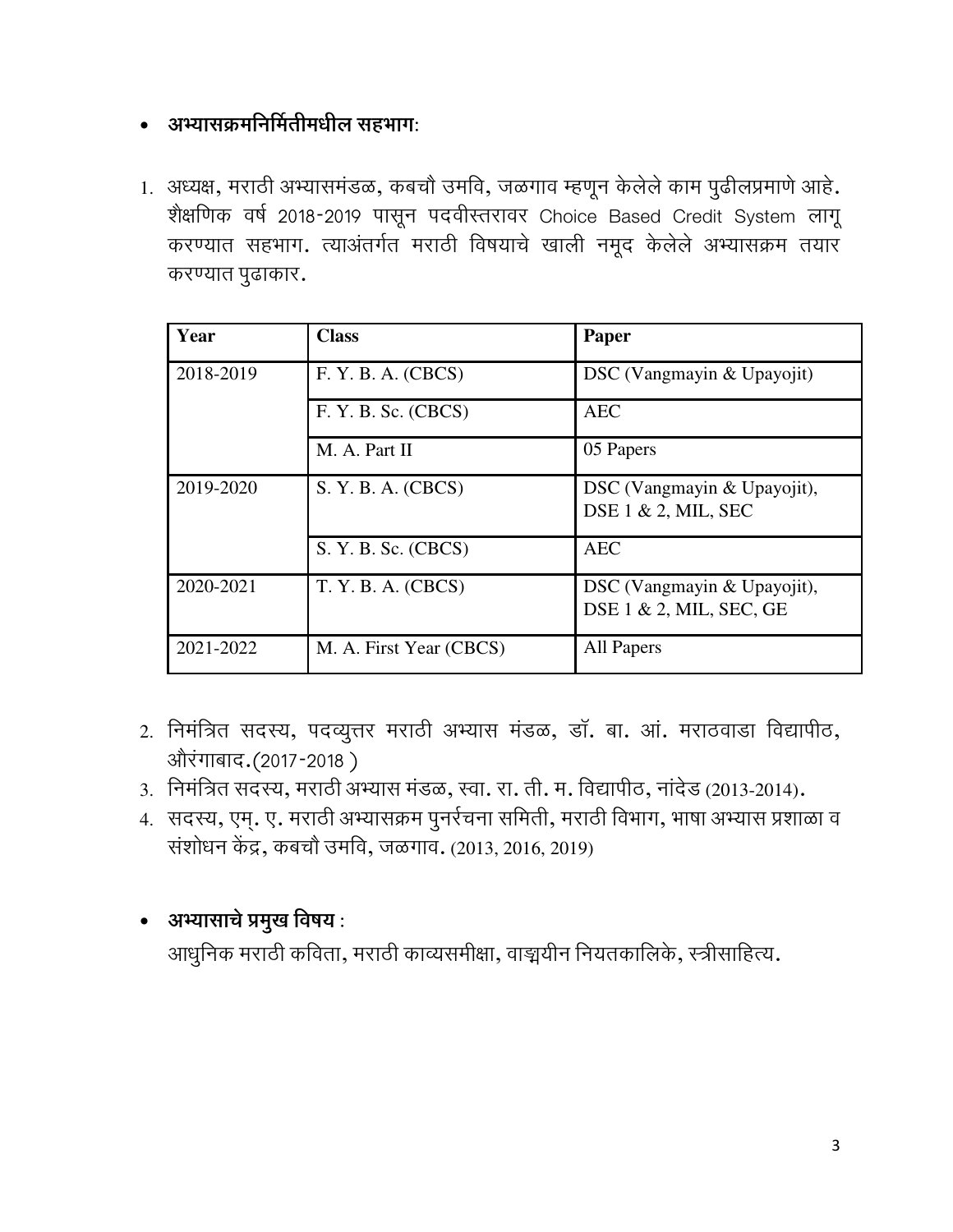#### • अभ्यासक्रमनिर्मितीमधील सहभागः

1. अध्यक्ष, मराठी अभ्यासमंडळ, कबचौ उमवि, जळगाव म्हणून केलेले काम पुढीलप्रमाणे आहे. शैक्षणिक वर्ष 2018-2019 पासून पदवीस्तरावर Choice Based Credit System लागू करण्यात सहभाग. त्याअंतर्गत मराठी विषयाचे खाली नमूद केलेले अभ्यासक्रम तयार करण्यात पुढाकार.

| Year      | <b>Class</b>            | Paper                                                      |
|-----------|-------------------------|------------------------------------------------------------|
| 2018-2019 | F. Y. B. A. (CBCS)      | DSC (Vangmayin & Upayojit)                                 |
|           | F. Y. B. Sc. (CBCS)     | <b>AEC</b>                                                 |
|           | M. A. Part II           | 05 Papers                                                  |
| 2019-2020 | S. Y. B. A. (CBCS)      | DSC (Vangmayin & Upayojit),<br>DSE $1 \& 2$ , MIL, SEC     |
|           | S. Y. B. Sc. (CBCS)     | <b>AEC</b>                                                 |
| 2020-2021 | T. Y. B. A. (CBCS)      | DSC (Vangmayin & Upayojit),<br>DSE $1 \& 2$ , MIL, SEC, GE |
| 2021-2022 | M. A. First Year (CBCS) | All Papers                                                 |

- 2. निमंत्रित सदस्य, पदव्युत्तर मराठी अभ्यास मंडळ, डॉ. बा. आं. मराठवाडा विद्यापीठ, ओरंगाबाद. (2017-2018)
- 3. निमंत्रित सदस्य, मराठी अभ्यास मंडळ, स्वा. रा. ती. म. विद्यापीठ, नांदेड (2013-2014).
- 4. सदस्य, एम्. ए. मराठी अभ्यासक्रम पुनर्रचना समिती, मराठी विभाग, भाषा अभ्यास प्रशाळा व संशोधन केंद्र, कबचौ उमवि, जळगाव. (2013, 2016, 2019)

## • अभ्यासाचे प्रमुख विषय:

आधुनिक मराठी कविता, मराठी काव्यसमीक्षा, वाङ्मयीन नियतकालिके, स्त्रीसाहित्य.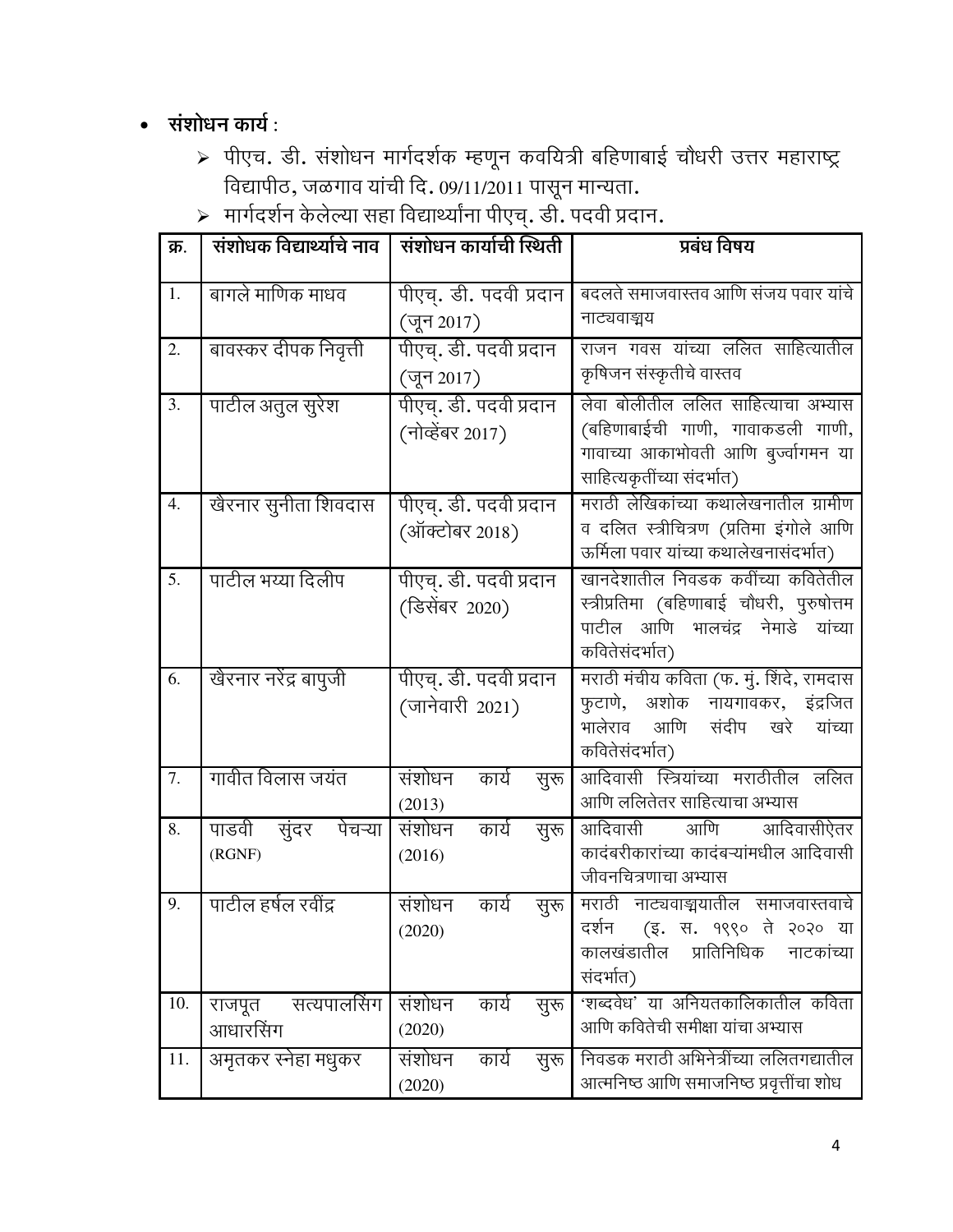#### • संशोधन कार्य:

- > पीएच. डी. संशोधन मार्गदर्शक म्हणून कवयित्री बहिणाबाई चौधरी उत्तर महाराष्ट्र ्<br>विद्यापीठ, जळगाव यांची दि. ०९/११/२०११ पासून मान्यता.<br>→ मार्गदर्शन केलेल्या सहा विद्यार्थ्यांना पीएच्. डी. पदवी प्रदान.
- 

| क्र.             | संशोधक विद्यार्थ्याचे नाव           | संशोधन कार्याची स्थिती                     | प्रबंध विषय                                                                                                                                  |
|------------------|-------------------------------------|--------------------------------------------|----------------------------------------------------------------------------------------------------------------------------------------------|
| 1.               | बागले माणिक माधव                    | पीएच्. डी. पदवी प्रदान<br>(जून 2017)       | बदलते समाजवास्तव आणि संजय पवार यांचे<br>नाट्यवाङ्मय                                                                                          |
| 2.               | बावस्कर दीपक निवृत्ती               | पीएच्. डी. पदवी प्रदान<br>(जून 2017)       | राजन गवस यांच्या ललित साहित्यातील<br>कृषिजन संस्कृतीचे वास्तव                                                                                |
| 3.               | पाटील अतुल सुरेश                    | पीएच्. डी. पदवी प्रदान<br>(नोव्हेंबर 2017) | लेवा बोलीतील ललित साहित्याचा अभ्यास<br>(बहिणाबाईची गाणी, गावाकडली गाणी,<br>गावाच्या आकाभोवती आणि बुज्वांगमन या<br>साहित्यकृतींच्या संदर्भात) |
| $\overline{4}$ . | खैरनार सुनीता शिवदास                | पीएच्. डी. पदवी प्रदान<br>(ऑक्टोबर 2018)   | मराठी लेखिकांच्या कथालेखनातील ग्रामीण<br>व दलित स्त्रीचित्रण (प्रतिमा इंगोले आणि<br>ऊर्मिला पवार यांच्या कथालेखनासंदर्भात)                   |
| $\overline{5}$ . | पाटील भय्या दिलीप                   | पीएच्. डी. पदवी प्रदान<br>(डिसेंबर 2020)   | खानदेशातील निवडक कवींच्या कवितेतील<br>स्त्रीप्रतिमा (बहिणाबाई चौधरी, पुरुषोत्तम<br>पाटील आणि भालचंद्र नेमाडे<br>यांच्या<br>कवितेसंदर्भात)    |
| 6.               | खैरनार नरेंद्र बापुजी               | पीएच्. डी. पदवी प्रदान<br>(जानेवारी 2021)  | मराठी मंचीय कविता (फ. मुं. शिंदे, रामदास<br>फुटाणे, अशोक नायगावकर, इंद्रजित<br>भालेराव आणि<br>संदीप खरे<br>यांच्या<br>कवितेसंदर्भात)         |
| 7.               | गावीत विलास जयंत                    | संशोधन<br>कार्य<br>सुरू<br>(2013)          | आदिवासी स्त्रियांच्या मराठीतील ललित<br>आणि ललितेतर साहित्याचा अभ्यास                                                                         |
| 8.               | सुंदर<br>पेचऱ्या<br>पाडवी<br>(RGNF) | संशोधन<br>कार्य<br>सुरू<br>(2016)          | आणि<br>आदिवासी<br>आदिवासीऐतर<br>कादंबरीकारांच्या कादंबऱ्यांमधील आदिवासी<br>जीवनचित्रणाचा अभ्यास                                              |
| $\overline{9}$ . | पाटील हर्षल रवींद्र                 | संशोधन<br>कार्य<br>सुरू<br>(2020)          | मराठी नाट्यवाङ्मयातील समाजवास्तवाचे<br>दर्शन (इ. स. १९९० ते २०२० या<br>कालखंडातील<br>प्रातिनिधिक<br>नाटकांच्या<br>संदर्भात)                  |
| 10.              | सत्यपालसिंग<br>राजपूत<br>आधारसिंग   | संशोधन<br>कार्य<br>सुरू<br>(2020)          | 'शब्दवेध' या अनियतकालिकातील कविता<br>आणि कवितेची समीक्षा यांचा अभ्यास                                                                        |
| 11.              | अमृतकर स्नेहा मधुकर                 | संशोधन<br>कार्य<br>सुरू<br>(2020)          | निवडक मराठी अभिनेत्रींच्या ललितगद्यातील<br>आत्मनिष्ठ आणि समाजनिष्ठ प्रवृत्तींचा शोध                                                          |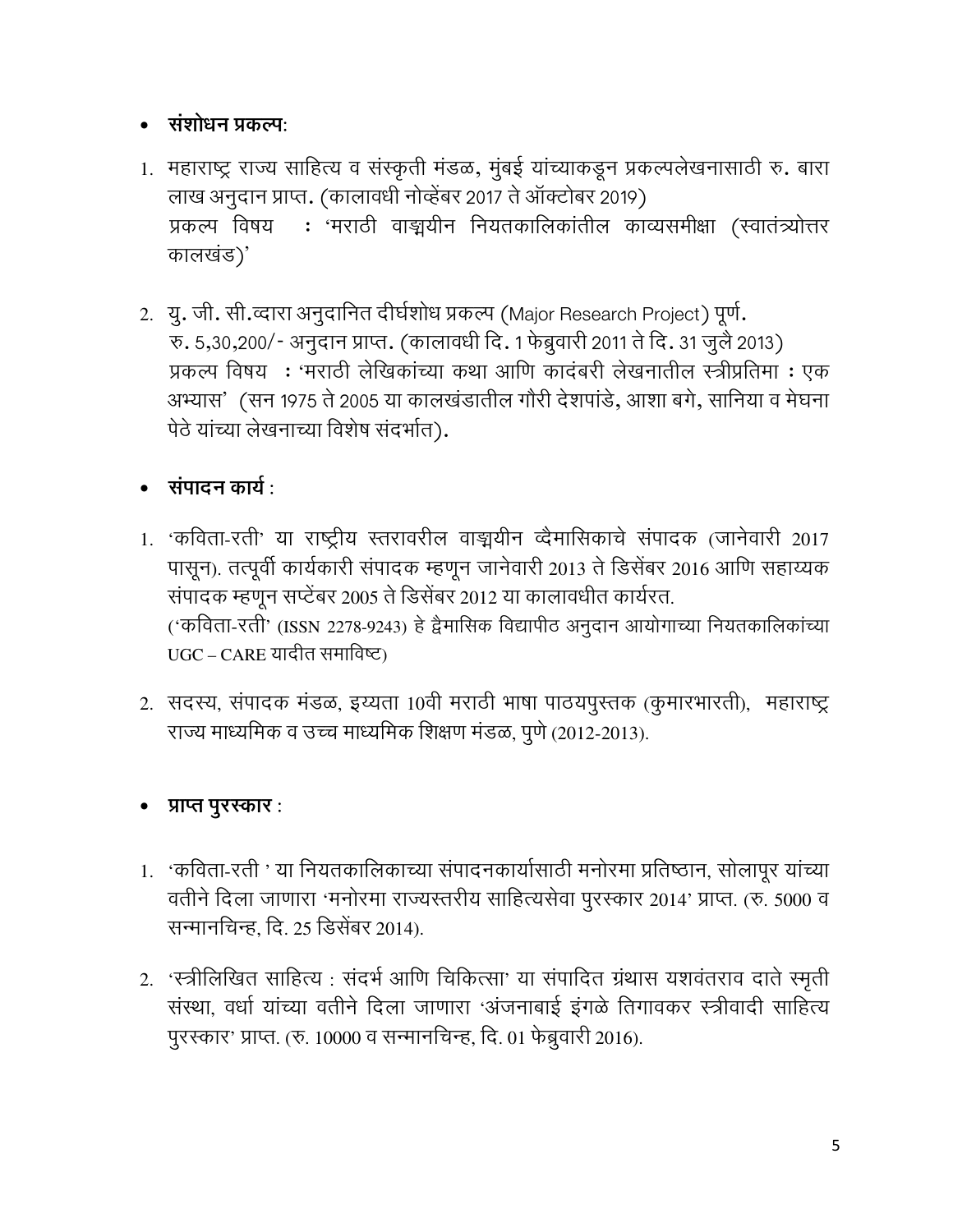#### • संशोधन प्रकल्पः

- 1. महाराष्ट्र राज्य साहित्य व संस्कृती मंडळ, मुंबई यांच्याकडून प्रकल्पलेखनासाठी रु. बारा लाख अनुदान प्राप्त. (कालावधी नोव्हेंबर 2017 ते ऑक्टोबर 2019) प्रकल्प विषय : 'मराठी वाङ्मयीन नियतकालिकांतील काव्यसमीक्षा (स्वातंत्र्योत्तर कालखंड)'
- 2. यु. जी. सी.व्दारा अनुदानित दीर्घशोध प्रकल्प (Major Research Project) पूर्ण. रु. 5,30,200/- अनुदान प्राप्त. (कालावधी दि. 1 फेब्रुवारी 2011 ते दि. 31 जुलै 2013) प्रकल्प विषय : 'मराठी लेखिकांच्या कथा आणि कादंबरी लेखनातील स्त्रीप्रतिमा : एक अभ्यास' (सन 1975 ते 2005 या कालखंडातील गौरी देशपांडे, आशा बगे, सानिया व मेघना पेठे यांच्या लेखनाच्या विशेष संदर्भात).

# • संपादन कार्य $\cdot$

- 1. 'कविता-रती' या राष्ट्रीय स्तरावरील वाङ्मयीन व्दैमासिकाचे संपादक (जानेवारी 2017 पासून). तत्पूर्वी कार्यकारी संपादक म्हणून जानेवारी 2013 ते डिसेंबर 2016 आणि सहाय्यक संपादक म्हणून सप्टेंबर 2005 ते डिसेंबर 2012 या कालावधीत कार्यरत. ('कविता-रती' (ISSN 2278-9243) हे द्वैमासिक विद्यापीठ अनुदान आयोगाच्या नियतकालिकांच्या UGC – CARE यादीत समाविष्ट)
- 2. सदस्य, संपादक मंडळ, इय्यता 10वी मराठी भाषा पाठयपुस्तक (कुमारभारती), महाराष्ट्र राज्य माध्यमिक व उच्च माध्यमिक शिक्षण मंडळ, पुणे (2012-2013).

## • प्राप्त पुरस्कार:

- 1. 'कविता-रती ' या नियतकालिकाच्या संपादनकार्यासाठी मनोरमा प्रतिष्ठान, सोलापूर यांच्या वतीने दिला जाणारा 'मनोरमा राज्यस्तरीय साहित्यसेवा पुरस्कार 2014' प्राप्त. (रु. 5000 व सन्मानचिन्ह, दि. 25 डिसेंबर 2014).
- 2. 'स्त्रीलिखित साहित्य : संदर्भ आणि चिकित्सा' या संपादित ग्रंथास यशवंतराव दाते स्मृती संस्था, वर्धा यांच्या वतीने दिला जाणारा 'अंजनाबाई इंगळे तिगावकर स्त्रीवादी साहित्य पुरस्कार' प्राप्त. (रु. 10000 व सन्मानचिन्ह, दि. 01 फेब्रुवारी 2016).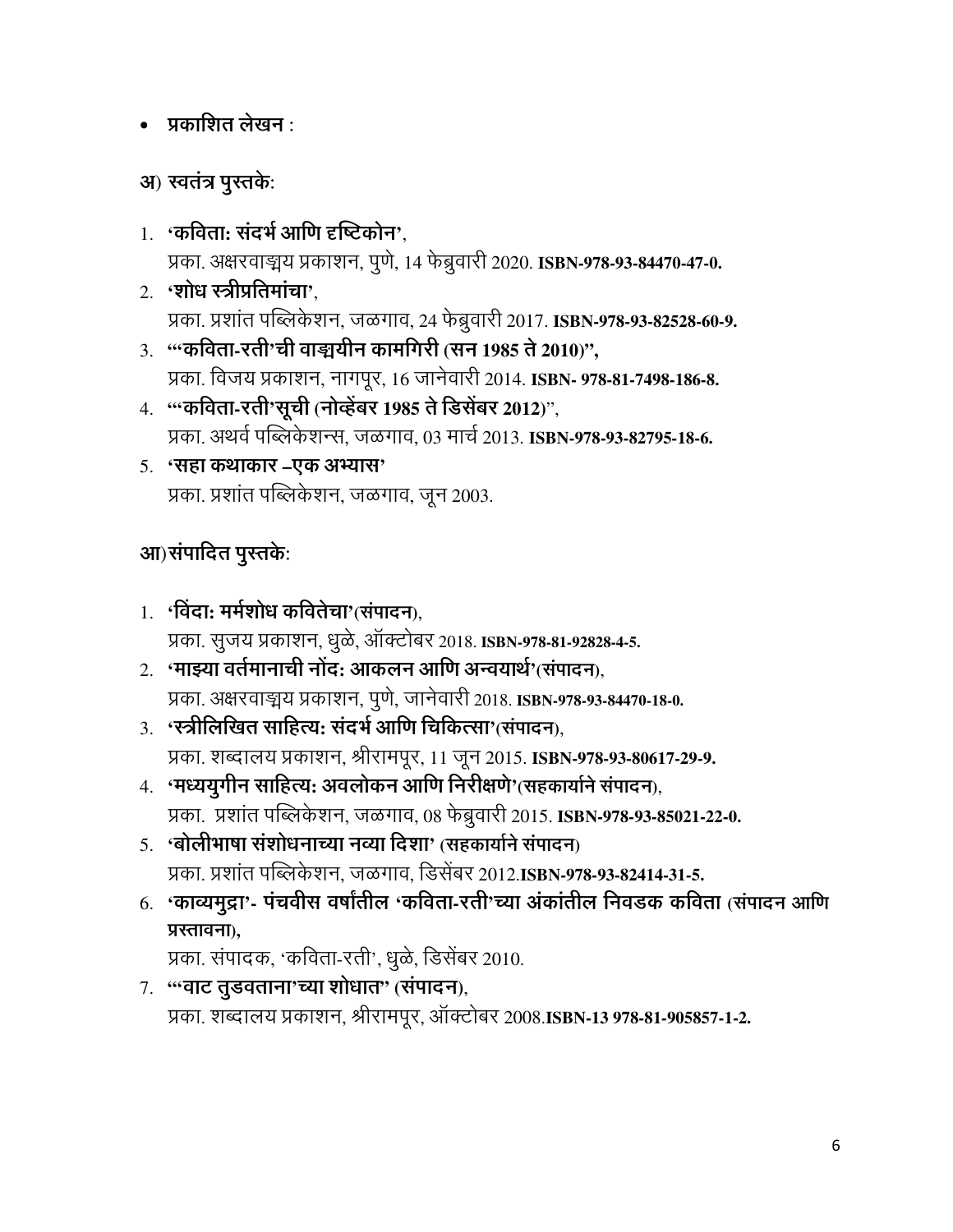#### $\bullet$  प्रकाशित लेखन :

#### अ) स्वतंत्र पुस्तके:

- 1. 'कविता: संदर्भ आणि दृष्टिकोन', प्रका. अक्षरवाङ्मय प्रकाशन, पुणे, 14 फेब्रुवारी 2020. ISBN-978-93-84470-47-0.
- 2. 'शोध स्त्रीप्रतिमांचा'. प्रका. प्रशांत पब्लिकेशन, जळगाव, 24 फेब्रुवारी 2017. ISBN-978-93-82528-60-9.
- 3. "कविता-रती'ची वाङ्मयीन कामगिरी (सन 1985 ते 2010)", प्रका. विजय प्रकाशन, नागपूर, 16 जानेवारी 2014. ISBN- 978-81-7498-186-8.
- 4. "कविता-रती'सूची (नोव्हेंबर 1985 ते डिसेंबर 2012)", प्रका. अथर्व पब्लिकेशन्स, जळगाव, 03 मार्च 2013. ISBN-978-93-82795-18-6.
- 5. 'सहा कथाकार –एक अभ्यास' प्रका. प्रशांत पब्लिकेशन, जळगाव, जून 2003.

## आ) संपादित पुस्तके:

- 1. 'विंदा: मर्मशोध कवितेचा'(संपादन), प्रका. सूजय प्रकाशन, धूळे, ऑक्टोबर 2018. ISBN-978-81-92828-4-5.
- 2. 'माझ्या वर्तमानाची नोंद: आकलन आणि अन्वयार्थ'(संपादन), प्रका. अक्षरवाङ्मय प्रकाशन, पुणे, जानेवारी 2018. ISBN-978-93-84470-18-0.
- 3. 'स्त्रीलिखित साहित्य: संदर्भ आणि चिकित्सा'(संपादन). प्रका. शब्दालय प्रकाशन, श्रीरामपूर, 11 जून 2015. ISBN-978-93-80617-29-9.
- 4. 'मध्ययूगीन साहित्य: अवलोकन आणि निरीक्षणे'(सहकार्याने संपादन), प्रका. प्रशांत पब्लिकेशन, जळगाव, 08 फेब्रुवारी 2015. ISBN-978-93-85021-22-0.
- 5. 'बोलीभाषा संशोधनाच्या नव्या दिशा' (सहकार्याने संपादन) प्रका. प्रशांत पब्लिकेशन, जळगाव, डिसेंबर 2012.ISBN-978-93-82414-31-5.
- 6. 'काव्यमुद्रा'- पंचवीस वर्षांतील 'कविता-रती'च्या अंकांतील निवडक कविता (संपादन आणि प्रस्तावना),

प्रका. संपादक, 'कविता-रती', धुळे, डिसेंबर 2010.

7. "वाट तुडवताना'च्या शोधात" (संपादन), प्रका. शब्दालय प्रकाशन, श्रीरामपूर, ऑक्टोबर 2008.ISBN-13 978-81-905857-1-2.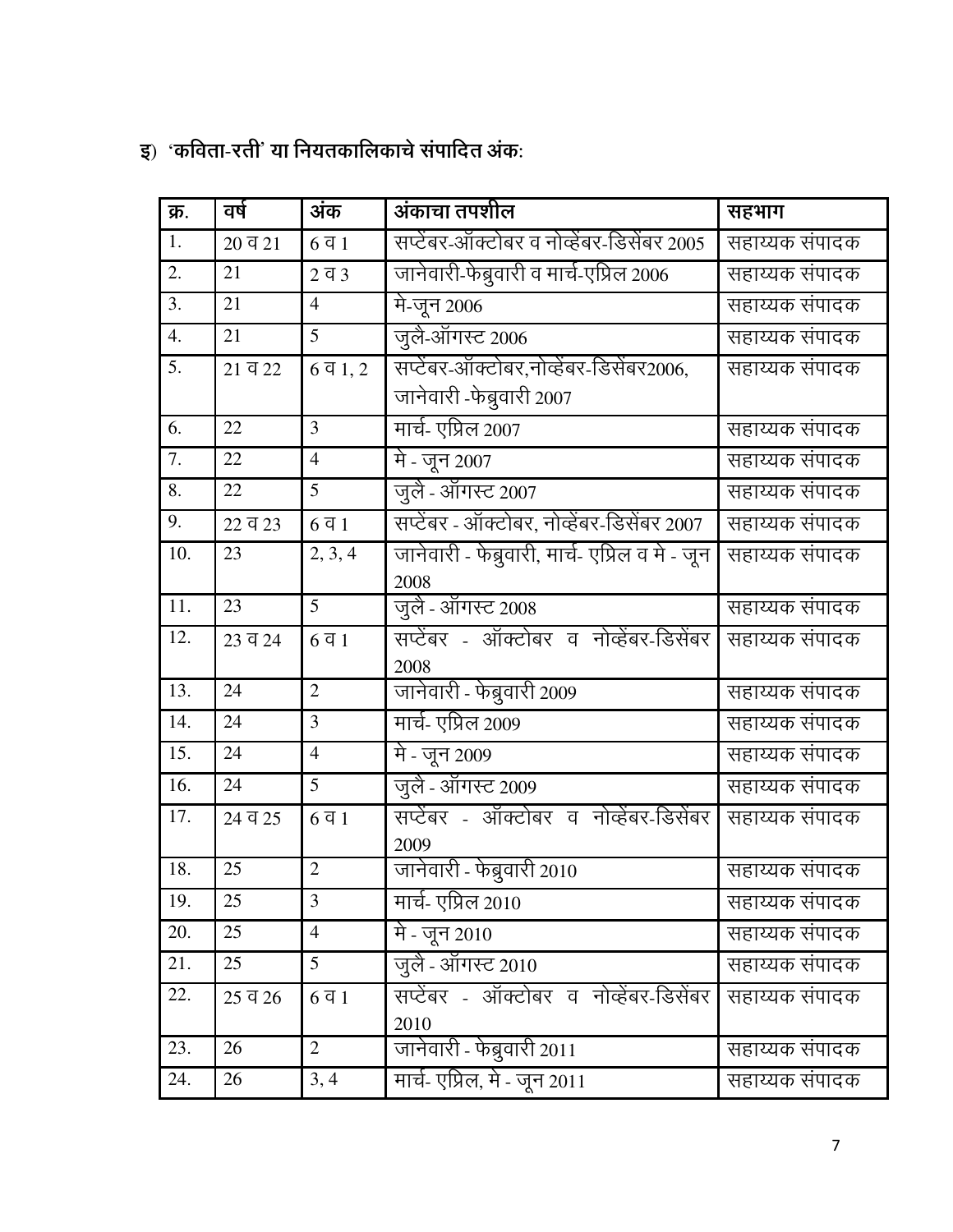| $\mathbf{g}$ ) 'कविता-रती' या नियतकालिकाचे संपादित अंक: |  |  |  |
|---------------------------------------------------------|--|--|--|
|                                                         |  |  |  |

| क्र.             | वर्ष                 | अंक                      | अंकाचा तपशील                                    | सहभाग          |
|------------------|----------------------|--------------------------|-------------------------------------------------|----------------|
| 1.               | $20 \overline{q} 21$ | $6\overline{q}$ 1        | सप्टेंबर-ऑक्टोबर व नोव्हेंबर-डिसेंबर 2005       | सहाय्यक संपादक |
| $\overline{2}$ . | 21                   | $2\overline{q}3$         | जानेवारी-फेब्रुवारी व मार्च-एप्रिल 2006         | सहाय्यक संपादक |
| 3.               | 21                   | $\overline{4}$           | मे-जून 2006                                     | सहाय्यक संपादक |
| 4.               | 21                   | 5                        | जुलै-ऑगस्ट 2006                                 | सहाय्यक संपादक |
| 5.               | $21 \overline{q} 22$ | $6\bar{q}$ 1, 2          | सप्टेंबर-ऑक्टोबर,नोव्हेंबर-डिसेंबर2006,         | सहाय्यक संपादक |
|                  |                      |                          | जानेवारी -फेब्रुवारी 2007                       |                |
| 6.               | 22                   | 3                        | मार्च- एप्रिल 2007                              | सहाय्यक संपादक |
| 7.               | 22                   | $\overline{4}$           | मे - जून 2007                                   | सहाय्यक संपादक |
| 8.               | 22                   | 5                        | जूलै - ऑगस्ट 2007                               | सहाय्यक संपादक |
| 9.               | $22 \overline{q} 23$ | $6\overline{q}1$         | सप्टेंबर - ऑक्टोबर, नोव्हेंबर-डिसेंबर 2007      | सहाय्यक संपादक |
| 10.              | 23                   | $\overline{2}$ , 3, 4    | जानेवारी - फेब्रुवारी, मार्च- एप्रिल व मे - जून | सहाय्यक संपादक |
|                  |                      |                          | 2008                                            |                |
| 11.              | 23                   | 5                        | जुलै - ऑगस्ट 2008                               | सहाय्यक संपादक |
| 12.              | 23 व 24              | $6\overline{q}1$         | सप्टेंबर - ऑक्टोबर व नोव्हेंबर-डिसेंबर          | सहाय्यक संपादक |
|                  |                      |                          | 2008                                            |                |
| 13.              | 24                   | $\overline{2}$           | जानेवारी - फेब्रुवारी 2009                      | सहाय्यक संपादक |
| 14.              | 24                   | 3                        | मार्च- एप्रिल 2009                              | सहाय्यक संपादक |
| 15.              | 24                   | $\overline{4}$           | मे - जून 2009                                   | सहाय्यक संपादक |
| 16.              | 24                   | 5                        | जुलै - ऑगस्ट 2009                               | सहाय्यक संपादक |
| 17.              | 24 व 25              | $6\overline{q}1$         | सप्टेंबर - ऑक्टोबर व नोव्हेंबर-डिसेंबर          | सहाय्यक संपादक |
|                  |                      |                          | 2009                                            |                |
| 18.              | 25                   | $\overline{2}$           | जानेवारी - फेब्रुवारी 2010                      | सहाय्यक संपादक |
| 19.              | 25                   | 3                        | मार्च- एप्रिल 2010                              | सहाय्यक संपादक |
| 20.              | 25                   | $\overline{\mathcal{A}}$ | मे - जून 2010                                   | सहाय्यक संपादक |
| 21.              | 25                   | 5                        | जूलै - ऑगस्ट 2010                               | सहाय्यक संपादक |
| 22.              | 25 व 26              | $6\overline{q}$ 1        | सप्टेंबर - ऑक्टोबर व नोव्हेंबर-डिसेंबर          | सहाय्यक संपादक |
|                  |                      |                          | 2010                                            |                |
| 23.              | 26                   | $\overline{2}$           | जानेवारी - फेब्रुवारी 2011                      | सहाय्यक संपादक |
| 24.              | 26                   | 3, 4                     | मार्च- एप्रिल, मे - जून 2011                    | सहाय्यक संपादक |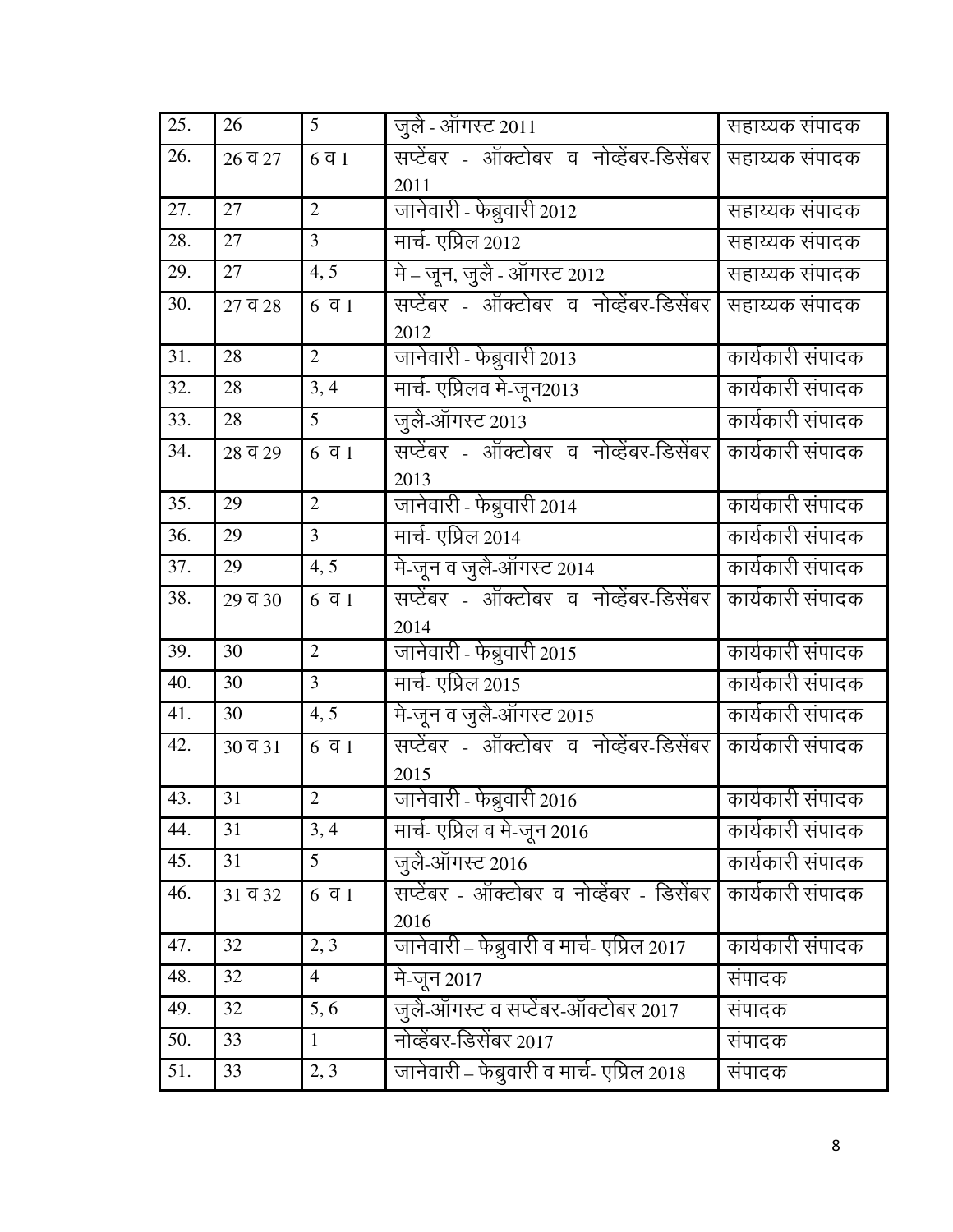| 25. | 26      | 5                | जूलै - ऑगस्ट 2011                                | सहाय्यक संपादक   |
|-----|---------|------------------|--------------------------------------------------|------------------|
| 26. | 26q327  | $6\overline{q}1$ | सप्टेंबर - ऑक्टोबर व नोव्हेंबर-डिसेंबर<br>2011   | सहाय्यक संपादक   |
| 27. | 27      | $\overline{2}$   | जानेवारी - फेब्रुवारी 2012                       | सहाय्यक संपादक   |
| 28. | 27      | $\overline{3}$   | मार्च- एप्रिल 2012                               | सहाय्यक संपादक   |
| 29. | 27      | 4, 5             | मे - जून, जुलै - ऑगस्ट 2012                      | सहाय्यक संपादक   |
| 30. | 27 व 28 | $6\bar{q}$ 1     | सप्टेंबर - ऑक्टोबर व नोव्हेंबर-डिसेंबर<br>2012   | सहाय्यक संपादक   |
| 31. | 28      | $\overline{2}$   | जानेवारी - फेब्रुवारी 2013                       | कार्यकारी संपादक |
| 32. | 28      | 3, 4             | मार्च- एप्रिलव मे-जून2013                        | कार्यकारी संपादक |
| 33. | 28      | 5                | जुलै-ऑगस्ट 2013                                  | कार्यकारी संपादक |
| 34. | 28 व 29 | $6\bar{q}$ 1     | सप्टेंबर - ऑक्टोबर व नोव्हेंबर-डिसेंबर<br>2013   | कार्यकारी संपादक |
| 35. | 29      | $\overline{2}$   | जानेवारी - फेब्रुवारी 2014                       | कार्यकारी संपादक |
| 36. | 29      | 3                | मार्च- एप्रिल 2014                               | कार्यकारी संपादक |
| 37. | 29      | 4, 5             | मे-जून व जुलै-ऑगस्ट 2014                         | कार्यकारी संपादक |
| 38. | 29 व 30 | $6\bar{q}$ 1     | सप्टेंबर - ऑक्टोबर व नोव्हेंबर-डिसेंबर<br>2014   | कार्यकारी संपादक |
| 39. | 30      | $\overline{2}$   | जानेवारी - फेब्रुवारी 2015                       | कार्यकारी संपादक |
| 40. | 30      | 3                | मार्च- एप्रिल 2015                               | कार्यकारी संपादक |
| 41. | 30      | 4, 5             | मे-जून व जुलै-ऑगस्ट 2015                         | कार्यकारी संपादक |
| 42. | 30 व 31 | $6\bar{q}1$      | सप्टेंबर - ऑक्टोबर व नोव्हेंबर-डिसेंबर<br>2015   | कार्यकारी संपादक |
| 43. | 31      | $\overline{2}$   | जानेवारी - फेब्रुवारी 2016                       | कार्यकारी संपादक |
| 44. | 31      | 3, 4             | मार्च- एप्रिल व मे-जून 2016                      | कार्यकारी संपादक |
| 45. | 31      | 5 <sup>5</sup>   | जुलै-ऑगस्ट 2016                                  | कार्यकारी संपादक |
| 46. | 31 व 32 | $6\overline{q}1$ | सप्टेंबर - ऑक्टोबर व नोव्हेंबर - डिसेंबर<br>2016 | कार्यकारी संपादक |
| 47. | 32      | 2, 3             | जानेवारी – फेब्रुवारी व मार्च- एप्रिल 2017       | कार्यकारी संपादक |
| 48. | 32      | 4                | मे-जून 2017                                      | संपादक           |
| 49. | 32      | 5, 6             | जुलै-ऑगस्ट व सप्टेंबर-ऑक्टोबर 2017               | संपादक           |
| 50. | 33      | $\mathbf{1}$     | नोव्हेंबर-डिसेंबर 2017                           | संपादक           |
| 51. | 33      | 2, 3             | जानेवारी – फेब्रुवारी व मार्च- एप्रिल 2018       | संपादक           |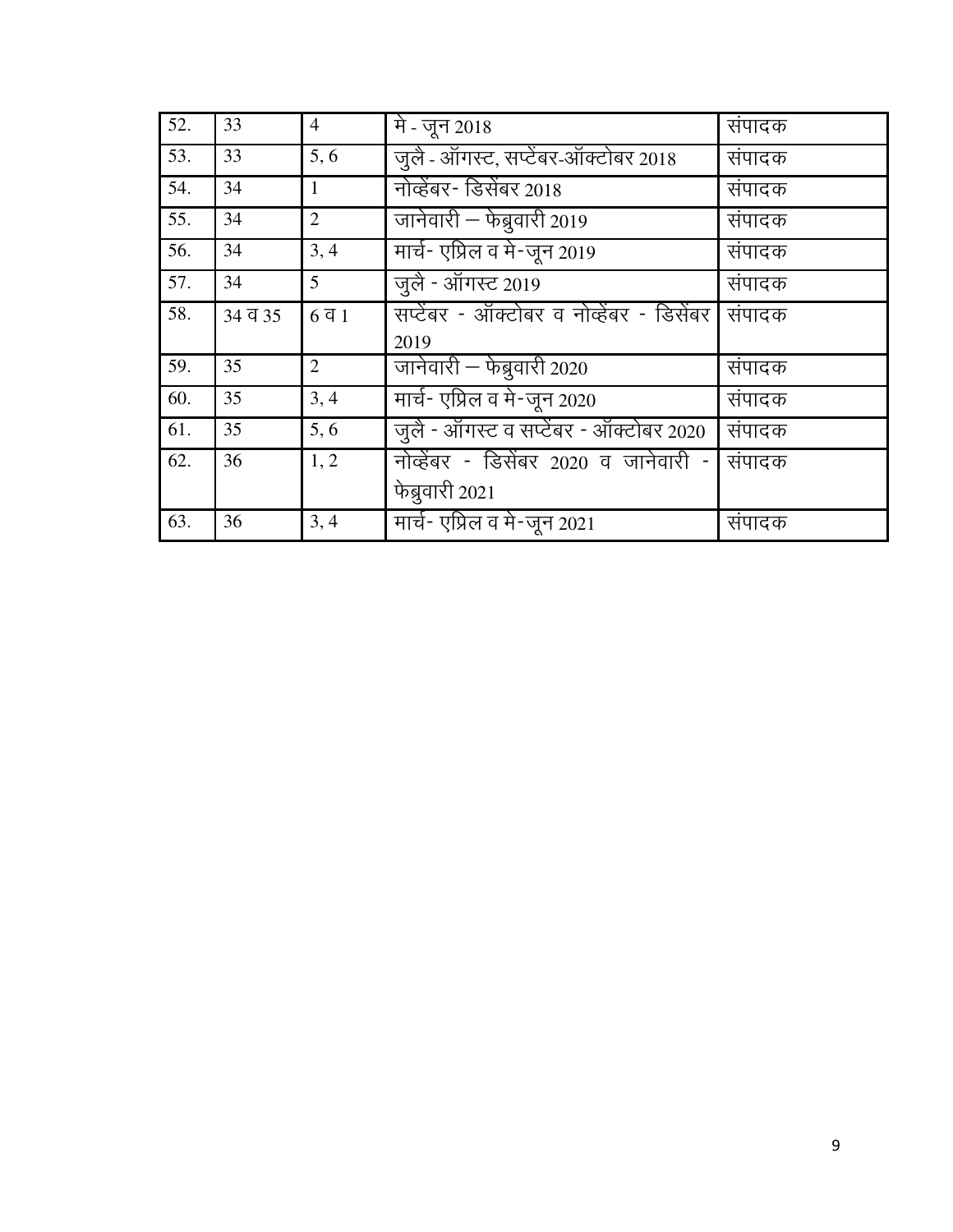| 52. | 33      | $\overline{4}$   | मे - जून 2018                            | संपादक |
|-----|---------|------------------|------------------------------------------|--------|
| 53. | 33      | 5, 6             | जुलै - ऑगस्ट, सप्टेंबर-ऑक्टोबर 2018      | संपादक |
| 54. | 34      | 1                | नोव्हेंबर- डिसेंबर 2018                  | संपादक |
| 55. | 34      | 2                | जानेवारी – फेब्रुवारी 2019               | संपादक |
| 56. | 34      | 3, 4             | मार्च- एप्रिल व मे-जून 2019              | संपादक |
| 57. | 34      | 5 <sup>5</sup>   | जुलै - ऑगस्ट 2019                        | संपादक |
| 58. | 34 व 35 | $6\overline{q}1$ | सप्टेंबर - ऑक्टोबर व नोव्हेंबर - डिसेंबर | संपादक |
|     |         |                  | 2019                                     |        |
| 59. | 35      | $\overline{2}$   | जानेवारी – फेब्रुवारी 2020               | संपादक |
| 60. | 35      | 3, 4             | मार्च- एप्रिल व मे-जून 2020              | संपादक |
| 61. | 35      | 5, 6             | जूले - ऑगस्ट व सप्टेंबर - ऑक्टोबर 2020   | संपादक |
| 62. | 36      | 1, 2             | नोव्हेंबर - डिसेंबर 2020 व जानेवारी -    | संपादक |
|     |         |                  | फेब्रुवारी 2021                          |        |
| 63. | 36      | 3, 4             | मार्च- एप्रिल व मे-जून 2021              | संपादक |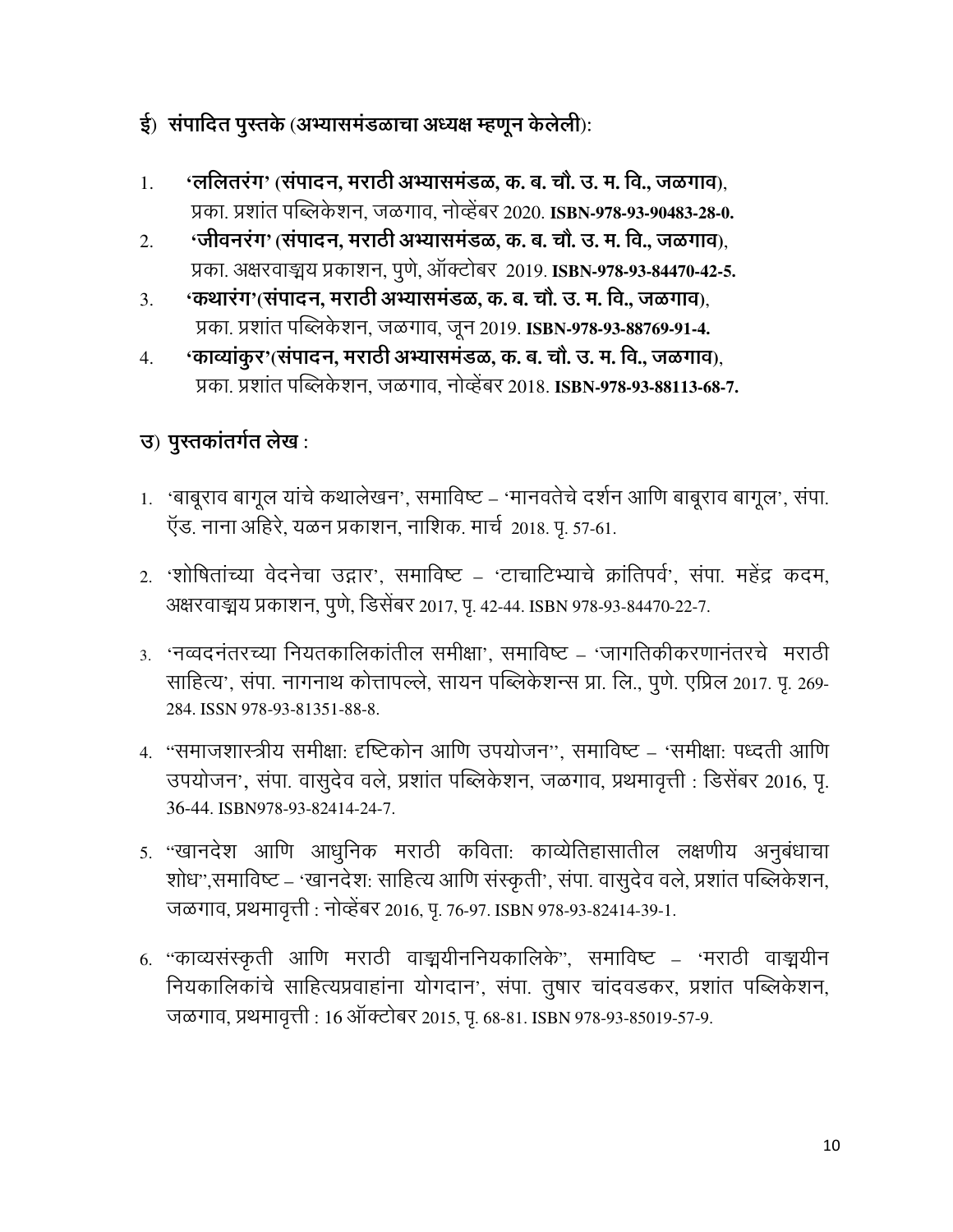#### ई) संपादित पुस्तके (अभ्यासमंडळाचा अध्यक्ष म्हणून केलेली):

- 'ललितरंग' (संपादन, मराठी अभ्यासमंडळ, क. ब. चौ. उ. म. वि., जळगाव), 1. प्रका. प्रशांत पब्लिकेशन, जळगाव, नोव्हेंबर 2020. ISBN-978-93-90483-28-0.
- 'जीवनरंग' (संपादन, मराठी अभ्यासमंडळ, क. ब. चौ. उ. म. वि., जळगाव).  $\overline{2}$ . प्रका. अक्षरवाङ्मय प्रकाशन, पूर्ण, ऑक्टोबर 2019. ISBN-978-93-84470-42-5.
- 'कथारंग'(संपादन, मराठी अभ्यासमंडळ, क. ब. चौ. उ. म. वि., जळगाव),  $3.$ प्रका. प्रशांत पब्लिकेशन, जळगाव, जून 2019. ISBN-978-93-88769-91-4.
- 'काव्यांकूर'(संपादन, मराठी अभ्यासमंडळ, क. ब. चौ. उ. म. वि., जळगाव), 4. प्रका. प्रशांत पब्लिकेशन. जळगाव. नोव्हेंबर 2018. ISBN-978-93-88113-68-7.

## उ) पुस्तकांतर्गत लेख:

- 1. 'बाबूराव बागूल यांचे कथालेखन', समाविष्ट 'मानवतेचे दर्शन आणि बाबूराव बागूल', संपा. ऍड. नाना अहिरे, यळन प्रकाशन, नाशिक. मार्च 2018. पृ. 57-61.
- 2. 'शोषितांच्या वेदनेचा उद्गार', समाविष्ट 'टाचाटिभ्याचे क्रांतिपर्व', संपा. महेंद्र कदम, अक्षरवाङ्मय प्रकाशन, पुणे, डिसेंबर 2017, पृ. 42-44. ISBN 978-93-84470-22-7.
- ३. 'नव्वदनंतरच्या नियतकालिकांतील समीक्षा'. समाविष्ट 'जागतिकीकरणानंतरचे मराठी साहित्य', संपा. नागनाथ कोत्तापल्ले, सायन पब्लिकेशन्स प्रा. लि., पूणे. एप्रिल 2017. पृ. 269-284. ISSN 978-93-81351-88-8.
- 4. "समाजशास्त्रीय समीक्षा: दृष्टिकोन आणि उपयोजन", समाविष्ट 'समीक्षा: पध्दती आणि उपयोजन', संपा. वासुदेव वले, प्रशांत पब्लिकेशन, जळगाव, प्रथमावृत्ती : डिसेंबर 2016, पृ. 36-44. ISBN 978-93-82414-24-7.
- 5. "खानदेश आणि आधुनिक मराठी कविता: काव्येतिहासातील लक्षणीय अनुबंधाचा शोध",समाविष्ट – 'खानदेश: साहित्य आणि संस्कृती', संपा. वासुदेव वले, प्रशांत पब्लिकेशन, जळगाव, प्रथमावृत्ती : नोव्हेंबर 2016, पृ. 76-97. ISBN 978-93-82414-39-1.
- 6. "काव्यसंस्कृती आणि मराठी वाङ्मयीननियकालिके", समाविष्ट 'मराठी वाङ्मयीन नियकालिकांचे साहित्यप्रवाहांना योगदान', संपा. तुषार चांदवडकर, प्रशांत पब्लिकेशन, जळगाव, प्रथमावृत्ती: 16 ऑक्टोबर 2015, पृ. 68-81. ISBN 978-93-85019-57-9.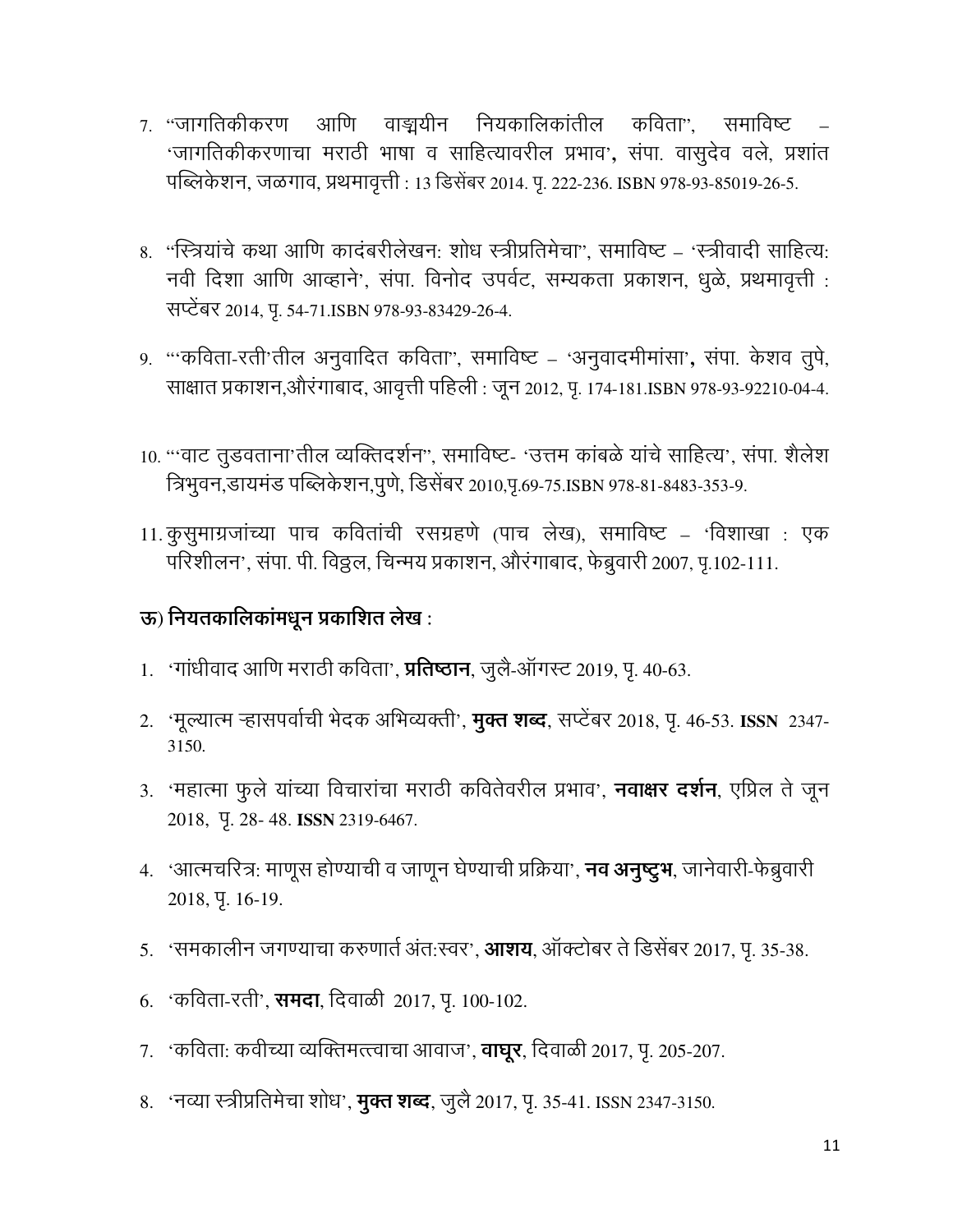- 7. "जागतिकीकरण आणि वाङ्मयीन नियकालिकांतील कविता", समाविष्ट 'जागतिकीकरणाचा मराठी भाषा व साहित्यावरील प्रभाव', संपा. वासुदेव वले, प्रशांत पब्लिकेशन, जळगाव, प्रथमावृत्ती : 13 डिसेंबर 2014. पृ. 222-236. ISBN 978-93-85019-26-5.
- 8. "स्त्रियांचे कथा आणि कादंबरीलेखन: शोध स्त्रीप्रतिमेचा", समाविष्ट 'स्त्रीवादी साहित्य: नवी दिशा आणि आव्हाने', संपा. विनोद उपर्वट, सम्यकता प्रकाशन, धूळे, प्रथमावृत्ती : सप्टेंबर 2014, पू. 54-71.ISBN 978-93-83429-26-4.
- 9. "कविता-रती'तील अनुवादित कविता", समाविष्ट 'अनुवादमीमांसा', संपा. केशव तुपे, साक्षात प्रकाशन,औरंगाबाद, आवृत्ती पहिली : जून 2012, पृ. 174-181.ISBN 978-93-92210-04-4.
- 10. "'वाट तुडवताना'तील व्यक्तिदर्शन", समाविष्ट- 'उत्तम कांबळे यांचे साहित्य', संपा. शैलेश त्रिभुवन,डायमंड पब्लिकेशन,पुणे, डिसेंबर 2010,पृ.69-75.ISBN 978-81-8483-353-9.
- 11. कुसुमाग्रजांच्या पाच कवितांची रसग्रहणे (पाच लेख), समाविष्ट 'विशाखा : एक परिशीलन', संपा. पी. विठ्ठल, चिन्मय प्रकाशन, औरंगाबाद, फेब्रुवारी 2007, पृ.102-111.

#### ऊ) नियतकालिकांमधून प्रकाशित लेख :

- 1. 'गांधीवाद आणि मराठी कविता', **प्रतिष्ठान**, जुलै-ऑगस्ट 2019, पृ. 40-63.
- 2. 'मूल्यात्म ऱ्हासपर्वाची भेदक अभिव्यक्ती', **मुक्त शब्द**, सप्टेंबर 2018, पृ. 46-53. ISSN 2347-3150.
- 3. 'महात्मा फूले यांच्या विचारांचा मराठी कवितेवरील प्रभाव', **नवाक्षर दर्शन**, एप्रिल ते जून 2018, Y. 28-48. ISSN 2319-6467.
- 4. 'आत्मचरित्र: माणूस होण्याची व जाणून घेण्याची प्रक्रिया', **नव अनुष्टुभ**, जानेवारी-फेब्रुवारी 2018, Y. 16-19.
- 5. 'समकालीन जगण्याचा करुणार्त अंत:स्वर', **आशय**, ऑक्टोबर ते डिसेंबर 2017, प. 35-38.
- 6. 'कविता-रती', **समदा**, दिवाळी 2017, पृ. 100-102.
- 7. 'कविता: कवीच्या व्यक्तिमत्त्त्वाचा आवाज', **वाघूर**, दिवाळी 2017, पृ. 205-207.
- 8. 'नव्या स्त्रीप्रतिमेचा शोध', **मुक्त शब्द**, जुलै 2017, पृ. 35-41. ISSN 2347-3150.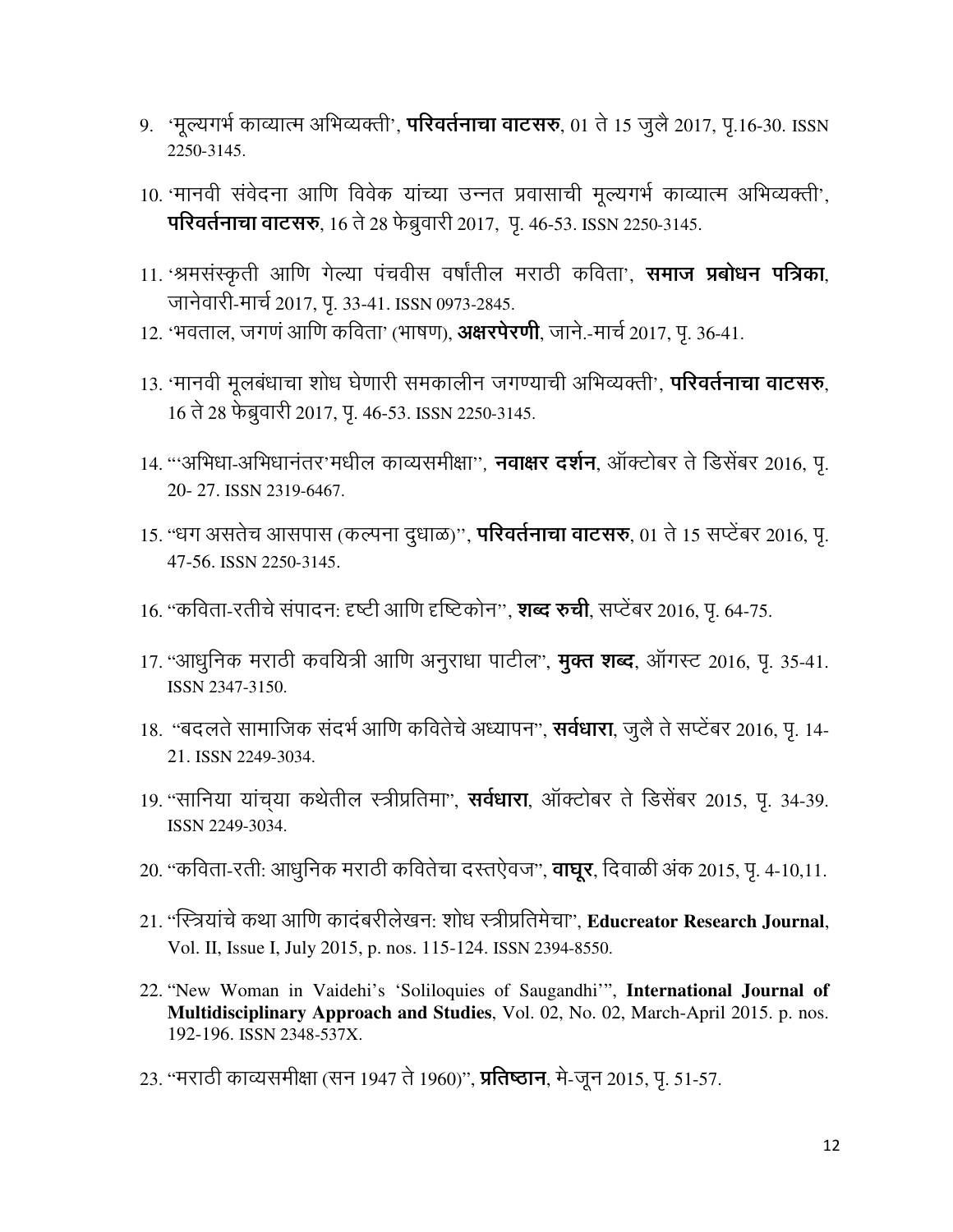- 9. 'मूल्यगर्भ काव्यात्म अभिव्यक्ती', **परिवर्तनाचा वाटसरु**, 01 ते 15 जुलै 2017, पृ.16-30. ISSN 2250-3145.
- 10. 'मानवी संवेदना आणि विवेक यांच्या उन्नत प्रवासाची मूल्यगर्भ काव्यात्म अभिव्यक्ती', परिवर्तनाचा वाटसरु, 16 ते 28 फेब्रुवारी 2017, पृ. 46-53. ISSN 2250-3145.
- 11. 'श्रमसंस्कृती आणि गेल्या पंचवीस वर्षांतील मराठी कविता', समाज प्रबोधन पत्रिका, जानेवारी-मार्च 2017, पृ. 33-41. ISSN 0973-2845.
- 12. 'भवताल, जगणं आणि कविता' (भाषण), अक्षरपेरणी, जाने.-मार्च 2017, पृ. 36-41.
- 13. 'मानवी मूलबंधाचा शोध घेणारी समकालीन जगण्याची अभिव्यक्ती', **परिवर्तनाचा वाटसरु**, 16 ते 28 फेब्रुवारी 2017, पृ. 46-53. ISSN 2250-3145.
- 14. '''अभिधा-अभिधानंतर'मधील काव्यसमीक्षा'', **नवाक्षर दर्शन**, ऑक्टोबर ते डिसेंबर 2016, पृ. 20-27. ISSN 2319-6467.
- 15. "धग असतेच आसपास (कल्पना दुधाळ)", **परिवर्तनाचा वाटसरु**, 01 ते 15 सप्टेंबर 2016, पृ. 47-56. ISSN 2250-3145.
- 16. ''कविता-रतीचे संपादन: दृष्टी आणि दृष्टिकोन'', **शब्द रुची**, सप्टेंबर 2016, पू. 64-75.
- 17. "आधुनिक मराठी कवयित्री आणि अनुराधा पाटील", **मुक्त शब्द**, ऑगस्ट 2016, पृ. 35-41. ISSN 2347-3150.
- 18. "बदलते सामाजिक संदर्भ आणि कवितेचे अध्यापन", **सर्वधारा**, जुलै ते सप्टेंबर 2016, पृ. 14-21. ISSN 2249-3034.
- 19. "सानिया यांच्या कथेतील स्त्रीप्रतिमा", **सर्वधारा**, ऑक्टोबर ते डिसेंबर 2015, पृ. 34-39. ISSN 2249-3034.
- 20. "कविता-रती: आधुनिक मराठी कवितेचा दस्तऐवज", **वाघूर**, दिवाळी अंक 2015, पृ. 4-10,11.
- 21. "स्त्रियांचे कथा आणि कादंबरीलेखन: शोध स्त्रीप्रतिमेचा", Educreator Research Journal, Vol. II, Issue I, July 2015, p. nos. 115-124. ISSN 2394-8550.
- 22. "New Woman in Vaidehi's 'Soliloquies of Saugandhi'", International Journal of Multidisciplinary Approach and Studies, Vol. 02, No. 02, March-April 2015. p. nos. 192-196. ISSN 2348-537X.
- 23. ''मराठी काव्यसमीक्षा (सन 1947 ते 1960)'', **प्रतिष्ठान**, मे-जून 2015, पृ. 51-57.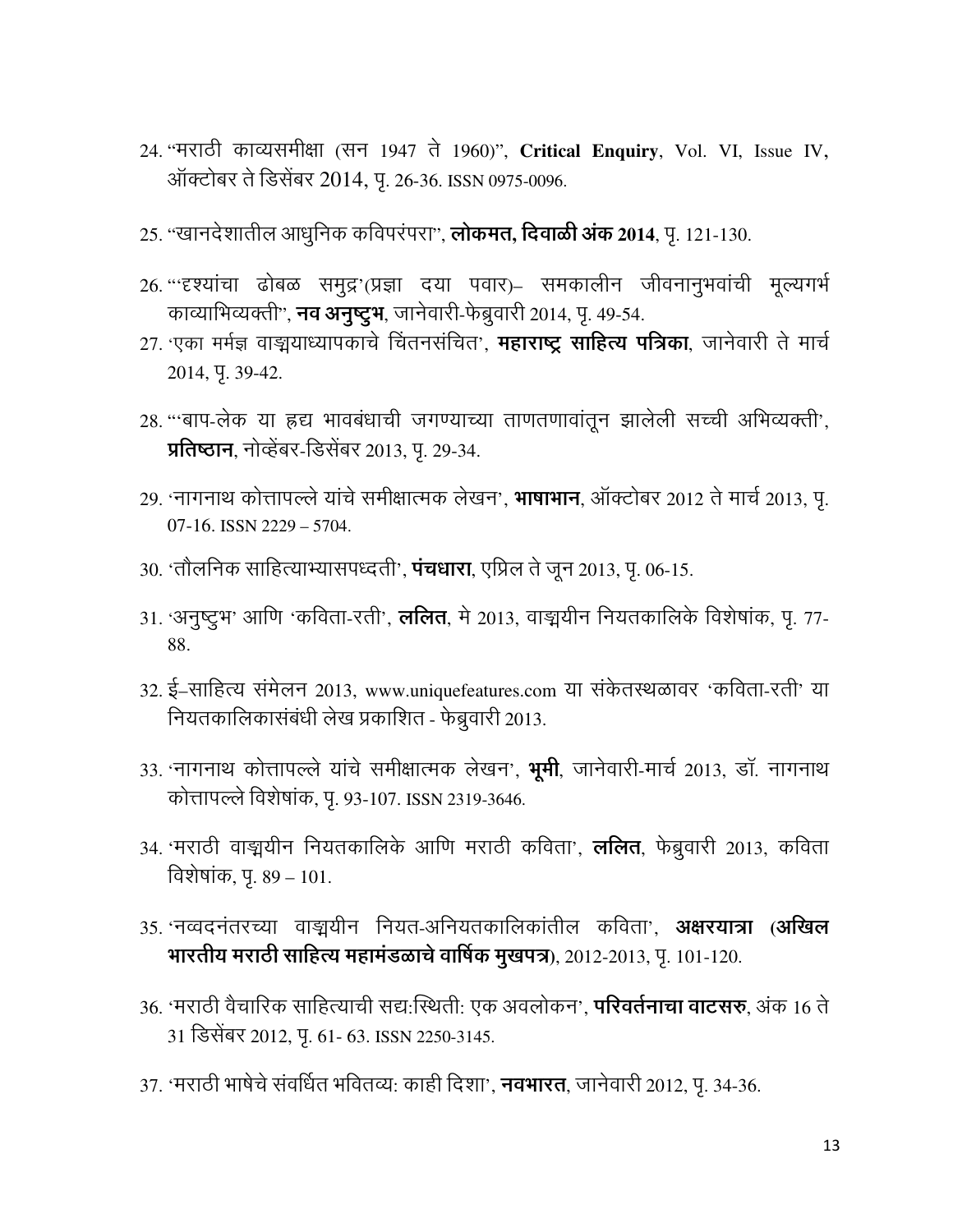- 24. "मराठी काव्यसमीक्षा (सन 1947 ते 1960)", Critical Enquiry, Vol. VI, Issue IV, ऑक्टोबर ते डिसेंबर 2014, प. 26-36. ISSN 0975-0096.
- 25. "खानदेशातील आधुनिक कविपरंपरा", लोकमत, दिवाळी अंक 2014, पृ. 121-130.
- 26. '''दृश्यांचा ढोबळ समुद्र'(प्रज्ञा दया पवार)– समकालीन जीवनानुभवांची मूल्यगर्भ काव्याभिव्यक्ती", **नव अनुष्टुभ**, जानेवारी-फेब्रुवारी 2014, पृ. 49-54.
- 27. 'एका मर्मज्ञ वाङ्मयाध्यापकाचे चिंतनसंचित', **महाराष्ट्र साहित्य पत्रिका**, जानेवारी ते मार्च 2014, Y. 39-42.
- 28. "बाप-लेक या ह्रद्य भावबंधाची जगण्याच्या ताणतणावांतून झालेली सच्ची अभिव्यक्ती', प्रतिष्ठान, नोव्हेंबर-डिसेंबर 2013, पृ. 29-34.
- 29. 'नागनाथ कोत्तापल्ले यांचे समीक्षात्मक लेखन', **भाषाभान**, ऑक्टोबर 2012 ते मार्च 2013, प.  $07-16$ . ISSN 2229 - 5704.
- 30. 'तौलनिक साहित्याभ्यासपध्दती', **पंचधारा**, एप्रिल ते जून 2013, पृ. 06-15.
- 31. 'अनुष्टुभ' आणि 'कविता-रती', **ललित**, मे 2013, वाङ्मयीन नियतकालिके विशेषांक, पृ. 77-88.
- 32. ई-साहित्य संमेलन 2013, www.uniquefeatures.com या संकेतस्थळावर 'कविता-रती' या नियतकालिकासंबंधी लेख प्रकाशित - फेब्रुवारी 2013.
- 33. 'नागनाथ कोत्तापल्ले यांचे समीक्षात्मक लेखन', **भूमी**, जानेवारी-मार्च 2013, डॉ. नागनाथ कोत्तापल्ले विशेषांक, पृ. 93-107. ISSN 2319-3646.
- 34. 'मराठी वाङ्मयीन नियतकालिके आणि मराठी कविता', **ललित**, फेब्रुवारी 2013, कविता विशेषांक, पृ. 89 – 101.
- 35. 'नव्वदनंतरच्या वाङ्मयीन नियत-अनियतकालिकांतील कविता', अक्षरयात्रा (अखिल भारतीय मराठी साहित्य महामंडळाचे वार्षिक मुखपत्र), 2012-2013, पृ. 101-120.
- 36. 'मराठी वैचारिक साहित्याची सद्य:स्थिती: एक अवलोकन', **परिवर्तनाचा वाटसरु**, अंक 16 ते 31 डिसेंबर 2012, पृ. 61- 63. ISSN 2250-3145.
- 37. 'मराठी भाषेचे संवर्धित भवितव्यः काही दिशा', **नवभारत**, जानेवारी 2012, पृ. 34-36.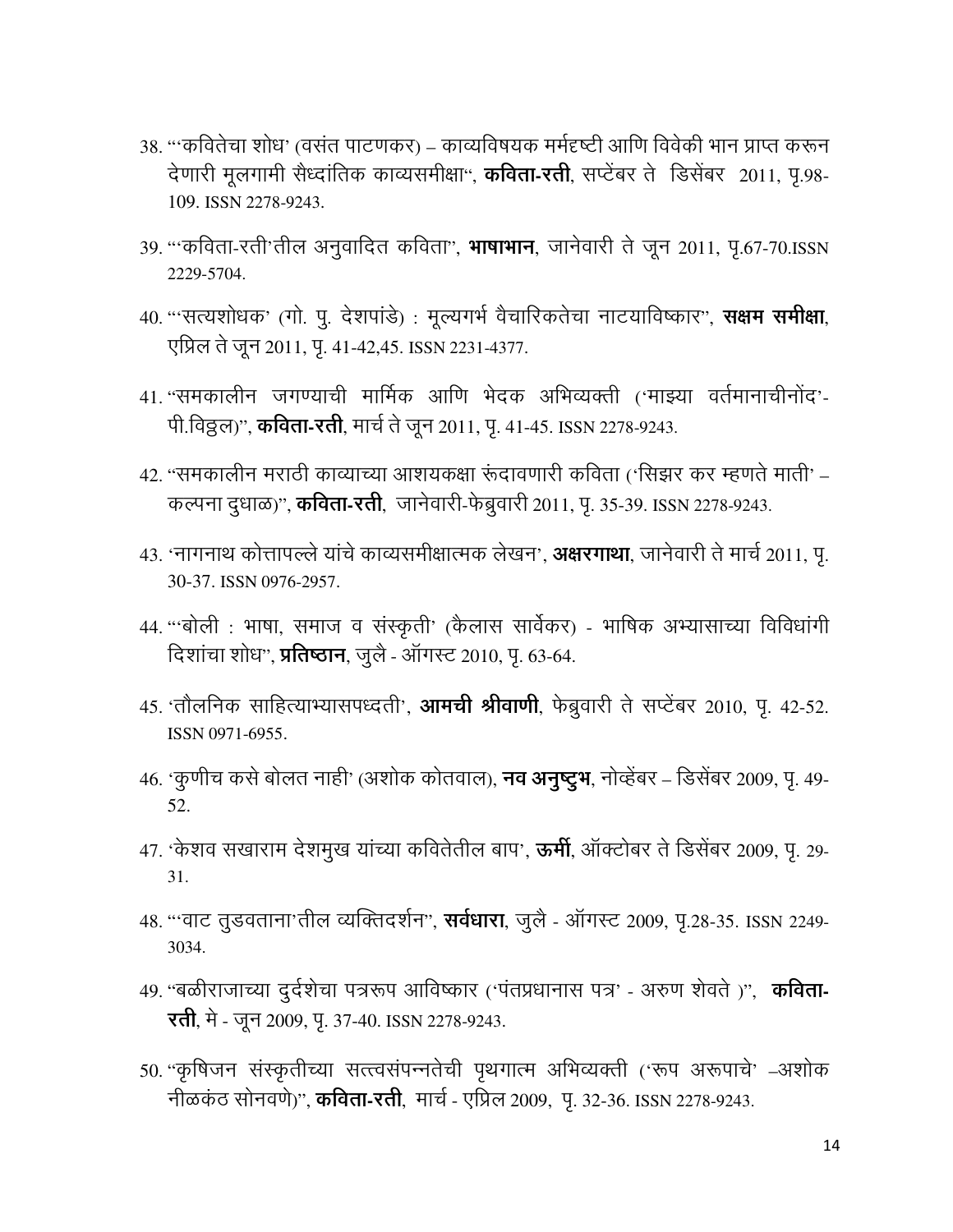- 38. '''कवितेचा शोध' (वसंत पाटणकर) काव्यविषयक मर्मदृष्टी आणि विवेकी भान प्राप्त करून देणारी मूलगामी सैध्दांतिक काव्यसमीक्षा", **कविता-रती**, सप्टेंबर ते डिसेंबर 2011, पृ.98-109. ISSN 2278-9243.
- 39. '''कविता-रती'तील अनुवादित कविता'', **भाषाभान**, जानेवारी ते जून 2011, पृ.67-70.ISSN 2229-5704.
- 40. "'सत्यशोधक' (गो. पु. देशपांडे)) : मूल्यगर्भ वैचारिकतेचा नाटयाविष्कार", **सक्षम समीक्षा**, एप्रिल ते जून 2011, पृ. 41-42,45. ISSN 2231-4377.
- 41. "समकालीन जगण्याची मार्मिक आणि भेदक अभिव्यक्ती ('माझ्या वर्तमानाचीनोंद'-पी.विठ्ठल)", कविता-रती, मार्च ते जून 2011, पृ. 41-45. ISSN 2278-9243.
- 42. "समकालीन मराठी काव्याच्या आशयकक्षा रूंदावणारी कविता ('सिझर कर म्हणते माती' कल्पना दुधाळ)", **कविता-रती**, जानेवारी-फेब्रुवारी 2011, पृ. 35-39. ISSN 2278-9243.
- 43. 'नागनाथ कोत्तापल्ले यांचे काव्यसमीक्षात्मक लेखन', **अक्षरगाथा**, जानेवारी ते मार्च 2011, पृ. 30-37. ISSN 0976-2957.
- 44. "बोली : भाषा, समाज व संस्कृती' (कैलास सार्वेकर) भाषिक अभ्यासाच्या विविधांगी दिशांचा शोध", प्रतिष्ठान, जुलै - ऑगस्ट 2010, पृ. 63-64.
- 45. 'तौलनिक साहित्याभ्यासपध्दती', आमची श्रीवाणी, फेब्रुवारी ते सप्टेंबर 2010, पृ. 42-52. ISSN 0971-6955.
- 46. 'कुणीच कसे बोलत नाही' (अशोक कोतवाल), **नव अनुष्ट्रभ**, नोव्हेंबर डिसेंबर 2009, पृ. 49-52.
- 47. 'केशव सखाराम देशमुख यांच्या कवितेतील बाप', **ऊर्मी**, ऑक्टोबर ते डिसेंबर 2009, पृ. 29- $31$
- 48. '''वाट तूडवताना'तील व्यक्तिदर्शन'', **सर्वधारा**, जुलै ऑगस्ट 2009, पृ.28-35. ISSN 2249-3034.
- 49. "बळीराजाच्या दुर्दशेचा पत्ररूप आविष्कार ('पंतप्रधानास पत्र' अरुण शेवते)", कविता-**रती**, मे - जून 2009, पृ. 37-40. ISSN 2278-9243.
- 50. "कृषिजन संस्कृतीच्या सत्त्वसंपन्नतेची पृथगात्म अभिव्यक्ती ('रूप अरूपाचे' –अशोक नीळकंठ सोनवणे)", **कविता-रती**, मार्च - एप्रिल 2009, पृ. 32-36. ISSN 2278-9243.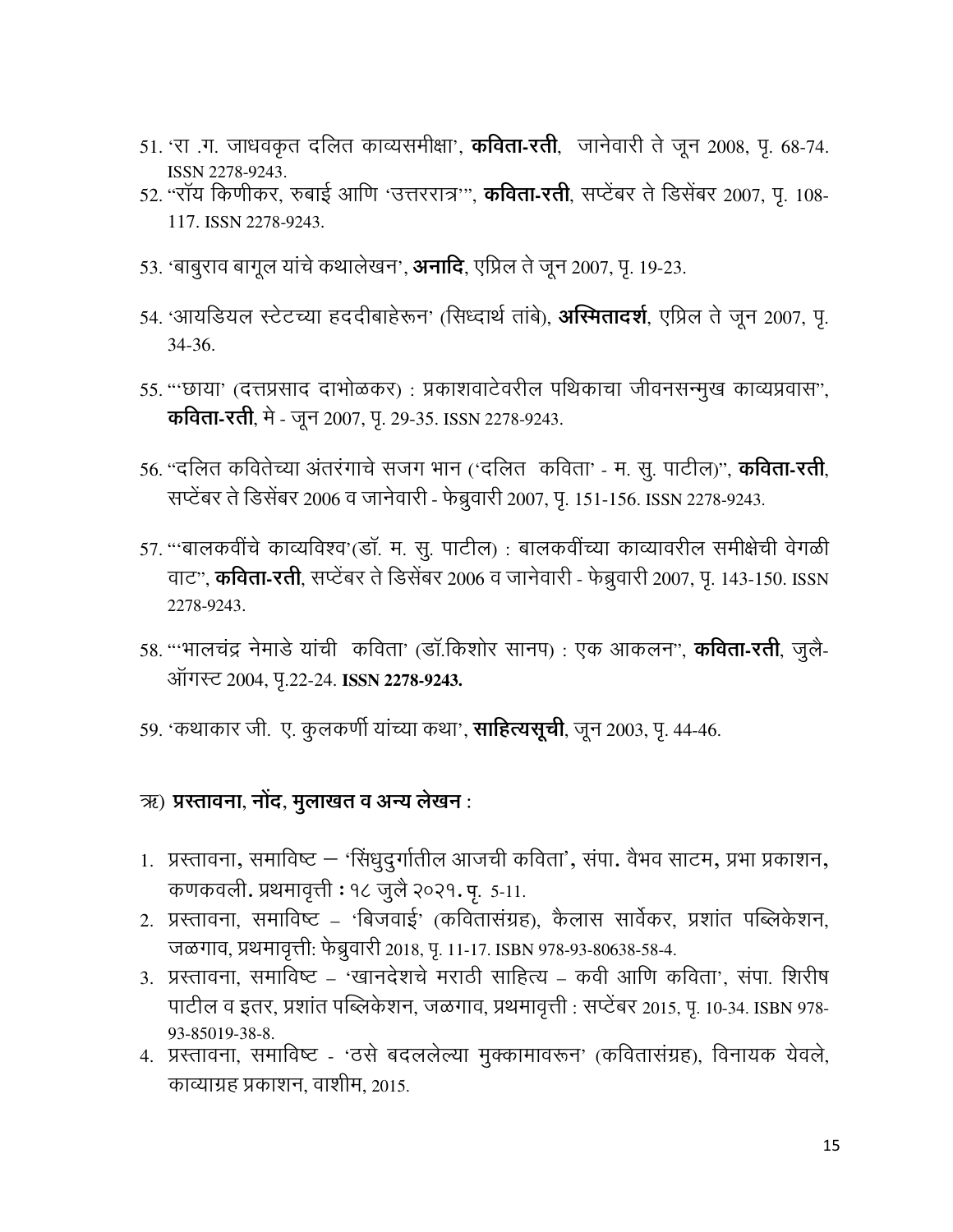- 51. 'रा .ग. जाधवकृत दलित काव्यसमीक्षा', **कविता-रती**, जानेवारी ते जून 2008, पृ. 68-74. ISSN 2278-9243.
- 52. "रॉय किणीकर, रुबाई आणि 'उत्तररात्र'", **कविता-रती**, सप्टेंबर ते डिसेंबर 2007, पृ. 108-117. ISSN 2278-9243.
- 53. 'बाबुराव बागूल यांचे कथालेखन', **अनादि**, एप्रिल ते जून 2007, पृ. 19-23.
- 54. 'आयडियल स्टेटच्या हददीबाहेरून' (सिध्दार्थ तांबे), **अस्मितादर्श**, एप्रिल ते जून 2007, पृ.  $34-36.$
- 55. '''छाया' (दत्तप्रसाद दाभोळकर) : प्रकाशवाटेवरील पथिकाचा जीवनसन्मुख काव्यप्रवास'', **कविता-रती**, मे - जून 2007, पृ. 29-35. ISSN 2278-9243.
- 56. "दलित कवितेच्या अंतरंगाचे सजग भान ('दलित) कविता' म. सू. पाटील)", **कविता-रती**, सप्टेंबर ते डिसेंबर 2006 व जानेवारी - फेब्रुवारी 2007, पृ. 151-156. ISSN 2278-9243.
- 57. "बालकवींचे काव्यविश्व'(डॉ. म. सू. पाटील) : बालकवींच्या काव्यावरील समीक्षेची वेगळी वाट", **कविता-रती**, सप्टेंबर ते डिसेंबर 2006 व जानेवारी - फेब्रुवारी 2007, पृ. 143-150. ISSN 2278-9243.
- 58. '''भालचंद्र नेमाडे यांची कविता' (डॉ.किशोर सानप) : एक आकलन'', **कविता-रती**, जुलै-ऑगस्ट 2004, पृ.22-24. ISSN 2278-9243.
- 59. 'कथाकार जी. ए. कुलकर्णी यांच्या कथा', **साहित्यसूची**, जून 2003, पृ. 44-46.

#### <u>ऋ) प्रस्तावना, नोंद, मुलाखत व अन्य लेखन :</u>

- 1. प्रस्तावना, समाविष्ट 'सिंधुदुर्गातील आजची कविता', संपा. वैभव साटम, प्रभा प्रकाशन, कणकवली. प्रथमावृत्ती : १८ जुलै २०२१. पृ. 5-11.
- 2. प्रस्तावना, समाविष्ट 'बिजवाई' (कवितासंग्रह), कैलास सार्वेकर, प्रशांत पब्लिकेशन, जळगाव, प्रथमावृत्ती: फेब्रुवारी 2018, पृ. 11-17. ISBN 978-93-80638-58-4.
- 3. प्रस्तावना. समाविष्ट 'खानदेशचे मराठी साहित्य कवी आणि कविता'. संपा. शिरीष पाटील व इतर, प्रशांत पब्लिकेशन, जळगाव, प्रथमावृत्ती : सप्टेंबर 2015, पृ. 10-34. ISBN 978-93-85019-38-8.
- 4. प्रस्तावना, समाविष्ट 'ठसे बदललेल्या मुक्कामावरून' (कवितासंग्रह), विनायक येवले, काव्याग्रह प्रकाशन, वाशीम, 2015.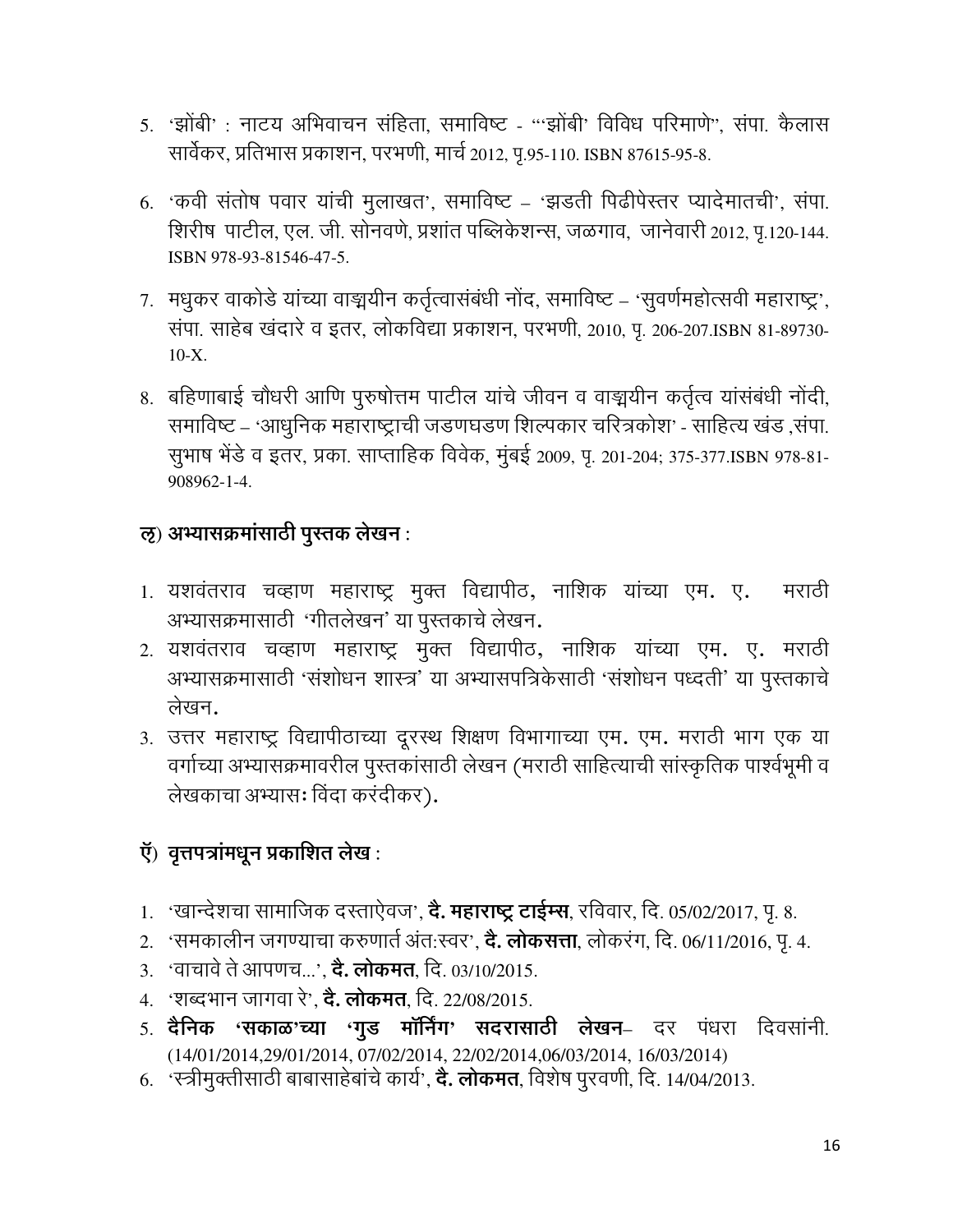- 5. 'झोंबी': नाटय अभिवाचन संहिता, समाविष्ट "'झोंबी' विविध परिमाणे", संपा. कैलास सार्वेकर, प्रतिभास प्रकाशन, परभणी, मार्च 2012, पृ.95-110. ISBN 87615-95-8.
- 6. 'कवी संतोष पवार यांची मुलाखत', समाविष्ट 'झडती पिढीपेस्तर प्यादेमातची', संपा. शिरीष पाटील, एल. जी. सोनवणे, प्रशांत पब्लिकेशन्स, जळगाव, जानेवारी 2012, प.120-144. ISBN 978-93-81546-47-5.
- 7. मधुकर वाकोडे यांच्या वाङ्मयीन कर्तृत्वासंबंधी नोंद, समाविष्ट 'सुवर्णमहोत्सवी महाराष्ट्र', संपा. साहेब खंदारे व इतर, लोकविद्या प्रकाशन, परभणी, 2010, पृ. 206-207.ISBN 81-89730- $10-X.$
- 8. बहिणाबाई चौधरी आणि पुरुषोत्तम पाटील यांचे जीवन व वाङ्मयीन कर्तृत्व यांसंबंधी नोंदी, समाविष्ट – 'आधुनिक महाराष्ट्राची जडणघडण शिल्पकार चरित्रकोश' - साहित्य खंड ,संपा. सुभाष भेंडे व इतर, प्रका. साप्ताहिक विवेक, मुंबई 2009, पृ. 201-204; 375-377.ISBN 978-81-908962-1-4.

## ऌ) अभ्यासक्रमांसाठी पुस्तक लेखन:

- 1. यशवंतराव चव्हाण महाराष्ट्र मुक्त विद्यापीठ, नाशिक यांच्या एम. ए. मराठी अभ्यासक्रमासाठी 'गीतलेखन' या पुस्तकाचे लेखन.
- 2. यशवंतराव चव्हाण महाराष्ट्र मुक्त विद्यापीठ, नाशिक यांच्या एम. ए. मराठी अभ्यासक्रमासाठी 'संशोधन शास्त्र' या अभ्यासपत्रिकेसाठी 'संशोधन पध्दती' या पुस्तकाचे लेखन.
- 3. उत्तर महाराष्ट्र विद्यापीठाच्या दूरस्थ शिक्षण विभागाच्या एम. एम. मराठी भाग एक या वर्गाच्या अभ्यासक्रमावरील पुस्तकांसाठी लेखन (मराठी साहित्याची सांस्कृतिक पार्श्वभूमी व लेखकाचा अभ्यासः विंदा करंदीकर).

# ऍ) वृत्तपत्रांमधून प्रकाशित लेख :

- 1. 'खान्देशचा सामाजिक दस्ताऐवज', **दे. महाराष्ट्र टाईम्स**, रविवार, दि. 05/02/2017, पृ. 8.
- 2. 'समकालीन जगण्याचा करुणार्त अंत:स्वर', **दे. लोकसत्ता**, लोकरंग, दि. 06/11/2016, पृ. 4.
- 3. 'वाचावे ते आपणच...', **दे. लोकमत**, दि. 03/10/2015.
- 4. 'शब्दभान जागवा रे', **दे. लोकमत**, दि. 22/08/2015.
- 5. दैनिक 'सकाळ'च्या 'गुड मॉर्निंग' सदरासाठी लेखन– दर पंधरा दिवसांनी. (14/01/2014,29/01/2014, 07/02/2014, 22/02/2014,06/03/2014, 16/03/2014)
- 6. 'स्त्रीमुक्तीसाठी बाबासाहेबांचे कार्य', **दे. लोकमत**, विशेष पुरवणी, दि. 14/04/2013.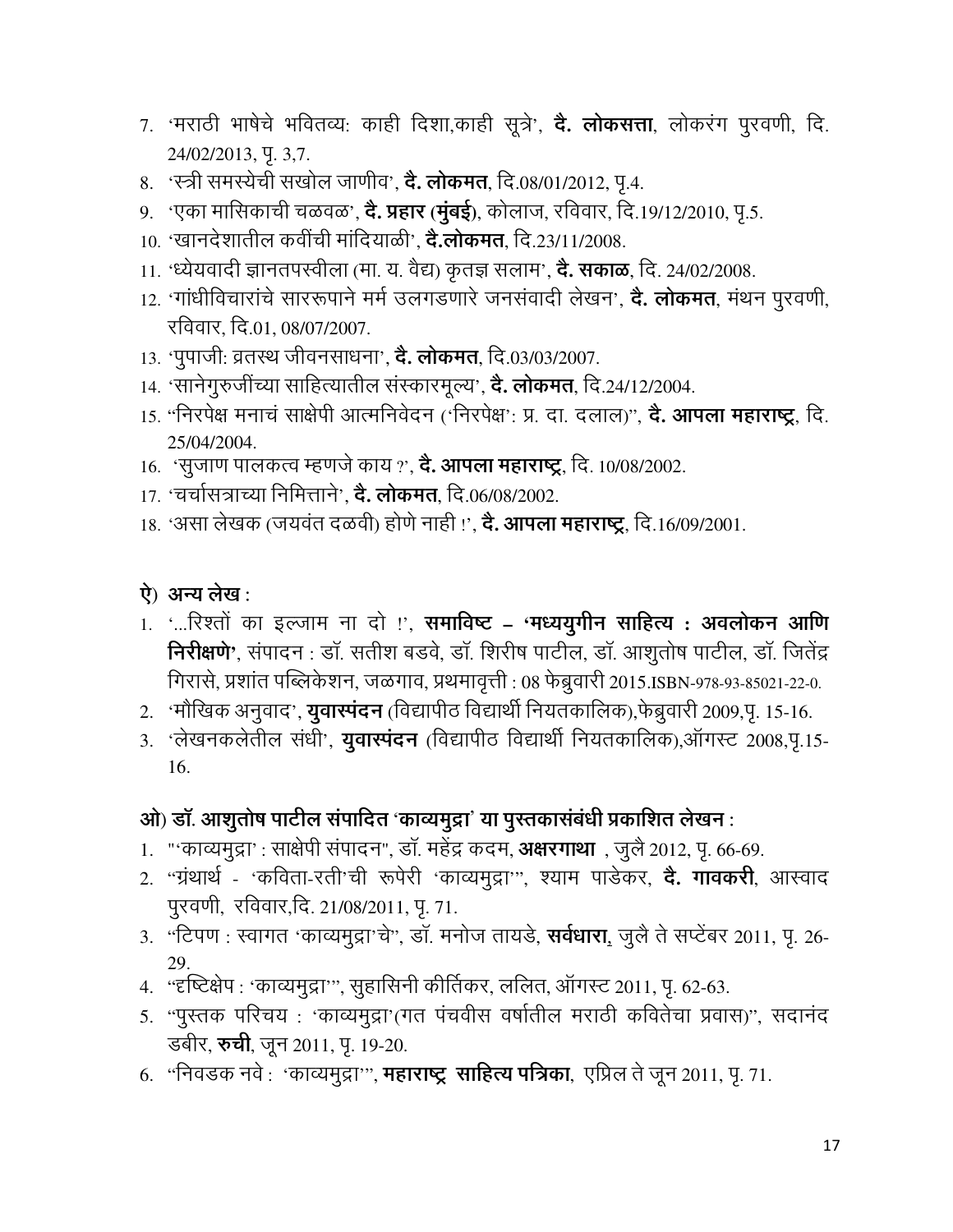- 7. 'मराठी भाषेचे भवितव्य: काही दिशा,काही सूत्रे', **दे. लोकसत्ता**, लोकरंग पुरवणी, दि. 24/02/2013, Y. 3,7.
- 8. 'स्त्री समस्येची सखोल जाणीव', **दे. लोकमत**, दि.08/01/2012, पृ.4.
- 9. 'एका मासिकाची चळवळ', **दे. प्रहार (मुंबई)**, कोलाज, रविवार, दि.19/12/2010, पृ.5.
- 10. 'खानदेशातील कवींची मांदियाळी', **दे.लोकमत**, दि.23/11/2008.
- 11. 'ध्येयवादी ज्ञानतपस्वीला (मा. य. वैद्य) कृतज्ञ सलाम', **दे. सकाळ**, दि. 24/02/2008.
- 12. 'गांधीविचारांचे साररूपाने मर्म उलगडणारे जनसंवादी लेखन', **दे. लोकमत**, मंथन पूरवणी, रविवार, दि.01, 08/07/2007.
- 13. 'पुपाजी: व्रतस्थ जीवनसाधना', **दे. लोकमत**, दि.03/03/2007.
- 14. 'सानेगुरुजींच्या साहित्यातील संस्कारमूल्य', **दे. लोकमत**, दि.24/12/2004.
- 15. "निरपेक्ष मनाचं साक्षेपी आत्मनिवेदन ('निरपेक्ष': प्र. दा. दलाल)", **दे. आपला महाराष्ट्र**, दि. 25/04/2004.
- 16. 'सूजाण पालकत्व म्हणजे काय ?', **दे. आपला महाराष्ट्र**, दि. 10/08/2002.
- 17. 'चर्चासत्राच्या निमित्ताने', **दे. लोकमत,** दि.06/08/2002.
- 18. 'असा लेखक (जयवंत दळवी) होणे नाही !', **दे. आपला महाराष्ट्र**, दि.16/09/2001.

## ऐ) अन्य लेख:

- 1. '...रिश्तों का इल्जाम ना दो !', **समाविष्ट = 'मध्ययुगीन साहित्य : अवलोकन आणि** निरीक्षणे', संपादन : डॉ. सतीश बडवे, डॉ. शिरीष पाटील, डॉ. आशूतोष पाटील, डॉ. जितेंद्र गिरासे, प्रशांत पब्लिकेशन, जळगाव, प्रथमावृत्ती : 08 फेब्रुवारी 2015.ISBN-978-93-85021-22-0.
- 2. 'मौखिक अनुवाद', **युवास्पंदन** (विद्यापीठ विद्यार्थी नियतकालिक),फेब्रुवारी 2009,पू. 15-16.
- 3. 'लेखनकलेतील संधी', **युवास्पंदन** (विद्यापीठ विद्यार्थी नियतकालिक),ऑगस्ट 2008,पृ.15-16.

## ओ) डॉ. आशुतोष पाटील संपादित 'काव्यमुद्रा' या पुस्तकासंबंधी प्रकाशित लेखन :

- 1. "'काव्यमुद्रा': साक्षेपी संपादन", डॉ. महेंद्र कदम, अक्षरगाथा), जुलै 2012, पृ. 66-69.
- 2. "ग्रंथार्थ 'कविता-रती'ची रूपेरी 'काव्यमुद्रा'", श्याम पाडेकर, **दे. गावकरी**, आस्वाद पुरवणी, रविवार,दि. 21/08/2011, पृ. 71.
- 3. "टिपण : स्वागत 'काव्यमुद्रा'चे", डॉ. मनोज तायडे, **सर्वधारा,** जुलै ते सप्टेंबर 2011, पृ. 26-29.
- 4. "दृष्टिक्षेप: 'काव्यमुद्रा'", सुहासिनी कीर्तिकर, ललित, ऑगस्ट 2011, पृ. 62-63.
- 5. "पुस्तक परिचय: 'काव्यमुद्रा'(गत पंचवीस वर्षातील मराठी कवितेचा प्रवास)", सदानंद डबीर, **रुची**, जून 2011, पृ. 19-20.
- 6. "निवडक नवे : 'काव्यमुद्रा'", **महाराष्ट्र साहित्य पत्रिका**, एप्रिल ते जून 2011, पृ. 71.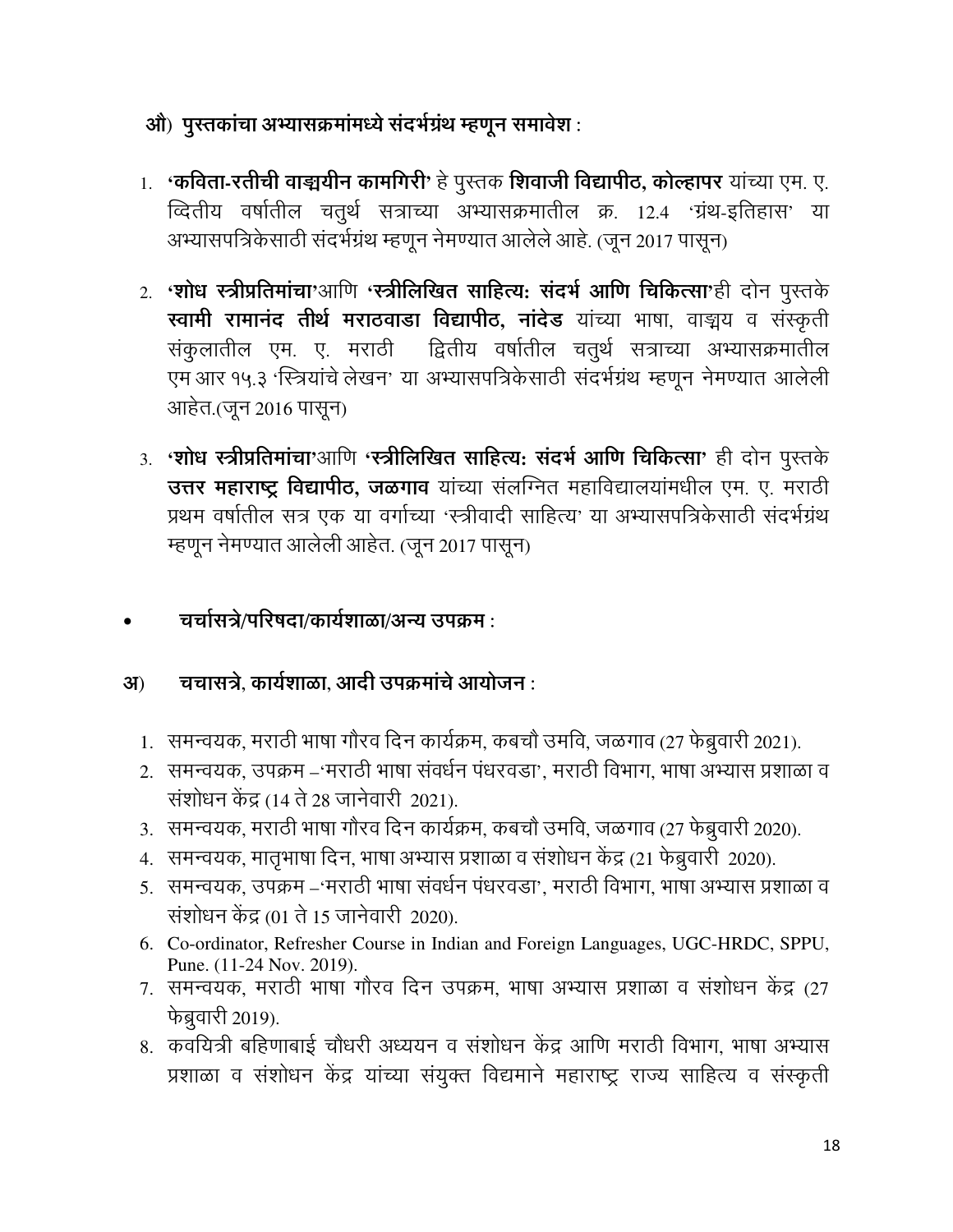- ओ) पुस्तकांचा अभ्यासक्रमांमध्ये संदर्भग्रंथ म्हणून समावेश :
- 1. **'कविता-रतीची वाङ्मयीन कामगिरी'** हे पुस्तक **शिवाजी विद्यापीठ, कोल्हापर** यांच्या एम. ए. व्दितीय वर्षातील चतुर्थ सत्राच्या अभ्यासक्रमातील क्र. 12.4 'ग्रंथ-इतिहास' या अभ्यासपत्रिकेसाठी संदर्भग्रंथ म्हणून नेमण्यात आलेले आहे. (जून 2017 पासून)
- 2. 'शोध स्त्रीप्रतिमांचा'आणि 'स्त्रीलिखित साहित्य: संदर्भ आणि चिकित्सा'ही दोन पुस्तके स्वामी रामानंद तीर्थ मराठवाडा विद्यापीठ, नांदेड यांच्या भाषा, वाङ्मय व संस्कृती संकुलातील एम. ए. मराठी द्वितीय वर्षातील चतुर्थ सत्राच्या अभ्यासक्रमातील एम आर १५.३ 'स्त्रियांचे लेखन' या अभ्यासपत्रिकेसाठी संदर्भग्रंथ म्हणून नेमण्यात आलेली आहेत.(जून 2016 पासून)
- 3. 'शोध स्त्रीप्रतिमांचा'आणि 'स्त्रीलिखित साहित्य: संदर्भ आणि चिकित्सा' ही दोन पुस्तके उत्तर महाराष्ट्र विद्यापीठ, जळगाव यांच्या संलग्नित महाविद्यालयांमधील एम. ए. मराठी प्रथम वर्षातील सत्र एक या वर्गाच्या 'स्त्रीवादी साहित्य' या अभ्यासपत्रिकेसाठी संदर्भग्रंथ म्हणून नेमण्यात आलेली आहेत. (जून 2017 पासून)
- चर्चासत्रे/परिषदा/कार्यशाळा/अन्य उपक्रम :

#### चचासत्रे. कार्यशाळा. आदी उपक्रमांचे आयोजन :  $3J)$

- 1. समन्वयक, मराठी भाषा गौरव दिन कार्यक्रम, कबचौ उमवि, जळगाव (27 फेब्रुवारी 2021).
- 2. समन्वयक, उपक्रम –'मराठी भाषा संवर्धन पंधरवडा', मराठी विभाग, भाषा अभ्यास प्रशाळा व संशोधन केंद्र (14 ते 28 जानेवारी 2021).
- 3. समन्वयक, मराठी भाषा गौरव दिन कार्यक्रम, कबचौ उमवि, जळगाव (27 फेब्रुवारी 2020).
- 4. समन्वयक, मातृभाषा दिन, भाषा अभ्यास प्रशाळा व संशोधन केंद्र (21 फेब्रुवारी 2020).
- 5. समन्वयक, उपक्रम –'मराठी भाषा संवर्धन पंधरवडा', मराठी विभाग, भाषा अभ्यास प्रशाळा व संशोधन केंद्र (01 ते 15 जानेवारी 2020).
- 6. Co-ordinator, Refresher Course in Indian and Foreign Languages, UGC-HRDC, SPPU, Pune. (11-24 Nov. 2019).
- 7. समन्वयक, मराठी भाषा गौरव दिन उपक्रम, भाषा अभ्यास प्रशाळा व संशोधन केंद्र (27 फेब्रुवारी 2019).
- 8. कवयित्री बहिणाबाई चौधरी अध्ययन व संशोधन केंद्र आणि मराठी विभाग, भाषा अभ्यास प्रशाळा व संशोधन केंद्र यांच्या संयुक्त विद्यमाने महाराष्ट्र राज्य साहित्य व संस्कृती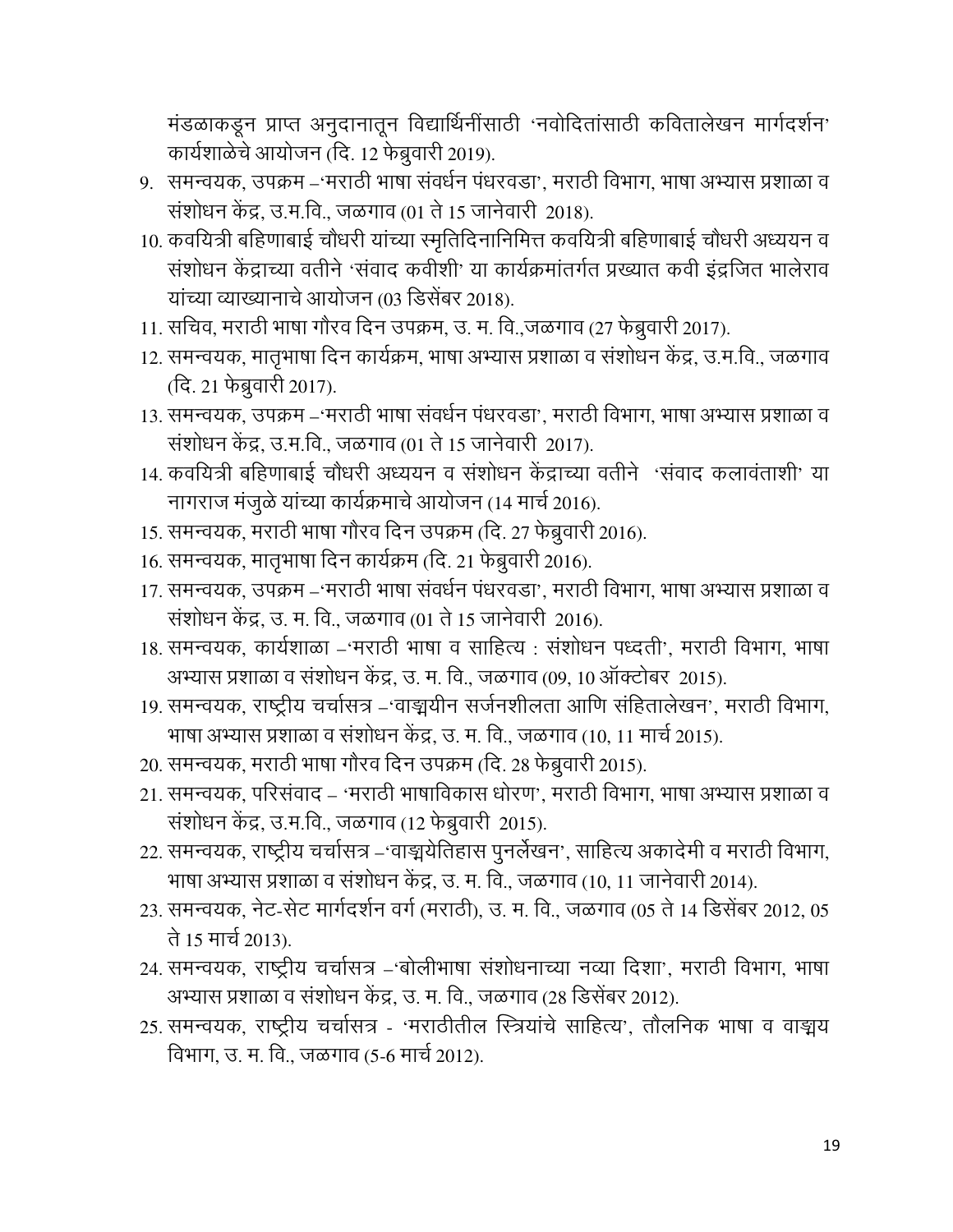मंडळाकडून प्राप्त अनुदानातून विद्यार्थिनींसाठी 'नवोदितांसाठी कवितालेखन मार्गदर्शन' कार्यशाळेचे आयोजन (दि. 12 फेब्रुवारी 2019).

- 9. समन्वयक, उपक्रम –'मराठी भाषा संवर्धन पंधरवडा', मराठी विभाग, भाषा अभ्यास प्रशाळा व संशोधन केंद्र, उ.म.वि., जळगाव (01 ते 15 जानेवारी 2018).
- 10. कवयित्री बहिणाबाई चौधरी यांच्या स्मृतिदिनानिमित्त कवयित्री बहिणाबाई चौधरी अध्ययन व संशोधन केंद्राच्या वतीने 'संवाद कवीशी' या कार्यक्रमांतर्गत प्रख्यात कवी इंद्रजित भालेराव यांच्या व्याख्यानाचे आयोजन (03 डिसेंबर 2018).
- 11. सचिव, मराठी भाषा गौरव दिन उपक्रम, उ. म. वि.,जळगाव (27 फेब्रुवारी 2017).
- 12. समन्वयक, मातृभाषा दिन कार्यक्रम, भाषा अभ्यास प्रशाळा व संशोधन केंद्र, उ.म.वि., जळगाव (दि. 21 फेब्रुवारी 2017).
- 13. समन्वयक, उपक्रम –'मराठी भाषा संवर्धन पंधरवडा', मराठी विभाग, भाषा अभ्यास प्रशाळा व संशोधन केंद्र, उ.म.वि., जळगाव (01 ते 15 जानेवारी 2017).
- 14. कवयित्री बहिणाबाई चौधरी अध्ययन व संशोधन केंद्राच्या वतीने 'संवाद कलावंताशी' या नागराज मंजूळे यांच्या कार्यक्रमाचे आयोजन (14 मार्च 2016).
- 15. समन्वयक, मराठी भाषा गौरव दिन उपक्रम (दि. 27 फेब्रुवारी 2016).
- 16. समन्वयक, मातृभाषा दिन कार्यक्रम (दि. 21 फेब्रुवारी 2016).
- 17. समन्वयक, उपक्रम –'मराठी भाषा संवर्धन पंधरवडा', मराठी विभाग, भाषा अभ्यास प्रशाळा व संशोधन केंद्र, उ. म. वि., जळगाव (01 ते 15 जानेवारी 2016).
- 18. समन्वयक, कार्यशाळा –'मराठी भाषा व साहित्य : संशोधन पध्दती', मराठी विभाग, भाषा अभ्यास प्रशाळा व संशोधन केंद्र, उ. म. वि., जळगाव (09, 10 ऑक्टोबर 2015).
- 19. समन्वयक, राष्ट्रीय चर्चासत्र –'वाङ्मयीन सर्जनशीलता आणि संहितालेखन', मराठी विभाग, भाषा अभ्यास प्रशाळा व संशोधन केंद्र, उ. म. वि., जळगाव (10, 11 मार्च 2015).
- 20. समन्वयक, मराठी भाषा गौरव दिन उपक्रम (दि. 28 फेब्रुवारी 2015).
- 21. समन्वयक, परिसंवाद 'मराठी भाषाविकास धोरण', मराठी विभाग, भाषा अभ्यास प्रशाळा व संशोधन केंद्र, उ.म.वि., जळगाव (12 फेब्रुवारी 2015).
- 22. समन्वयक, राष्ट्रीय चर्चासत्र –'वाङ्मयेतिहास पुनर्लेखन', साहित्य अकादेमी व मराठी विभाग, भाषा अभ्यास प्रशाळा व संशोधन केंद्र, उ. म. वि., जळगाव (10, 11 जानेवारी 2014).
- 23. समन्वयक, नेट-सेट मार्गदर्शन वर्ग (मराठी), उ. म. वि., जळगाव (05 ते 14 डिसेंबर 2012, 05 ते 15 मार्च 2013).
- 24. समन्वयक, राष्ट्रीय चर्चासत्र –'बोलीभाषा संशोधनाच्या नव्या दिशा', मराठी विभाग, भाषा अभ्यास प्रशाळा व संशोधन केंद्र, उ. म. वि., जळगाव (28 डिसेंबर 2012).
- 25. समन्वयक, राष्ट्रीय चर्चासत्र 'मराठीतील स्त्रियांचे साहित्य', तौलनिक भाषा व वाङ्मय विभाग, उ. म. वि., जळगाव (5-6 मार्च 2012).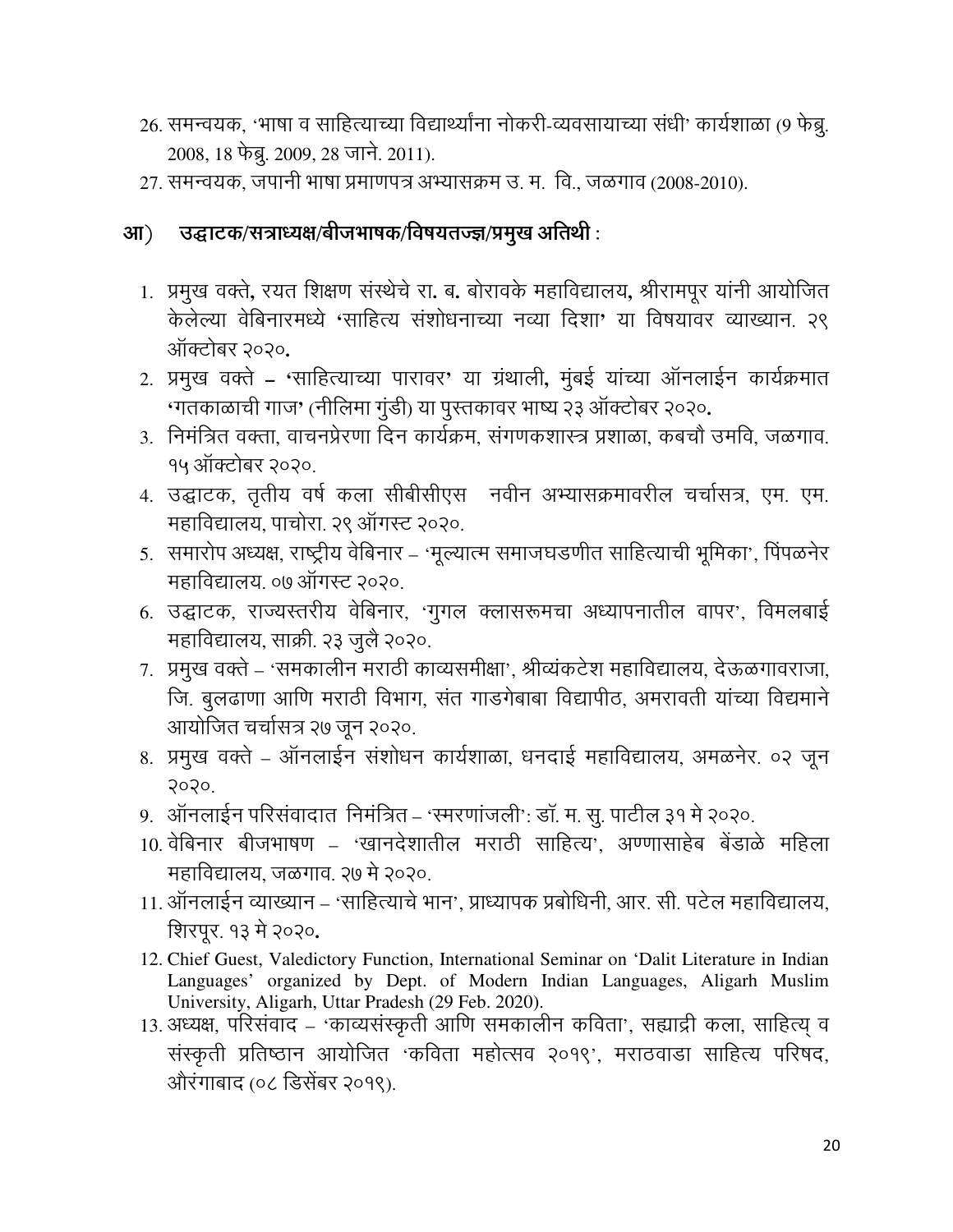- 26. समन्वयक, 'भाषा व साहित्याच्या विद्यार्थ्यांना नोकरी-व्यवसायाच्या संधी' कार्यशाळा (9 फेब्रु. 2008, 18 फेब्रू. 2009, 28 जाने. 2011).
- 27. समन्वयक, जपानी भाषा प्रमाणपत्र अभ्यासक्रम उ. म. वि., जळगाव (2008-2010).

#### उद्घाटक/सत्राध्यक्ष/बीजभाषक/विषयतज्ज्ञ/प्रमुख अतिथी :  $3\mathsf{I}$ )

- 1. प्रमुख वक्ते, रयत शिक्षण संस्थेचे रा. ब. बोरावके महाविद्यालय, श्रीरामपूर यांनी आयोजित केलेल्या वेबिनारमध्ये 'साहित्य संशोधनाच्या नव्या दिशा' या विषयावर व्याख्यान. २९ ऑक्टोबर २०२०.
- 2. प्रमुख वक्ते 'साहित्याच्या पारावर' या ग्रंथाली, मुंबई यांच्या ऑनलाईन कार्यक्रमात 'गतकाळाची गाज' (नीलिमा गुंडी) या पुस्तकावर भाष्य २३ ऑक्टोबर २०२०.
- 3. निमंत्रित वक्ता, वाचनप्रेरणा दिन कार्यक्रम, संगणकशास्त्र प्रशाळा, कबचौ उमवि, जळगाव. १५ ऑक्टोबर २०२०.
- 4. उद्घाटक, तृतीय वर्ष कला सीबीसीएस नवीन अभ्यासक्रमावरील चर्चासत्र, एम. एम. महाविद्यालय. पाचोरा. २९ ऑगस्ट २०२०.
- 5. समारोप अध्यक्ष, राष्ट्रीय वेबिनार 'मूल्यात्म समाजघडणीत साहित्याची भूमिका', पिंपळनेर महाविद्यालय. ०७ ऑगस्ट २०२०.
- 6. उद्घाटक, राज्यस्तरीय वेबिनार, 'गुगल क्लासरूमचा अध्यापनातील वापर', विमलबाई महाविद्यालय, साक्री. २३ जुलै २०२०.
- 7. प्रमुख वक्ते 'समकालीन मराठी काव्यसमीक्षा', श्रीव्यंकटेश महाविद्यालय, देऊळगावराजा, जि. बुलढाणा आणि मराठी विभाग, संत गाडगेबाबा विद्यापीठ, अमरावती यांच्या विद्यमाने आयोजित चर्चासत्र २७ जून २०२०.
- 8. प्रमुख वक्ते ऑनलाईन संशोधन कार्यशाळा, धनदाई महाविद्यालय, अमळनेर. ०२ जून  $3030$
- 9. ऑनलाईन परिसंवादात निमंत्रित 'रमरणांजली': डॉ. म. सू. पाटील ३१ मे २०२०.
- 10. वेबिनार बीजभाषण 'खानदेशातील मराठी साहित्य', अण्णासाहेब बेंडाळे महिला महाविद्यालय, जळगाव. २७ मे २०२०.
- 11. ऑनलाईन व्याख्यान 'साहित्याचे भान', प्राध्यापक प्रबोधिनी, आर. सी. पटेल महाविद्यालय, शिरपूर. १३ मे २०२०.
- 12. Chief Guest, Valedictory Function, International Seminar on 'Dalit Literature in Indian Languages' organized by Dept. of Modern Indian Languages, Aligarh Muslim University, Aligarh, Uttar Pradesh (29 Feb. 2020).
- 13. अध्यक्ष, परिसंवाद 'काव्यसंस्कृती आणि समकालीन कविता', सह्याद्री कला, साहित्य व संस्कृती प्रतिष्ठान आयोजित 'कविता महोत्सव २०१९', मराठवाडा साहित्य परिषद, औरंगाबाद (०८ डिसेंबर २०१९).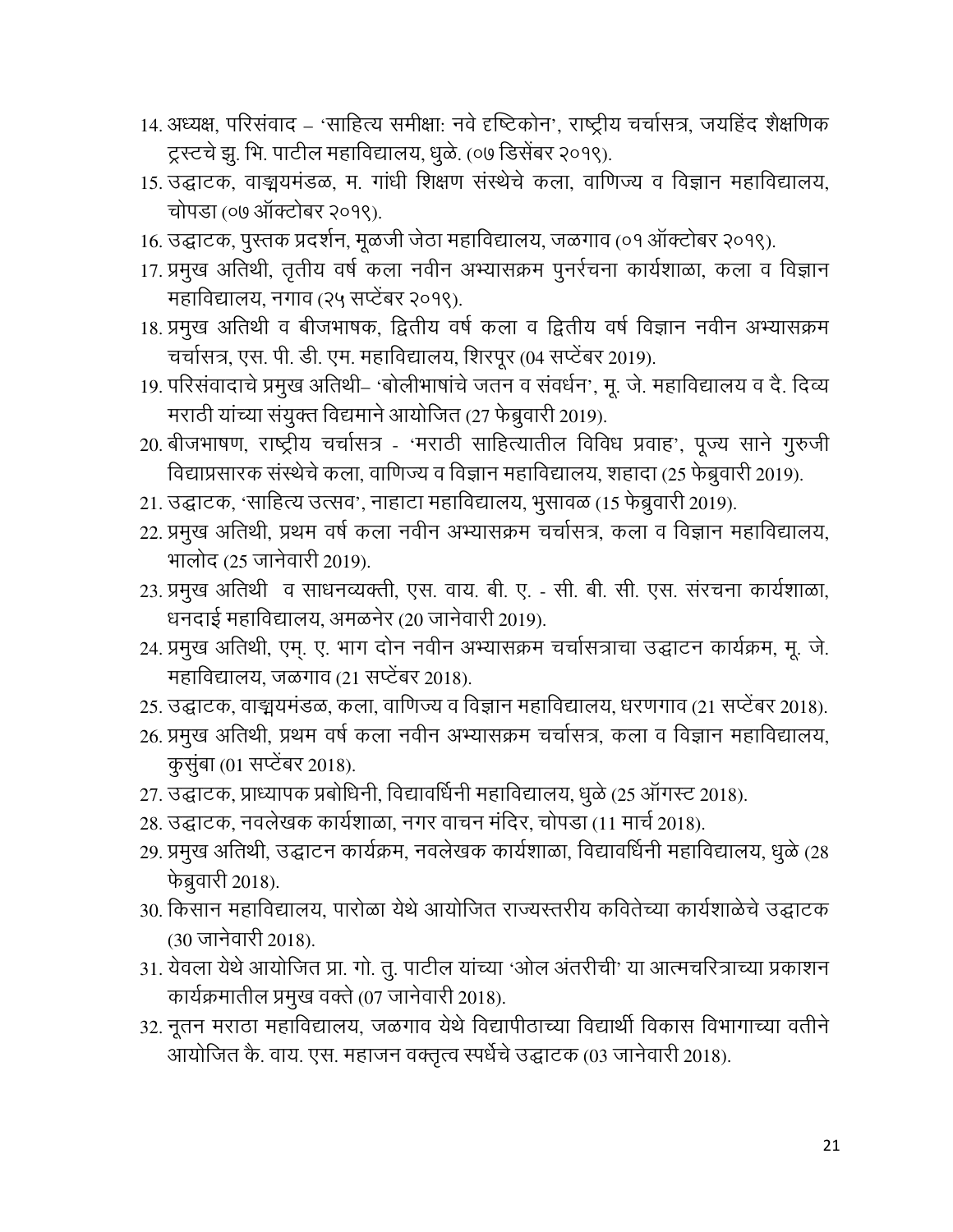- 14. अध्यक्ष, परिसंवाद 'साहित्य समीक्षा: नवे दृष्टिकोन', राष्ट्रीय चर्चासत्र, जयहिंद शैक्षणिक ट्रस्टचे झु. भि. पाटील महाविद्यालय, धुळे. (०७ डिसेंबर २०१९).
- 15. उद्घाटक, वाङ्मयमंडळ, म. गांधी शिक्षण संस्थेचे कला, वाणिज्य व विज्ञान महाविद्यालय, चोपडा (०७ ऑक्टोबर २०१९).
- 16. उद्घाटक, पुस्तक प्रदर्शन, मूळजी जेठा महाविद्यालय, जळगाव (०१ ऑक्टोबर २०१९).
- 17. प्रमुख अतिथी, तृतीय वर्ष कला नवीन अभ्यासक्रम पुनर्रचना कार्यशाळा, कला व विज्ञान महाविद्यालय, नगाव (२५ सप्टेंबर २०१९).
- 18. प्रमुख अतिथी व बीजभाषक, द्वितीय वर्ष कला व द्वितीय वर्ष विज्ञान नवीन अभ्यासक्रम चर्चासत्र, एस. पी. डी. एम. महाविद्यालय, शिरपूर (04 सप्टेंबर 2019).
- 19. परिसंवादाचे प्रमुख अतिथी– 'बोलीभाषांचे जतन व संवर्धन', मू. जे. महाविद्यालय व दै. दिव्य मराठी यांच्या संयुक्त विद्यमाने आयोजित (27 फेब्रुवारी 2019).
- 20. बीजभाषण, राष्ट्रीय चर्चासत्र 'मराठी साहित्यातील विविध प्रवाह', पूज्य साने गुरुजी विद्याप्रसारक संस्थेचे कला, वाणिज्य व विज्ञान महाविद्यालय, शहादा (25 फेब्रुवारी 2019).
- 21. उद्घाटक, 'साहित्य उत्सव', नाहाटा महाविद्यालय, भुसावळ (15 फेब्रुवारी 2019).
- 22. प्रमुख अतिथी, प्रथम वर्ष कला नवीन अभ्यासक्रम चर्चासत्र, कला व विज्ञान महाविद्यालय, भालोद (25 जानेवारी 2019).
- 23. प्रमुख अतिथी व साधनव्यक्ती, एस. वाय. बी. ए. सी. बी. सी. एस. संरचना कार्यशाळा, धनदाई महाविद्यालय, अमळनेर (20 जानेवारी 2019).
- 24. प्रमुख अतिथी, एम्. ए. भाग दोन नवीन अभ्यासक्रम चर्चासत्राचा उद्घाटन कार्यक्रम, मू. जे. महाविद्यालय, जळगाव (21 सप्टेंबर 2018).
- 25. उद्घाटक, वाङ्मयमंडळ, कला, वाणिज्य व विज्ञान महाविद्यालय, धरणगाव (21 सप्टेंबर 2018).
- 26. प्रमुख अतिथी, प्रथम वर्ष कला नवीन अभ्यासक्रम चर्चासत्र, कला व विज्ञान महाविद्यालय, कुसूंबा (01 सप्टेंबर 2018).
- 27. उद्घाटक, प्राध्यापक प्रबोधिनी, विद्यावर्धिनी महाविद्यालय, धुळे (25 ऑगस्ट 2018).
- 28. उद्घाटक, नवलेखक कार्यशाळा, नगर वाचन मंदिर, चोपडा (11 मार्च 2018).
- 29. प्रमुख अतिथी, उद्घाटन कार्यक्रम, नवलेखक कार्यशाळा, विद्यावर्धिनी महाविद्यालय, धूळे (28 फेब्रुवारी 2018).
- 30. किसान महाविद्यालय. पारोळा येथे आयोजित राज्यस्तरीय कवितेच्या कार्यशाळेचे उद्घाटक (30 जानेवारी 2018).
- 31. येवला येथे आयोजित प्रा. गो. तू. पाटील यांच्या 'ओल अंतरीची' या आत्मचरित्राच्या प्रकाशन कार्यक्रमातील प्रमुख वक्ते (07 जानेवारी 2018).
- 32. नूतन मराठा महाविद्यालय, जळगाव येथे विद्यापीठाच्या विद्यार्थी विकास विभागाच्या वतीने आयोजित कै. वाय. एस. महाजन वक्तृत्व स्पर्धेचे उद्घाटक (03 जानेवारी 2018).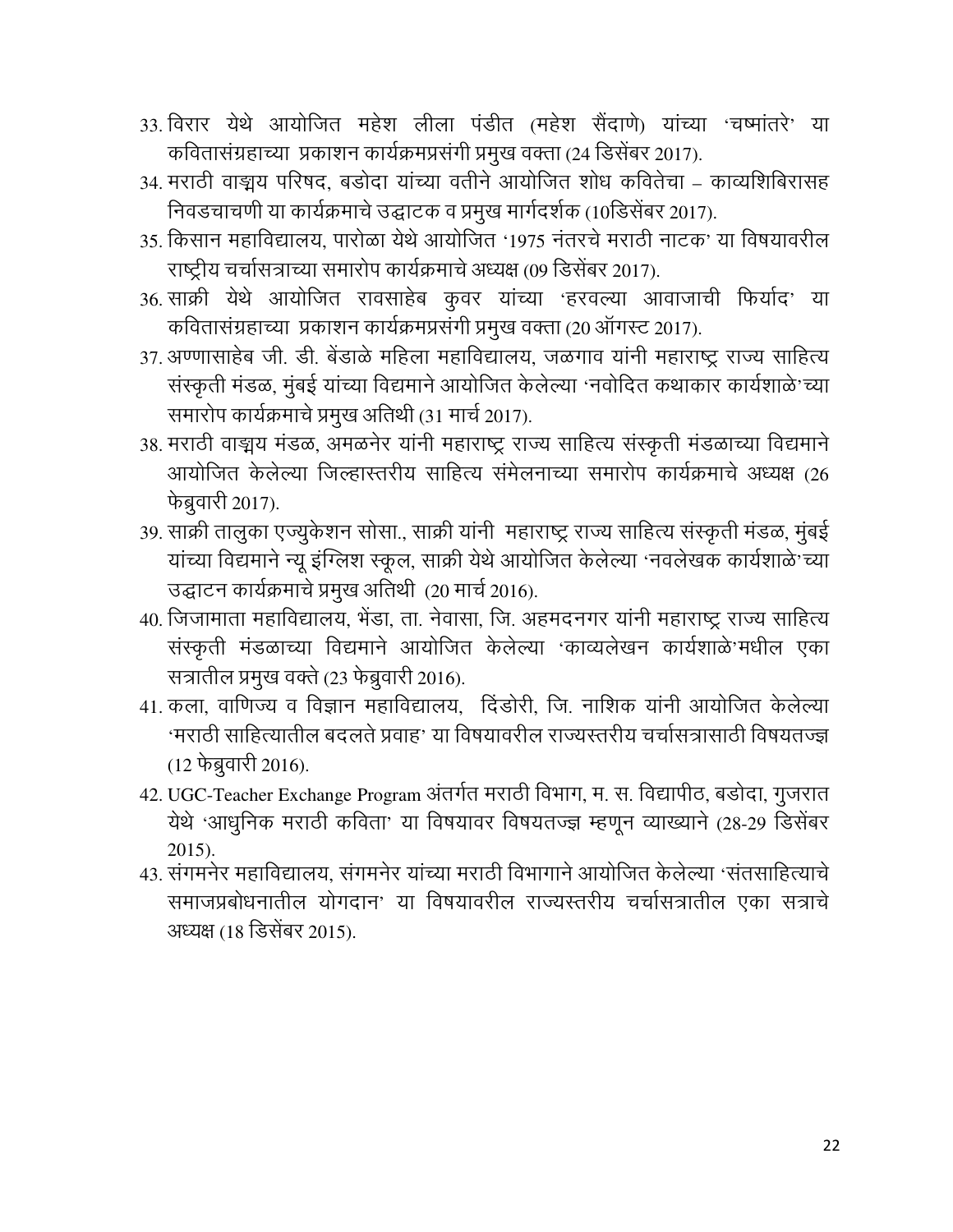- 33. विरार येथे आयोजित महेश लीला पंडीत (महेश सैंदाणे) यांच्या 'चष्मांतरे' या कवितासंग्रहाच्या प्रकाशन कार्यक्रमप्रसंगी प्रमुख वक्ता (24 डिसेंबर 2017).
- 34. मराठी वाङ्मय परिषद, बडोदा यांच्या वतीने आयोजित शोध कवितेचा काव्यशिबिरासह निवडचाचणी या कार्यक्रमाचे उद्घाटक व प्रमुख मार्गदर्शक (10डिसेंबर 2017).
- 35. किसान महाविद्यालय. पारोळा येथे आयोजित '1975 नंतरचे मराठी नाटक' या विषयावरील राष्ट्रीय चर्चासत्राच्या समारोप कार्यक्रमाचे अध्यक्ष (09 डिसेंबर 2017).
- 36. साक्री येथे आयोजित रावसाहेब कुवर यांच्या 'हरवल्या आवाजाची फिर्याद' या कवितासंग्रहाच्या प्रकाशन कार्यक्रमप्रसंगी प्रमुख वक्ता (20 ऑगस्ट 2017).
- 37. अण्णासाहेब जी. डी. बेंडाळे महिला महाविद्यालय, जळगाव यांनी महाराष्ट्र राज्य साहित्य संस्कृती मंडळ, मुंबई यांच्या विद्यमाने आयोजित केलेल्या 'नवोदित कथाकार कार्यशाळे'च्या समारोप कार्यक्रमाचे प्रमुख अतिथी (31 मार्च 2017).
- 38. मराठी वाङ्मय मंडळ, अमळनेर यांनी महाराष्ट्र राज्य साहित्य संस्कृती मंडळाच्या विद्यमाने आयोजित केलेल्या जिल्हास्तरीय साहित्य संमेलनाच्या समारोप कार्यक्रमाचे अध्यक्ष (26 फेब्रुवारी 2017).
- 39. साक्री तालुका एज्युकेशन सोसा., साक्री यांनी महाराष्ट्र राज्य साहित्य संस्कृती मंडळ, मुंबई यांच्या विद्यमाने न्यू इंग्लिश स्कूल, साक्री येथे आयोजित केलेल्या 'नवलेखक कार्यशाळे'च्या उद्घाटन कार्यक्रमाचे प्रमुख अतिथी (20 मार्च 2016).
- 40. जिजामाता महाविद्यालय, भेंडा, ता. नेवासा, जि. अहमदनगर यांनी महाराष्ट्र राज्य साहित्य संस्कृती मंडळाच्या विद्यमाने आयोजित केलेल्या 'काव्यलेखन कार्यशाळे'मधील एका सत्रातील प्रमुख वक्ते (23 फेब्रुवारी 2016).
- 41. कला, वाणिज्य व विज्ञान महाविद्यालय, दिंडोरी, जि. नाशिक यांनी आयोजित केलेल्या 'मराठी साहित्यातील बदलते प्रवाह' या विषयावरील राज्यस्तरीय चर्चासत्रासाठी विषयतज्ज्ञ (12 फेब्रुवारी 2016).
- 42. UGC-Teacher Exchange Program अंतर्गत मराठी विभाग, म. स. विद्यापीठ, बडोदा, गुजरात येथे 'आधुनिक मराठी कविता' या विषयावर विषयतज्ज्ञ म्हणून व्याख्याने (28-29 डिसेंबर  $2015$ ).
- 43. संगमनेर महाविद्यालय, संगमनेर यांच्या मराठी विभागाने आयोजित केलेल्या 'संतसाहित्याचे समाजप्रबोधनातील योगदान' या विषयावरील राज्यस्तरीय चर्चासत्रातील एका सत्राचे अध्यक्ष (18 डिसेंबर 2015).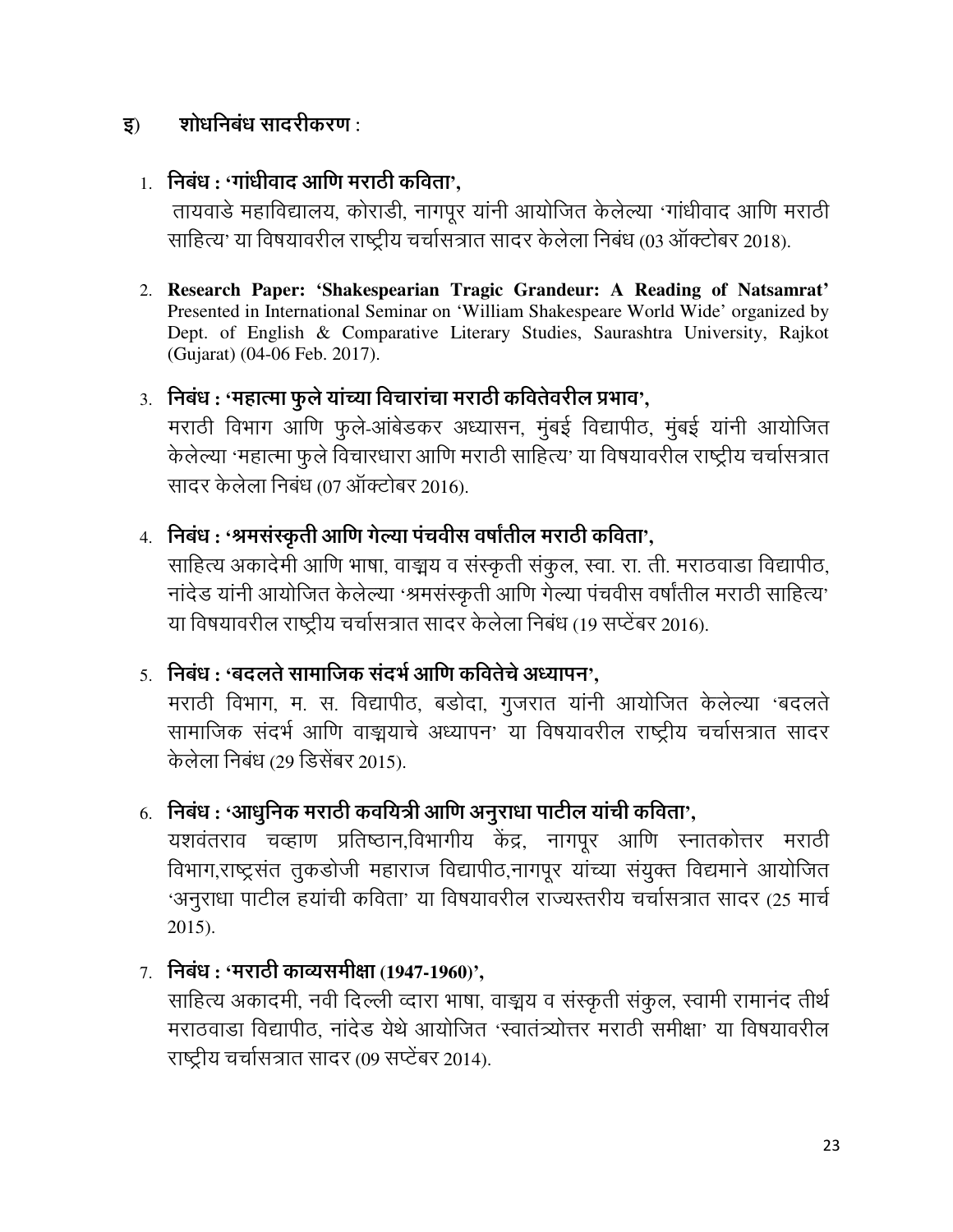#### शोधनिबंध साटरीकरण : इ)

## $1.$  निबंध : 'गांधीवाद आणि मराठी कविता',

तायवाडे महाविद्यालय, कोराडी, नागपूर यांनी आयोजित केलेल्या 'गांधीवाद आणि मराठी साहित्य' या विषयावरील राष्टीय चर्चासत्रात सादर केलेला निबंध (03 ऑक्टोबर 2018).

2. Research Paper: 'Shakespearian Tragic Grandeur: A Reading of Natsamrat' Presented in International Seminar on 'William Shakespeare World Wide' organized by Dept. of English & Comparative Literary Studies, Saurashtra University, Rajkot (Gujarat) (04-06 Feb. 2017).

#### 3. निबंध : 'महात्मा फुले यांच्या विचारांचा मराठी कवितेवरील प्रभाव',

मराठी विभाग आणि फुले-आंबेडकर अध्यासन, मुंबई विद्यापीठ, मुंबई यांनी आयोजित केलेल्या 'महात्मा फुले विचारधारा आणि मराठी साहित्य' या विषयावरील राष्ट्रीय चर्चासत्रात सादर केलेला निबंध (07 ऑक्टोबर 2016).

## 4. निबंध : 'श्रमसंस्कृती आणि गेल्या पंचवीस वर्षांतील मराठी कविता',

साहित्य अकादेमी आणि भाषा, वाङ्मय व संस्कृती संकूल, स्वा. रा. ती. मराठवाडा विद्यापीठ, नांदेड यांनी आयोजित केलेल्या 'श्रमसंस्कृती आणि गेल्या पंचवीस वर्षांतील मराठी साहित्य' या विषयावरील राष्ट्रीय चर्चासत्रात सादर केलेला निबंध (19 सप्टेंबर 2016).

## <u>5. निबंध : 'बदलते सामाजिक संदर्भ आणि कवितेचे अध्यापन',</u>

मराठी विभाग, म. स. विद्यापीठ, बडोदा, गुजरात यांनी आयोजित केलेल्या 'बदलते सामाजिक संदर्भ आणि वाङ्मयाचे अध्यापन' या विषयावरील राष्ट्रीय चर्चासत्रात सादर केलेला निबंध (29 डिसेंबर 2015).

## $6.$  निबंध : 'आधुनिक मराठी कवयित्री आणि अनुराधा पाटील यांची कविता',

यशवंतराव चव्हाण प्रतिष्ठान,विभागीय केंद्र, नागपूर आणि स्नातकोत्तर मराठी विभाग,राष्ट्रसंत तुकडोजी महाराज विद्यापीठ,नागपूर यांच्या संयुक्त विद्यमाने आयोजित 'अनुराधा पाटील हयांची कविता' या विषयावरील राज्यस्तरीय चर्चासत्रात सादर (25 मार्च  $2015$ ).

 $7.$  निबंध: 'मराठी काव्यसमीक्षा (1947-1960)',

साहित्य अकादमी, नवी दिल्ली व्दारा भाषा, वाङ्मय व संस्कृती संकूल, स्वामी रामानंद तीर्थ मराठवाड़ा विद्यापीठ, नांदेड येथे आयोजित 'स्वातंत्र्योत्तर मराठी समीक्षा' या विषयावरील राष्ट्रीय चर्चासत्रात सादर (09 सप्टेंबर 2014).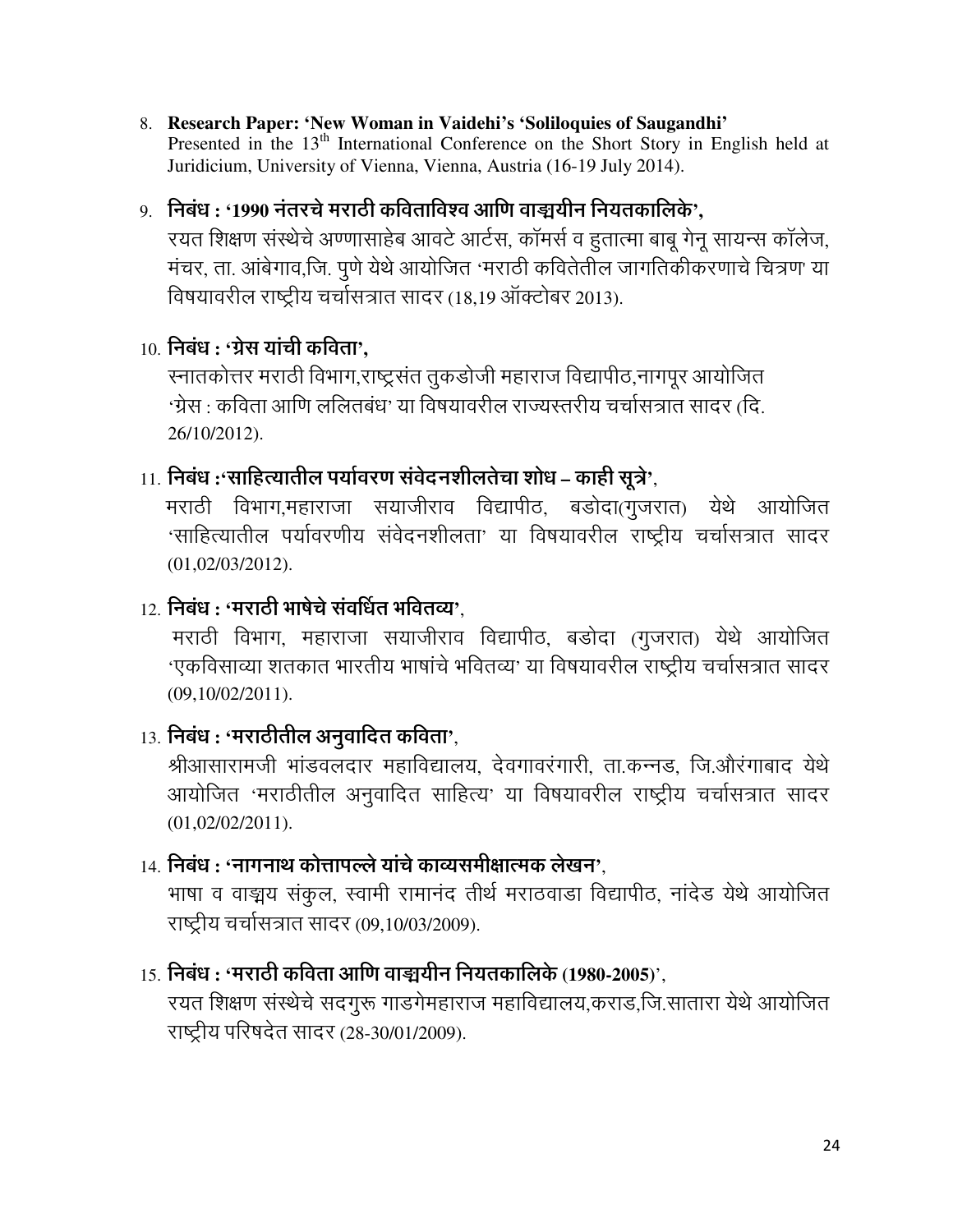8. Research Paper: 'New Woman in Vaidehi's 'Soliloquies of Saugandhi' Presented in the 13<sup>th</sup> International Conference on the Short Story in English held at Juridicium, University of Vienna, Vienna, Austria (16-19 July 2014).

#### 9. निबंध : '1990 नंतरचे मराठी कविताविश्व आणि वाङ्ययीन नियतकालिके'.

रयत शिक्षण संस्थेचे अण्णासाहेब आवटे आर्टस, कॉमर्स व हतात्मा बाबू गेनू सायन्स कॉलेज, मंचर, ता. आंबेगाव,जि. पूणे येथे आयोजित 'मराठी कवितेतील जागतिकीकरणाचे चित्रण' या विषयावरील राष्ट्रीय चर्चासत्रात सादर (18,19 ऑक्टोबर 2013).

#### $10.$  निबंध : 'ग्रेस यांची कविता'.

स्नातकोत्तर मराठी विभाग,राष्ट्रसंत तूकडोजी महाराज विद्यापीठ,नागपूर आयोजित 'ग्रेस : कविता आणि ललितबंध' या विषयावरील राज्यस्तरीय चर्चासत्रात सादर *(*दि. 26/10/2012).

#### $11.$  निबंध :'साहित्यातील पर्यावरण संवेदनशीलतेचा शोध – काही सूत्रे',

मराठी विभाग,महाराजा सयाजीराव विद्यापीठ, बडोदा(गुजरात) येथे आयोजित 'साहित्यातील पर्यावरणीय संवेदनशीलता' या विषयावरील राष्ट्रीय चर्चासत्रात सादर  $(01,02/03/2012).$ 

#### $12.$  निबंध : 'मराठी भाषेचे संवर्धित भवितव्य'.

मराठी विभाग, महाराजा सयाजीराव विद्यापीठ, बडोदा (गुजरात) येथे आयोजित 'एकविसाव्या शतकात भारतीय भाषांचे भवितव्य' या विषयावरील राष्ट्रीय चर्चासत्रात सादर  $(09, 10/02/2011).$ 

## $13.$  निबंध : 'मराठीतील अनुवादित कविता',

श्रीआसारामजी भांडवलदार महाविद्यालय, देवगावरंगारी, ता.कन्नड, जि.औरंगाबाद येथे आयोजित 'मराठीतील अनुवादित साहित्य' या विषयावरील राष्ट्रीय चर्चासत्रात सादर  $(01,02/02/2011).$ 

#### 14. निबंध : 'नागनाथ कोत्तापल्ले यांचे काव्यसमीक्षात्मक लेखन'.

भाषा व वाङ्मय संकुल, स्वामी रामानंद तीर्थ मराठवाडा विद्यापीठ, नांदेड येथे आयोजित राष्ट्रीय चर्चासत्रात सादर (09,10/03/2009).

#### $15.$  निबंध : 'मराठी कविता आणि वाङ्ययीन नियतकालिके (1980-2005)'.

रयत शिक्षण संस्थेचे सदगुरू गाडगेमहाराज महाविद्यालय,कराड,जि.सातारा येथे आयोजित राष्ट्रीय परिषदेत सादर (28-30/01/2009).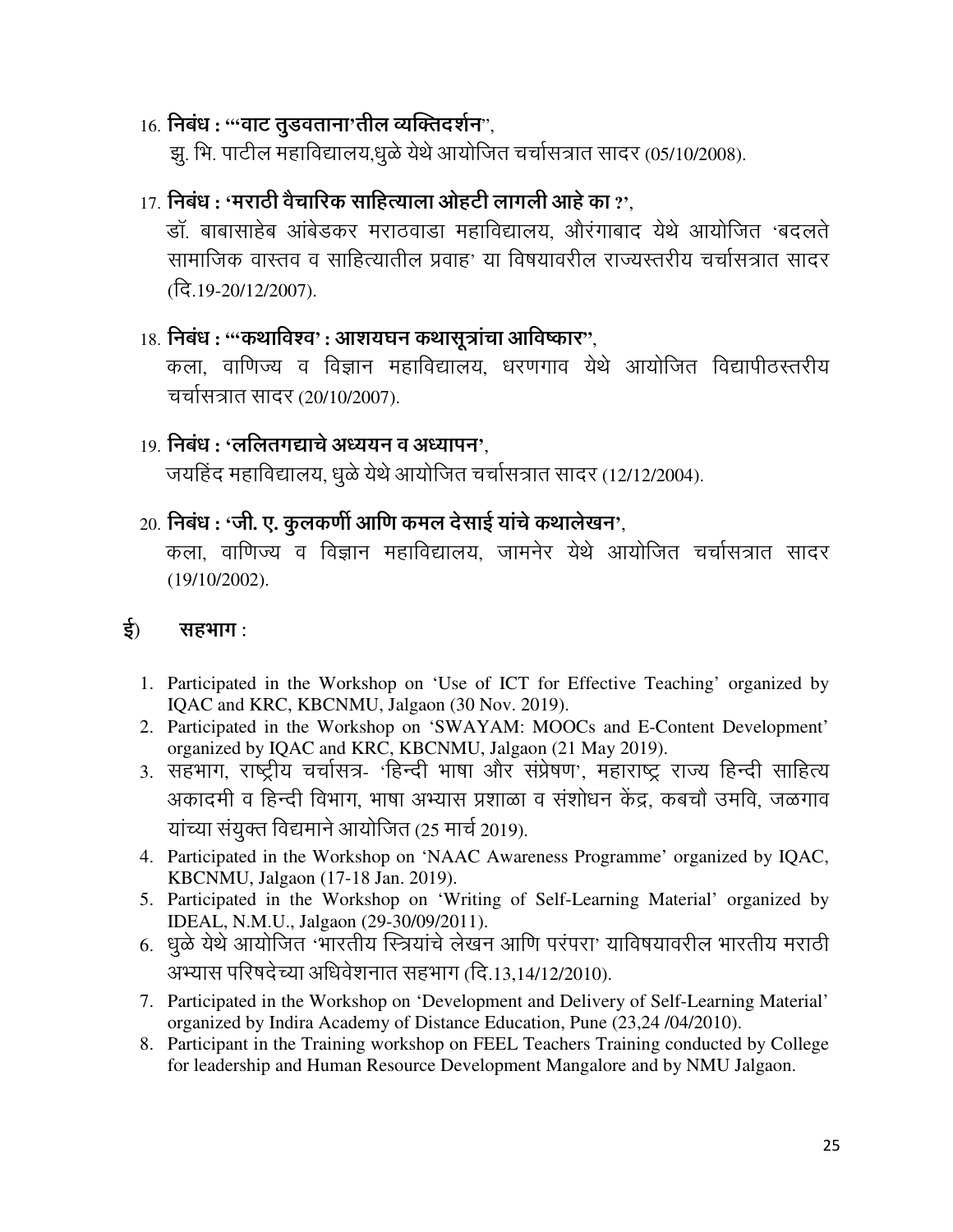#### 16. निबंध : "'वाट तुडवताना'तील व्यक्तिदर्शन",

झू. भि. पाटील महाविद्यालय,धूळे येथे आयोजित चर्चासत्रात सादर (05/10/2008).

#### $17$  निबंध : 'मराठी वैचारिक साहित्याला ओहटी लागली आहे का  $2^{\circ}$

डॉ. बाबासाहेब आंबेडकर मराठवाडा महाविद्यालय. औरंगाबाद येथे आयोजित 'बदलते सामाजिक वास्तव व साहित्यातील प्रवाह' या विषयावरील राज्यस्तरीय चर्चासत्रात सादर (दि.19-20/12/2007).

 $18.$  निबंध : "कथाविश्व' : आशयघन कथासूत्रांचा आविष्कार",

कला. वाणिज्य व विज्ञान महाविद्यालय. धरणगाव येथे आयोजित विद्यापीठस्तरीय चर्चासत्रात सादर (20/10/2007).

#### 19. निबंध : 'ललितगद्याचे अध्ययन व अध्यापन'.

जयहिंद महाविद्यालय, धुळे येथे आयोजित चर्चासत्रात सादर (12/12/2004).

#### $20.$  निबंध : 'जी. ए. कूलकर्णी आणि कमल देसाई यांचे कथालेखन',

कला, वाणिज्य व विज्ञान महाविद्यालय, जामनेर येथे आयोजित चर्चासत्रात सादर  $(19/10/2002)$ .

#### ई) सहभाग:

- 1. Participated in the Workshop on 'Use of ICT for Effective Teaching' organized by IQAC and KRC, KBCNMU, Jalgaon (30 Nov. 2019).
- 2. Participated in the Workshop on 'SWAYAM: MOOCs and E-Content Development' organized by IQAC and KRC, KBCNMU, Jalgaon (21 May 2019).
- 3. सहभाग, राष्ट्रीय चर्चासत्र- 'हिन्दी भाषा और संप्रेषण', महाराष्ट्र राज्य हिन्दी साहित्य अकादमी व हिन्दी विभाग, भाषा अभ्यास प्रशाळा व संशोधन केंद्र, कबचौ उमवि, जळगाव यांच्या संयुक्त विद्यमाने आयोजित (25 मार्च 2019).
- 4. Participated in the Workshop on 'NAAC Awareness Programme' organized by IQAC, KBCNMU, Jalgaon (17-18 Jan. 2019).
- 5. Participated in the Workshop on 'Writing of Self-Learning Material' organized by IDEAL, N.M.U., Jalgaon (29-30/09/2011).
- 6. धुळे येथे आयोजित 'भारतीय स्त्रियांचे लेखन आणि परंपरा' याविषयावरील भारतीय मराठी अभ्यास परिषदेच्या अधिवेशनात सहभाग (दि.13,14/12/2010).
- 7. Participated in the Workshop on 'Development and Delivery of Self-Learning Material' organized by Indira Academy of Distance Education, Pune (23,24 /04/2010).
- 8. Participant in the Training workshop on FEEL Teachers Training conducted by College for leadership and Human Resource Development Mangalore and by NMU Jalgaon.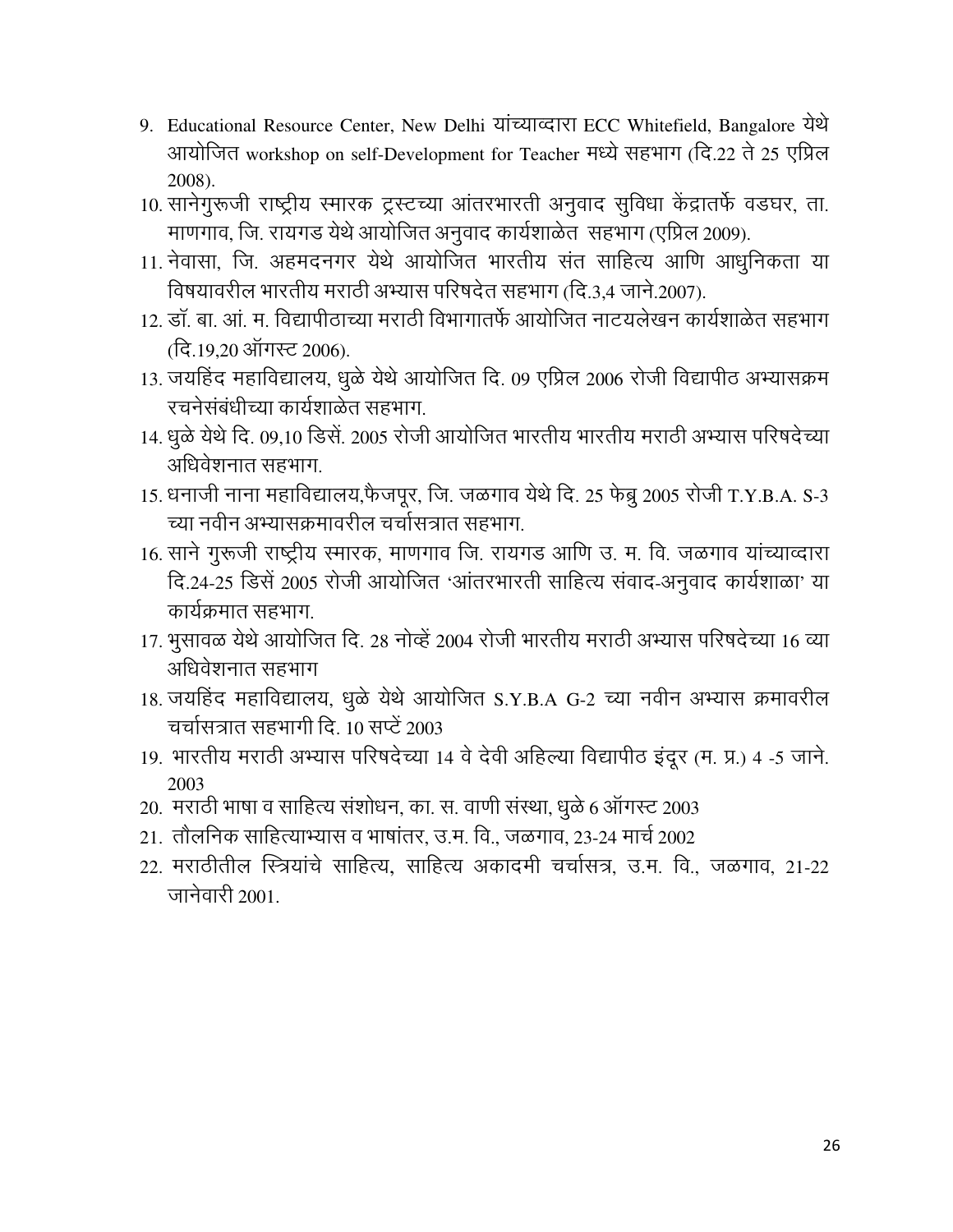- 9. Educational Resource Center, New Delhi यांच्याव्दारा ECC Whitefield, Bangalore येथे आयोजित workshop on self-Development for Teacher मध्ये सहभाग (दि.22 ते 25 एप्रिल 2008).
- 10. सानेगुरूजी राष्ट्रीय स्मारक ट्रस्टच्या आंतरभारती अनुवाद सुविधा केंद्रातर्फे वडघर, ता. माणगाव, जि. रायगड येथे आयोजित अनुवाद कार्यशाळेत सहभाग (एप्रिल 2009).
- 11. नेवासा, जि. अहमदनगर येथे आयोजित भारतीय संत साहित्य आणि आधुनिकता या विषयावरील भारतीय मराठी अभ्यास परिषदेत सहभाग (दि.3.4 जाने.2007).
- 12. डॉ. बा. आं. म. विद्यापीठाच्या मराठी विभागातर्फे आयोजित नाटयलेखन कार्यशाळेत सहभाग (दि.19.20 ऑगस्ट 2006).
- 13. जयहिंद महाविद्यालय, धुळे येथे आयोजित दि. 09 एप्रिल 2006 रोजी विद्यापीठ अभ्यासक्रम रचनेसंबंधीच्या कार्यशाळेत सहभाग.
- 14. धुळे येथे दि. 09,10 डिसें. 2005 रोजी आयोजित भारतीय भारतीय मराठी अभ्यास परिषदेच्या अधिवेशनात सहभाग
- 15. धनाजी नाना महाविद्यालय,फैजपूर, जि. जळगाव येथे दि. 25 फेब्रू 2005 रोजी T.Y.B.A. S-3 च्या नवीन अभ्यासक्रमावरील चर्चासत्रात सहभाग
- 16. साने गुरूजी राष्ट्रीय स्मारक, माणगाव जि. रायगड आणि उ. म. वि. जळगाव यांच्याव्दारा दि.24-25 डिसें 2005 रोजी आयोजित 'आंतरभारती साहित्य संवाद-अनुवाद कार्यशाळा' या कार्यक्रमात सहभाग.
- 17. भूसावळ येथे आयोजित दि. 28 नोव्हें 2004 रोजी भारतीय मराठी अभ्यास परिषदेच्या 16 व्या अधिवेशनात सहभाग
- 18. जयहिंद महाविद्यालय, धुळे येथे आयोजित S.Y.B.A G-2 च्या नवीन अभ्यास क्रमावरील चर्चासत्रात सहभागी दि. 10 सप्टें 2003
- 19. भारतीय मराठी अभ्यास परिषदेच्या 14 वे देवी अहिल्या विद्यापीठ इंदूर (म. प्र.) 4 -5 जाने. 2003
- 20. मराठी भाषा व साहित्य संशोधन, का. स. वाणी संस्था, धूळे 6 ऑगस्ट 2003
- 21. तौलनिक साहित्याभ्यास व भाषांतर, उ.म. वि., जळगाव, 23-24 मार्च 2002
- 22. मराठीतील स्त्रियांचे साहित्य. साहित्य अकादमी चर्चासत्र. उ.म. वि.. जळगाव. 21-22 जानेवारी २००१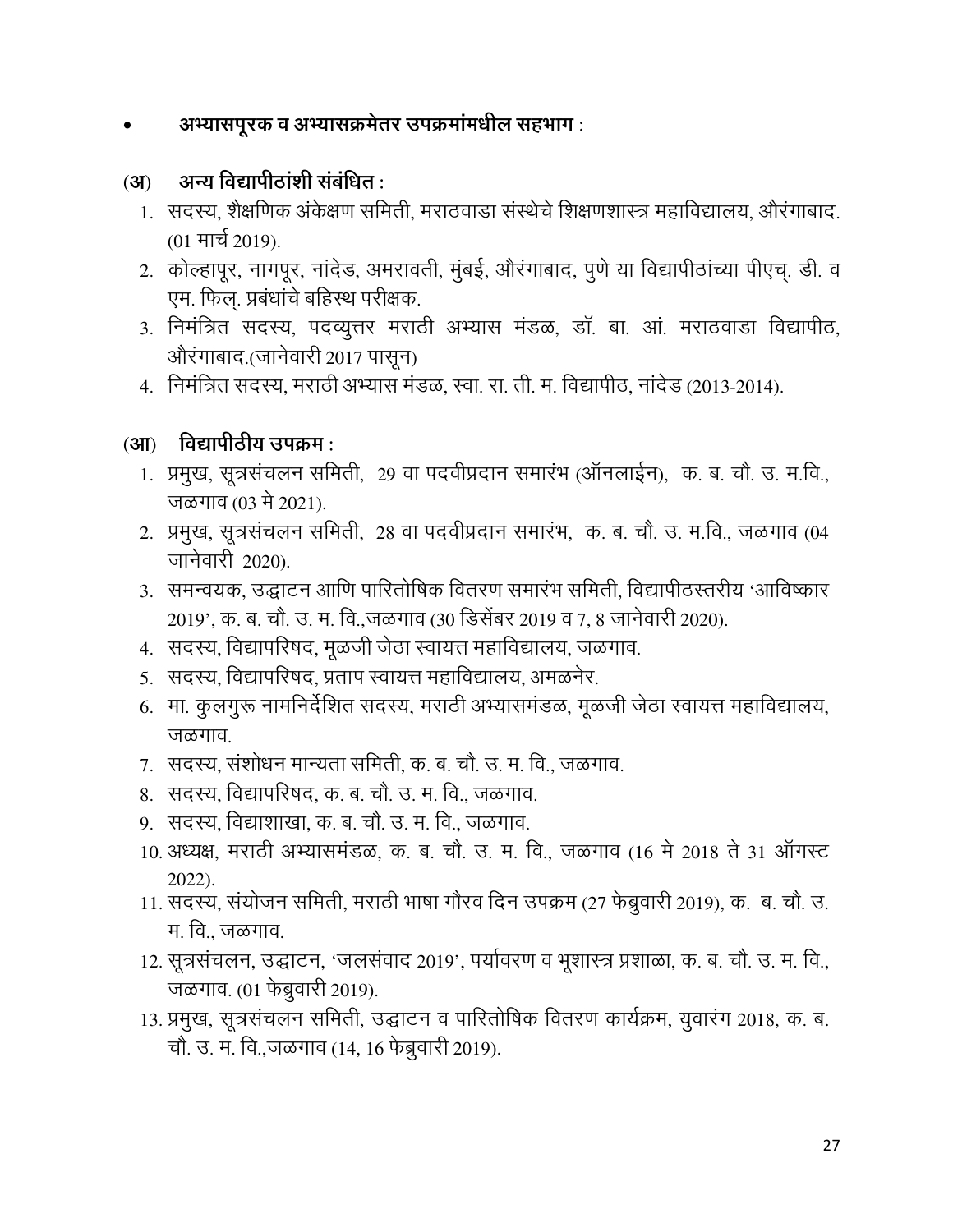# अभ्यासपूरक व अभ्यासक्रमेतर उपक्रमांमधील सहभाग:

#### अन्य विद्यापीठांशी संबंधित :  $(3)$

- 1. सदस्य, शैक्षणिक अंकेक्षण समिती, मराठवाडा संस्थेचे शिक्षणशास्त्र महाविद्यालय, औरंगाबाद. (01 मार्च 2019).
- 2. कोल्हापूर, नागपूर, नांदेड, अमरावती, मुंबई, औरंगाबाद, पुणे या विद्यापीठांच्या पीएच्. डी. व एम. फिल. प्रबंधांचे बहिस्थ परीक्षक.
- 3. निमंत्रित सदस्य, पदव्यूत्तर मराठी अभ्यास मंडळ, डॉ. बा. आं. मराठवाडा विद्यापीठ, औरंगाबाद.(जानेवारी 2017 पासून)
- 4. निमंत्रित सदस्य, मराठी अभ्यास मंडळ, स्वा. रा. ती. म. विद्यापीठ, नांदेड (2013-2014).

#### $(3\mathbf{I})$  विद्यापीठीय उपक्रम:

- 1. प्रमुख, सूत्रसंचलन समिती, 29 वा पदवीप्रदान समारंभ (ऑनलाईन), क. ब. चौ. उ. म.वि., जळगाव (03 मे 2021).
- 2. प्रमुख, सूत्रसंचलन समिती, 28 वा पदवीप्रदान समारंभ, क. ब. चौ. उ. म.वि., जळगाव (04 जानेवारी 2020).
- 3. समन्वयक, उद्घाटन आणि पारितोषिक वितरण समारंभ समिती, विद्यापीठस्तरीय 'आविष्कार 2019', क. ब. चौ. उ. म. वि.,जळगाव (30 डिसेंबर 2019 व 7, 8 जानेवारी 2020).
- 4. सदस्य, विद्यापरिषद, मूळजी जेठा स्वायत्त महाविद्यालय, जळगाव.
- 5. सदस्य, विद्यापरिषद, प्रताप स्वायत्त महाविद्यालय, अमळनेर.
- 6. मा. कुलगुरू नामनिर्देशित सदस्य, मराठी अभ्यासमंडळ, मूळजी जेठा स्वायत्त महाविद्यालय, जळगाव.
- 7. सदस्य, संशोधन मान्यता समिती, क. ब. चौ. उ. म. वि., जळगाव.
- 8. सदस्य, विद्यापरिषद्, क. ब. चौ. उ. म. वि., जळगाव.
- ९. सदस्य. विद्याशाखा. क. ब. चौ. उ. म. वि.. जळगाव.
- 10. अध्यक्ष, मराठी अभ्यासमंडळ, क. ब. चौ. उ. म. वि., जळगाव (16 मे 2018 ते 31 ऑगस्ट  $2022$ ).
- 11. सदस्य, संयोजन समिती, मराठी भाषा गौरव दिन उपक्रम (27 फेब्रुवारी 2019), क. ब. चौ. उ. म. वि., जळगाव.
- 12. सूत्रसंचलन, उद्घाटन, 'जलसंवाद 2019', पर्यावरण व भूशास्त्र प्रशाळा, क. ब. चौ. उ. म. वि., जळगाव. (01 फेब्रुवारी 2019).
- 13. प्रमुख, सूत्रसंचलन समिती, उद्घाटन व पारितोषिक वितरण कार्यक्रम, युवारंग 2018, क. ब. चौ. उ. म. वि.,जळगाव (14, 16 फेब्रुवारी 2019).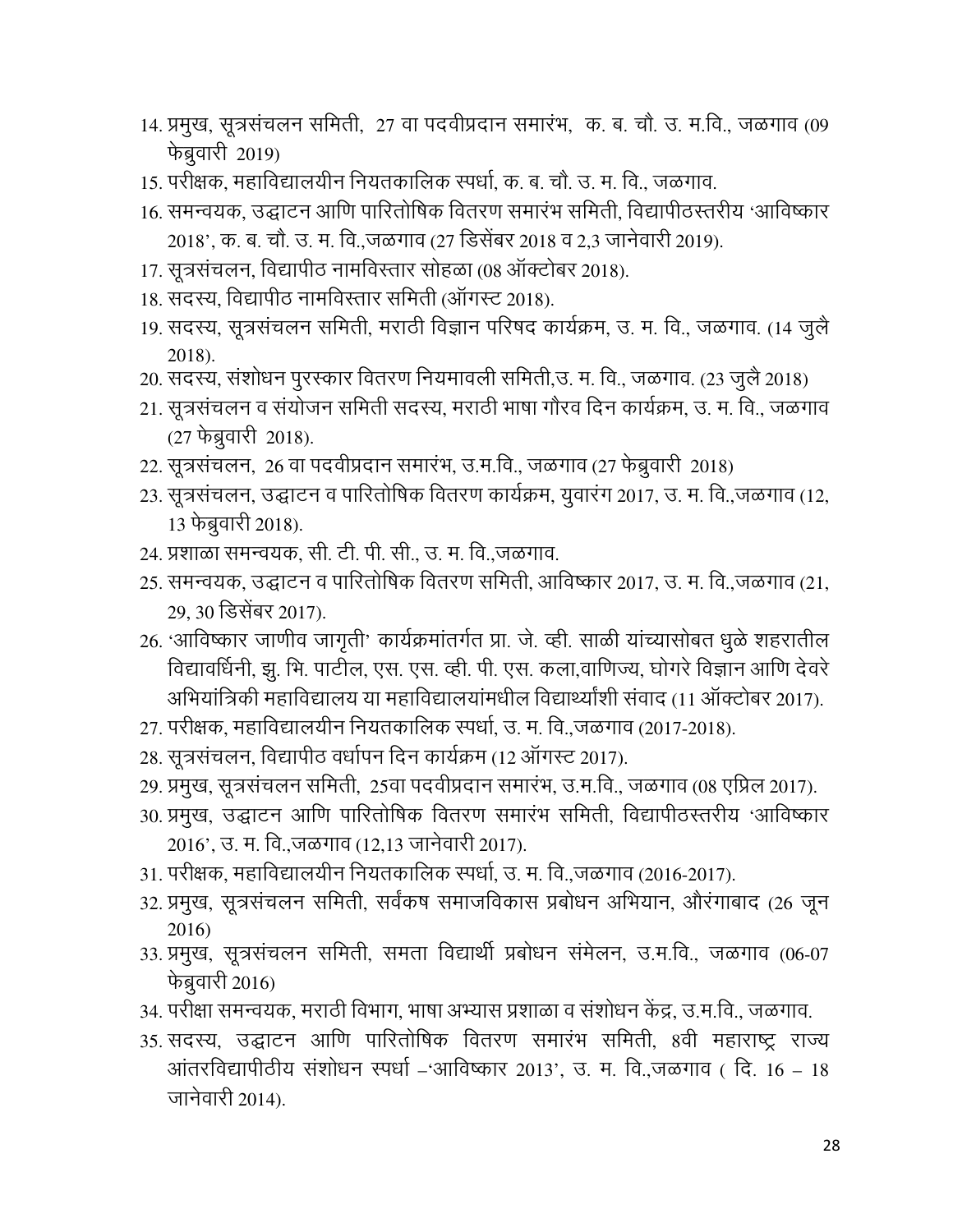- 14. प्रमुख, सूत्रसंचलन समिती, 27 वा पदवीप्रदान समारंभ, क. ब. चौ. उ. म.वि., जळगाव (09 फेब्रुवारी 2019)
- 15. परीक्षक, महाविद्यालयीन नियतकालिक स्पर्धा, क. ब. चौ. उ. म. वि., जळगाव.
- 16. समन्वयक, उद्घाटन आणि पारितोषिक वितरण समारंभ समिती, विद्यापीठस्तरीय 'आविष्कार 2018', क. ब. चौ. उ. म. वि.,जळगाव (27 डिसेंबर 2018 व 2.3 जानेवारी 2019).
- 17. सूत्रसंचलन, विद्यापीठ नामविस्तार सोहळा (08 ऑक्टोबर 2018).
- 18. सदस्य, विद्यापीठ नामविस्तार समिती (ऑगस्ट 2018).
- 19. सदस्य, सूत्रसंचलन समिती, मराठी विज्ञान परिषद कार्यक्रम, उ. म. वि., जळगाव. (14 जुलै 2018).
- 20. सदस्य, संशोधन पुरस्कार वितरण नियमावली समिती,उ. म. वि., जळगाव. (23 जुलै 2018)
- 21. सूत्रसंचलन व संयोजन समिती सदस्य, मराठी भाषा गौरव दिन कार्यक्रम, उ. म. वि., जळगाव  $(27 \text{ }\hat{5}$ ब्रुवारी 2018).
- 22. सूत्रसंचलन, 26 वा पदवीप्रदान समारंभ, उ.म.वि., जळगाव (27 फेब्रुवारी 2018)
- 23. सूत्रसंचलन, उद्घाटन व पारितोषिक वितरण कार्यक्रम, यूवारंग 2017, उ. म. वि.,जळगाव (12, 13 फेब्रुवारी 2018).
- 24. प्रशाळा समन्वयक, सी. टी. पी. सी., उ. म. वि.,जळगाव.
- 25. समन्वयक, उद्घाटन व पारितोषिक वितरण समिती, आविष्कार 2017, उ. म. वि.,जळगाव (21, 29, 30 डिसेंबर 2017).
- 26. 'आविष्कार जाणीव जागृती' कार्यक्रमांतर्गत प्रा. जे. व्ही. साळी यांच्यासोबत धूळे शहरातील विद्यावधिनी, झु. भि. पार्टील, एस. एस. व्ही. पी. एस. कला,वाणिज्य, घोगरे विज्ञान आणि देवरे | अभियांत्रिकी महाविद्यालय या महाविद्यालयांमधील विद्यार्थ्यांशी संवाद (11 ऑक्टोबर 2017).
- 27. परीक्षक, महाविद्यालयीन नियतकालिक स्पर्धा, उ. म. वि.,जळगाव (2017-2018).
- 28. सूत्रसंचलन, विद्यापीठ वर्धापन दिन कार्यक्रम (12 ऑगस्ट 2017).
- 29. प्रमुख, सूत्रसंचलन समिती, 25वा पदवीप्रदान समारभ, उ.म.वि., जळगाव (08 एप्रिल 2017).
- 30. प्रमुख, उद्घाटन आणि पारितोषिक वितरण समारंभ समिती, विद्यापीठस्तरीय 'आविष्कार 2016', उ. म. वि.,जळगाव (12,13 जानेवारी 2017).
- 31. परीक्षक, महाविद्यालयीन नियतकालिक स्पर्धा, उ. म. वि.,जळगाव (2016-2017).
- 32. प्रमुख, सूत्रसंचलन समिती, सर्वंकष समाजविकास प्रबोधन अभियान, औरंगाबाद (26 जून 2016)
- 33. प्रमुख, सूत्रसंचलन समिती, समता विद्यार्थी प्रबोधन संमेलन, उ.म.वि., जळगाव (06-07 फेब्रुवारी 2016)
- 34. परीक्षा समन्वयक, मराठी विभाग, भाषा अभ्यास प्रशाळा व संशोधन केंद्र, उ.म.वि., जळगाव.
- 35. सदस्य, उद्घाटन आणि पारितोषिक वितरण समारंभ समिती, 8वी महाराष्ट्र राज्य आंतरविद्यापीठीय संशोधन स्पर्धा –'आविष्कार 2013', उ. म. वि.,जळगाव ( दि. 16 – 18 जानेवारी 2014).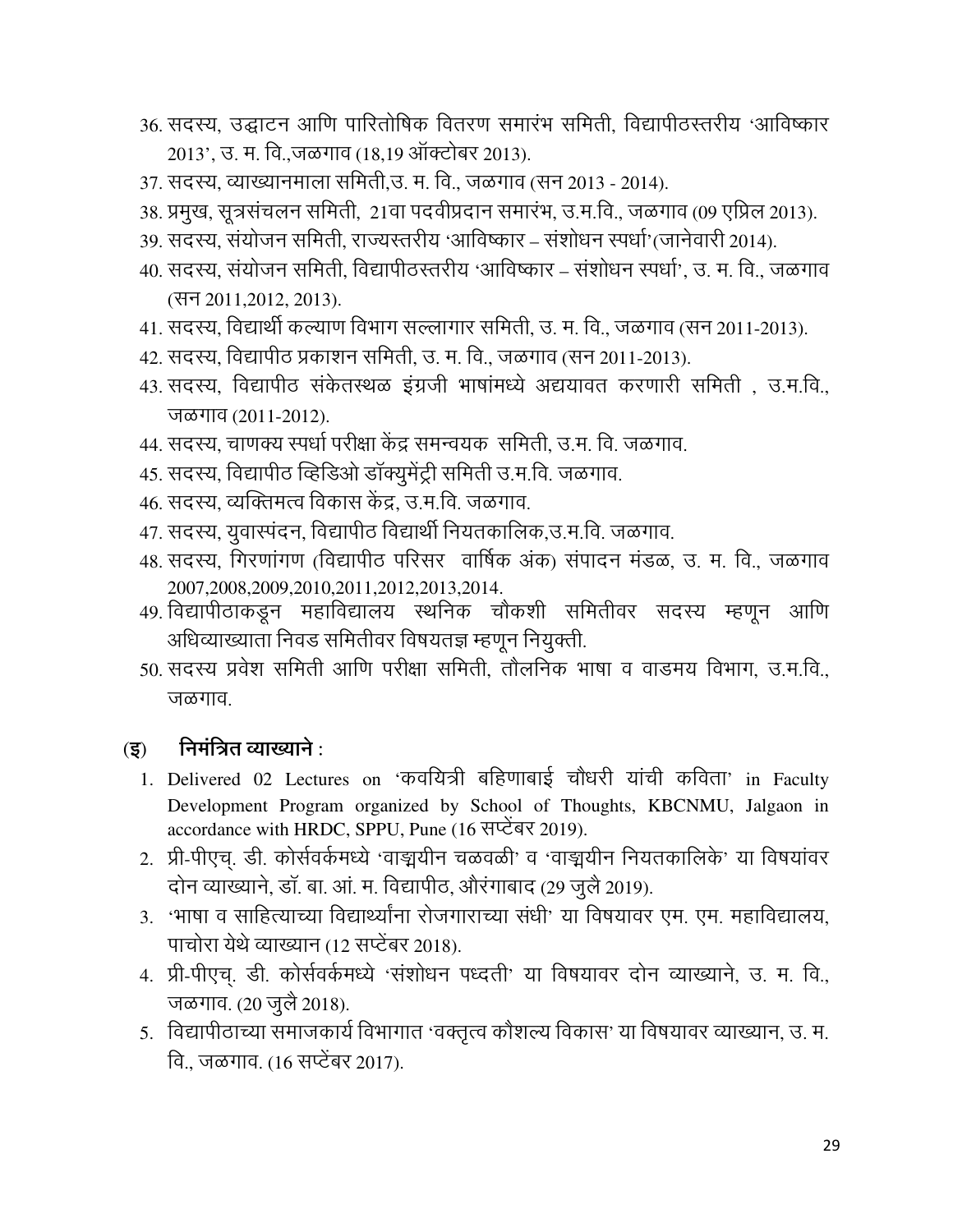- 36. सदस्य, उद्घाटन आणि पारितोषिक वितरण समारंभ समिती, विद्यापीठस्तरीय 'आविष्कार 2013', उ. म. वि.,जळगाव (18,19 ऑक्टोबर 2013).
- 37. सदस्य, व्याख्यानमाला समिती,उ. म. वि., जळगाव (सन 2013 2014).
- 38. प्रमुख, सूत्रसंचलन समिती, 21वा पदवीप्रदान समारंभ, उ.म.वि., जळगाव (09 एप्रिल 2013).
- 39. सदस्य, संयोजन समिती, राज्यस्तरीय 'आविष्कार संशोधन स्पर्धा'(जानेवारी 2014).
- 40. सदस्य. संयोजन समिती. विद्यापीठस्तरीय 'आविष्कार संशोधन स्पर्धा'. उ. म. वि.. जळगाव (सन 2011,2012, 2013).
- 41. सदस्य, विद्यार्थी कल्याण विभाग सल्लागार समिती, उ. म. वि., जळगाव (सन 2011-2013).
- 42. सदस्य, विद्यापीठ प्रकाशन समिती, उ. म. वि., जळगाव (सन 2011-2013).
- 43. सदस्य, विद्यापीठ संकेतस्थळ इंग्रजी भाषांमध्ये अद्ययावत करणारी समिती, उ.म.वि., जळगाव (2011-2012).
- 44. सदस्य, चाणक्य स्पर्धा परीक्षा केंद्र समन्वयक) समिती, उ.म. वि. जळगाव.
- 45. सदस्य, विद्यापीठ व्हिडिओ डॉक्युमेंट्री समिती उ.म.वि. जळगाव.
- 46. सदस्य, व्यक्तिमत्व विकास केंद्र, उ.म.वि. जळगाव.
- 47. सदस्य, युवास्पंदन, विद्यापीठ विद्यार्थी नियतकालिक,उ.म.वि. जळगाव.
- 48. सदस्य, गिरणांगण (विद्यापीठ परिसर) वार्षिक अंक) संपादन मंडळ, उ. म. वि., जळगाव 2007, 2008, 2009, 2010, 2011, 2012, 2013, 2014.
- 49. विद्यापीठाकडून महाविद्यालय स्थनिक चौकशी समितीवर सदस्य म्हणून आणि अधिव्याख्याता निवड समितीवर विषयतज्ञ म्हणून नियुक्ती.
- 50. सदस्य प्रवेश समिती आणि परीक्षा समिती, तौलनिक भाषा व वाडमय विभाग. उ.म.वि.. जळगाव

#### निमंत्रित व्याख्याने $\cdot$  $(3)$

- 1. Delivered 02 Lectures on 'कवयित्री बहिणाबाई चौधरी यांची कविता' in Faculty Development Program organized by School of Thoughts, KBCNMU, Jalgaon in accordance with HRDC, SPPU, Pune (16 सप्टेंबर 2019).
- 2. प्री-पीएच. डी. कोर्सवर्कमध्ये 'वाङ्मयीन चळवळी' व 'वाङ्मयीन नियतकालिके' या विषयांवर दोन व्याख्याने, डॉ. बा. आं. म. विद्यापीठ, औरंगाबाद (29 जुलै 2019).
- 3. 'भाषा व साहित्याच्या विद्यार्थ्यांना रोजगाराच्या संधी' या विषयावर एम. एम. महाविद्यालय, पाचोरा येथे व्याख्यान (12 सप्टेंबर 2018).
- 4. प्री-पीएच्. डी. कोर्सवर्कमध्ये 'संशोधन पध्दती' या विषयावर दोन व्याख्याने, उ. म. वि., जळगाव. (20 जुलै 2018).
- 5. विद्यापीठाच्या समाजकार्य विभागात 'वक्तृत्व कौशल्य विकास' या विषयावर व्याख्यान, उ. म. वि.. जळगाव. (16 सप्टेंबर 2017).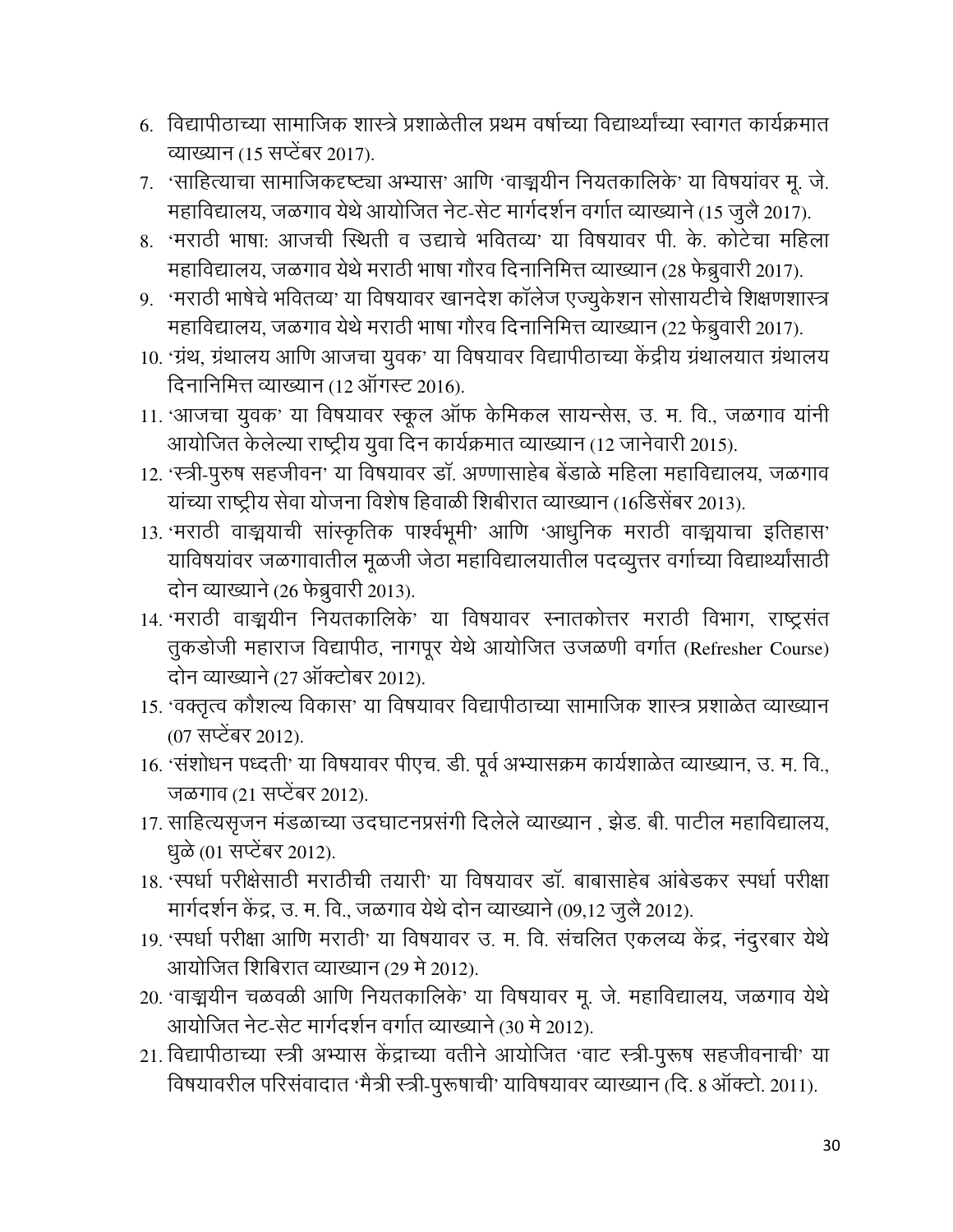- 6. विद्यापीठाच्या सामाजिक शास्त्रे प्रशाळेतील प्रथम वर्षाच्या विद्यार्थ्यांच्या स्वागत कार्यक्रमात व्याख्यान (15 सप्टेंबर 2017).
- 7. 'साहित्याचा सामाजिकदृष्ट्या अभ्यास' आणि 'वाङ्मयीन नियतकालिके' या विषयांवर मू. जे. महाविद्यालय, जळगाव येथे आयोजित नेट-सेट मार्गदर्शन वर्गात व्याख्याने (15 जुलै 2017).
- 8. 'मराठी भाषा: आजची स्थिती व उद्याचे भवितव्य' या विषयावर पी. के. कोटेचा महिला महाविद्यालय, जळगाव येथे मराठी भाषा गौरव दिनानिमित्त व्याख्यान (28 फेब्रुवारी 2017).
- 9. 'मराठी भाषेचे भवितव्य' या विषयावर खानदेश कॉलेज एज्युकेशन सोसायटीचे शिक्षणशास्त्र महाविद्यालय, जळगाव येथे मराठी भाषा गौरव दिनानिमित्त व्याख्यान (22 फेब्रुवारी 2017).
- 10. 'ग्रंथ, ग्रंथालय आणि आजचा युवक' या विषयावर विद्यापीठाच्या केंद्रीय ग्रंथालयात ग्रंथालय दिनानिमित्त व्याख्यान (12 ऑगस्ट 2016).
- 11. 'आजचा युवक' या विषयावर स्कूल ऑफ केमिकल सायन्सेस, उ. म. वि., जळगाव यांनी आयोजित केलेल्या राष्ट्रीय युवा दिन कार्यक्रमात व्याख्यान (12 जानेवारी 2015).
- 12. 'स्त्री-पूरुष सहजीवन' या विषयावर डॉ. अण्णासाहेब बेंडाळे महिला महाविद्यालय, जळगाव यांच्या राष्ट्रीय सेवा योजना विशेष हिवाळी शिबीरात व्याख्यान (16डिसेंबर 2013).
- 13. 'मराठी वाङ्मयाची सांस्कृतिक पार्श्वभूमी' आणि 'आधुनिक मराठी वाङ्मयाचा इतिहास' याविषयांवर जळगावातील मूळजी जेठा महाविद्यालयातील पदव्युत्तर वर्गाच्या विद्यार्थ्यांसाठी दोन व्याख्याने (26 फेब्रुवारी 2013).
- 14. 'मराठी वाङ्मयीन नियतकालिके' या विषयावर स्नातकोत्तर मराठी विभाग, राष्ट्रसंत तुकडोजी महाराज विद्यापीठ, नागपूर येथे आयोजित उजळणी वर्गात (Refresher Course) दोन व्याख्याने (27 ऑक्टोबर 2012).
- 15. 'वक्तृत्व कौशल्य विकास' या विषयावर विद्यापीठाच्या सामाजिक शास्त्र प्रशाळेत व्याख्यान (07 सप्टेंबर 2012).
- 16. 'संशोधन पध्दती' या विषयावर पीएच. डी. पूर्व अभ्यासक्रम कार्यशाळेत व्याख्यान, उ. म. वि., जळगाव (21 सप्टेंबर 2012).
- 17. साहित्यसृजन मंडळाच्या उदघाटनप्रसंगी दिलेले व्याख्यान, झेड. बी. पाटील महाविद्यालय, धूळे (01 सप्टेंबर 2012).
- 18. 'स्पर्धा परीक्षेसाठी मराठीची तयारी' या विषयावर डॉ. बाबासाहेब आंबेडकर स्पर्धा परीक्षा मार्गदर्शन केंद्र, उ. म. वि., जळगाव येथे दोन व्याख्याने (09,12 जुलै 2012).
- 19. 'स्पर्धा परीक्षा आणि मराठी' या विषयावर उ. म. वि. संचलित एकलव्य केंद्र, नंदूरबार येथे आयोजित शिबिरात व्याख्यान (29 मे 2012).
- 20. 'वाङ्मयीन चळवळी आणि नियतकालिके' या विषयावर मू. जे. महाविद्यालय, जळगाव येथे आयोजित नेट-सेट मार्गदर्शन वर्गात व्याख्याने (30 मे 2012).
- 21. विद्यापीठाच्या स्त्री अभ्यास केंद्राच्या वतीने आयोजित 'वाट स्त्री-पुरूष सहजीवनाची' या विषयावरील परिसंवादात 'मैत्री स्त्री-पुरूषाची' याविषयावर व्याख्यान (दि. 8 ऑक्टो. 2011).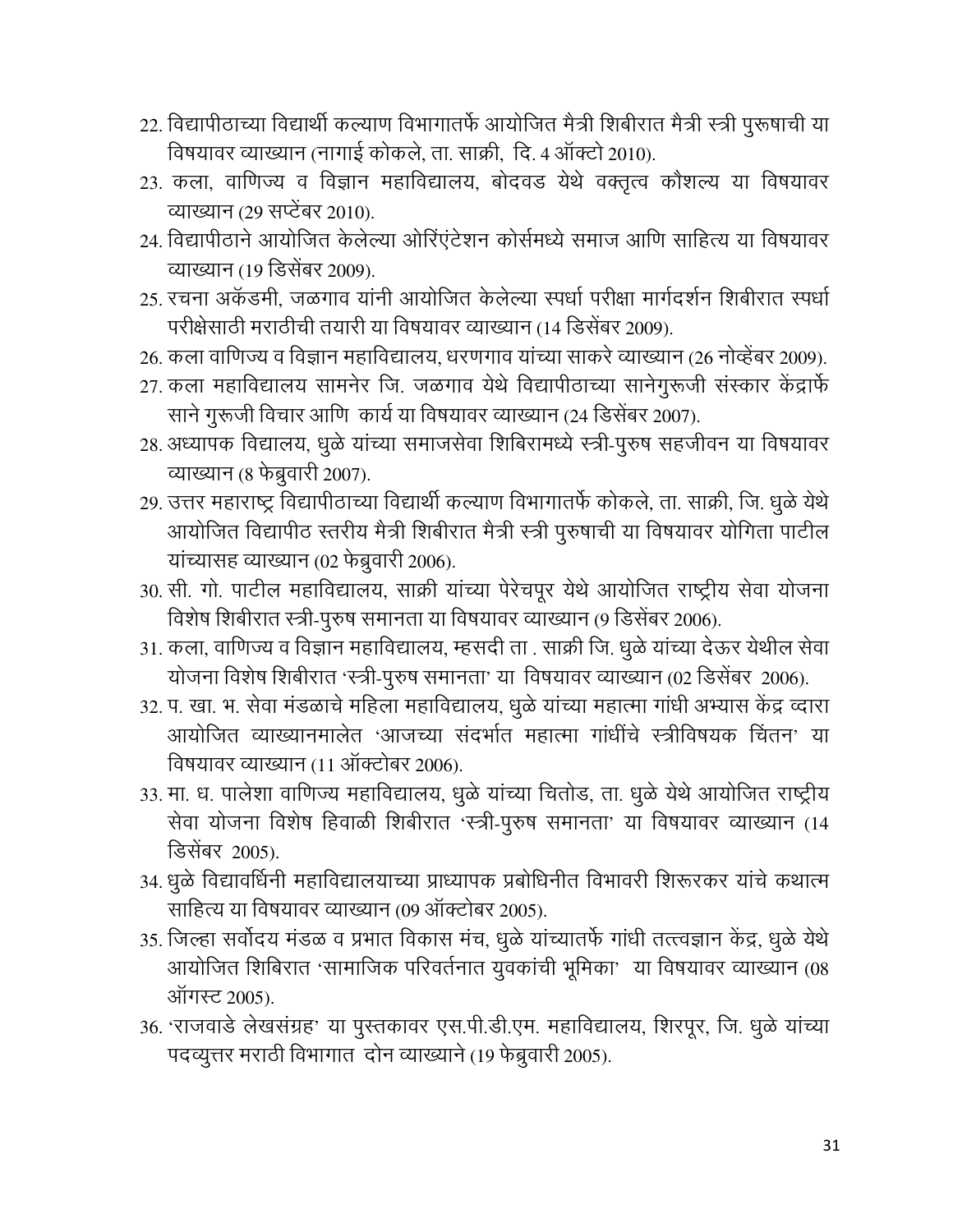- 22. विद्यापीठाच्या विद्यार्थी कल्याण विभागातर्फे आयोजित मैत्री शिबीरात मैत्री स्त्री पुरूषाची या विषयावर व्याख्यान (नागाई कोकले, ता. साक्री, दि. 4 ऑक्टो 2010).
- 23. कला, वाणिज्य व विज्ञान महाविद्यालय, बोदवड येथे वक्तृत्व कौशल्य या विषयावर व्याख्यान (29 सप्टेंबर 2010).
- 24. विद्यापीठाने आयोजित केलेल्या ओरिंएंटेशन कोर्समध्ये समाज आणि साहित्य या विषयावर व्याख्यान (19 डिसेंबर 2009).
- 25. रचना अकॅडमी, जळगाव यांनी आयोजित केलेल्या स्पर्धा परीक्षा मार्गदर्शन शिबीरात स्पर्धा परीक्षेसाठी मराठीची तयारी या विषयावर व्याख्यान (14 डिसेंबर 2009).
- 26. कला वाणिज्य व विज्ञान महाविद्यालय, धरणगाव यांच्या साकरे व्याख्यान (26 नोव्हेंबर 2009).
- 27. कला महाविद्यालय सामनेर जि. जळगाव येथे विद्यापीठाच्या सानेगुरूजी संस्कार केंद्रार्फे साने गुरूजी विचार आणि कार्य या विषयावर व्याख्यान (24 डिसेंबर 2007).
- 28. अध्यापक विद्यालय, धूळे यांच्या समाजसेवा शिबिरामध्ये स्त्री-पुरुष सहजीवन या विषयावर व्याख्यान (8 फेब्रुवारी 2007).
- 29. उत्तर महाराष्ट्र विद्यापीठाच्या विद्यार्थी कल्याण विभागातर्फे कोकले, ता. साक्री, जि. धुळे येथे आयोजित विद्यापीठ स्तरीय मैत्री शिबीरात मैत्री स्त्री पुरुषाची या विषयावर योगिता पाटील यांच्यासह व्याख्यान (02 फेब्रुवारी 2006).
- 30. सी. गो. पाटील महाविद्यालय, साक्री यांच्या पेरेचपूर येथे आयोजित राष्ट्रीय सेवा योजना विशेष शिबीरात स्त्री-पुरुष समानता या विषयावर व्याख्यान (9 डिसेंबर 2006).
- 31. कला, वाणिज्य व विज्ञान महाविद्यालय, म्हसदी ता . साक्री जि. धुळे यांच्या देऊर येथील सेवा योजना विशेष शिबीरात 'स्त्री-पुरुष समानता' या विषयावर व्याख्यान (02 डिसेंबर 2006).
- 32. प. खा. भ. सेवा मंडळाचे महिला महाविद्यालय, धुळे यांच्या महात्मा गांधी अभ्यास केंद्र व्दारा आयोजित व्याख्यानमालेत 'आजच्या संदर्भात महात्मा गांधींचे स्त्रीविषयक चिंतन' या विषयावर व्याख्यान (11 ऑक्टोबर 2006).
- 33. मा. ध. पालेशा वाणिज्य महाविद्यालय, धुळे यांच्या चितोड, ता. धुळे येथे आयोजित राष्ट्रीय सेवा योजना विशेष हिवाळी शिबीरात 'स्त्री-पूरुष समानता' या विषयावर व्याख्यान (14 डिसेंबर 2005).
- 34. धूळे विद्यावर्धिनी महाविद्यालयाच्या प्राध्यापक प्रबोधिनीत विभावरी शिरूरकर यांचे कथात्म साहित्य या विषयावर व्याख्यान (09 ऑक्टोबर 2005).
- 35. जिल्हा सर्वोदय मंडळ व प्रभात विकास मंच, धुळे यांच्यातर्फे गांधी तत्त्वज्ञान केंद्र, धुळे येथे आयोजित शिबिरात 'सामाजिक परिवर्तनात युवकांची भूमिका' या विषयावर व्याख्यान (08 ऑगस्ट 2005).
- 36. 'राजवाडे लेखसंग्रह' या पुस्तकावर एस.पी.डी.एम. महाविद्यालय, शिरपूर, जि. धूळे यांच्या पदव्यूत्तर मराठी विभागात दोन व्याख्याने (19 फेब्रुवारी 2005).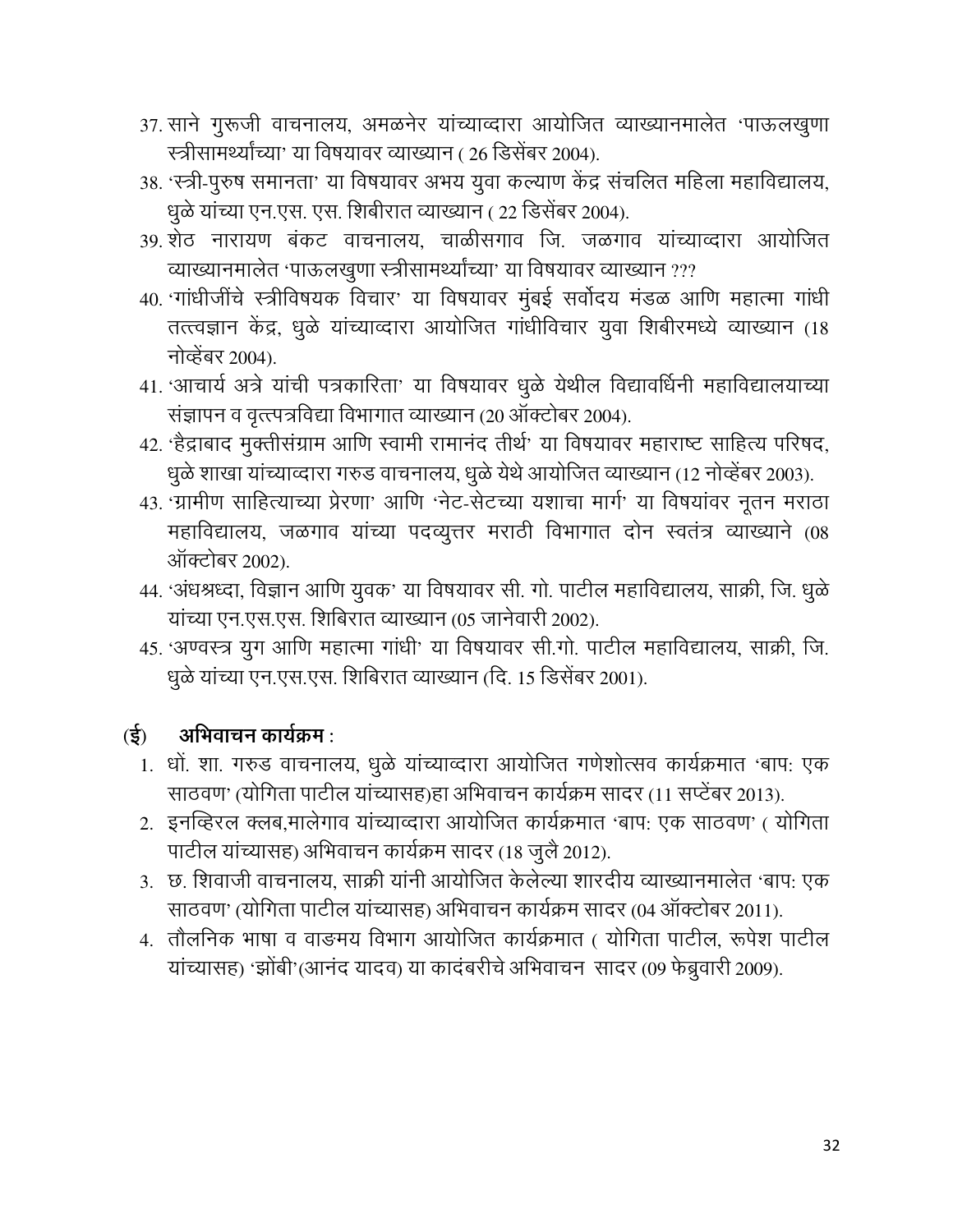- 37. साने गुरूजी वाचनालय, अमळनेर यांच्याव्दारा आयोजित व्याख्यानमालेत 'पाऊलखुणा स्त्रीसामर्थ्यांच्या' या विषयावर व्याख्यान ( 26 डिसेंबर 2004).
- 38. 'स्त्री-पुरुष समानता' या विषयावर अभय युवा कल्याण केंद्र संचलित महिला महाविद्यालय, धुळे यांच्या एन.एस. एस. शिबीरात व्याख्यान (22 डिसेंबर 2004).
- 39. शेठ नारायण बंकट वाचनालय, चाळीसगाव जि. जळगाव यांच्याव्दारा आयोजित व्याख्यानमालेत 'पाऊलखुणा स्त्रीसामर्थ्यांच्या' या विषयावर व्याख्यान ???
- 40. 'गांधीजींचे स्त्रीविषयक विचार' या विषयावर मुंबई सर्वोदय मंडळ आणि महात्मा गांधी तत्त्वज्ञान केंद्र, धुळे यांच्याव्दारा आयोजित गांधीविचार युवा शिबीरमध्ये व्याख्यान (18 नोव्हेंबर 2004).
- 41. 'आचार्य अत्रे यांची पत्रकारिता' या विषयावर धुळे येथील विद्यावर्धिनी महाविद्यालयाच्या संज्ञापन व वृत्त्पत्रविद्या विभागात व्याख्यान (20 ऑक्टोबर 2004).
- 42. 'हैद्राबाद मुक्तीसंग्राम आणि स्वामी रामानंद तीर्थ' या विषयावर महाराष्ट साहित्य परिषद, धुळे शाखा यांच्याव्दारा गरुड वाचनालय, धुळे येथे आयोजित व्याख्यान (12 नोव्हेंबर 2003).
- 43. 'ग्रामीण साहित्याच्या प्रेरणा' आणि 'नेट-सेटच्या यशाचा मार्ग' या विषयांवर नूतन मराठा महाविद्यालय, जळगाव यांच्या पदव्युत्तर मराठी विभागात दोन स्वतंत्र व्याख्याने (08 ऑक्टोबर 2002).
- 44. 'अंधश्रध्दा, विज्ञान आणि यूवक' या विषयावर सी. गो. पाटील महाविद्यालय, साक्री, जि. धूळे यांच्या एन.एस.एस. शिबिरात व्याख्यान (05 जानेवारी 2002).
- 45. 'अण्वस्त्र युग आणि महात्मा गांधी' या विषयावर सी.गो. पाटील महाविद्यालय, साक्री, जि. धुळे यांच्या एन.एस.एस. शिबिरात व्याख्यान (दि. 15 डिसेंबर 2001).

#### अभिवाचन कार्यक्रम :  $\mathfrak{F}$

- 1. धों. शा. गरुड वाचनालय, धुळे यांच्याव्दारा आयोजित गणेशोत्सव कार्यक्रमात 'बाप: एक साठवण' (योगिता पाटील यांच्यासह)हा अभिवाचन कार्यक्रम सादर (11 सप्टेंबर 2013).
- 2. इनव्हिरल क्लब,मालेगाव यांच्याव्दारा आयोजित कार्यक्रमात 'बाप: एक साठवण' ( योगिता पाटील यांच्यासह) अभिवाचन कार्यक्रम सादर (18 जुलै 2012).
- 3. छ. शिवाजी वाचनालय, साक्री यांनी आयोजित केलेल्या शारदीय व्याख्यानमालेत 'बाप: एक साठवण' (योगिता पाटील यांच्यासह) अभिवाचन कार्यक्रम सादर (04 ऑक्टोबर 2011).
- 4. तौलनिक भाषा व वाङमय विभाग आयोजित कार्यक्रमात ( योगिता पाटील, रूपेश पाटील यांच्यासह) 'झोंबी'(आनंद यादव) या कादंबरीचे अभिवाचन सादर (09 फेब्रुवारी 2009).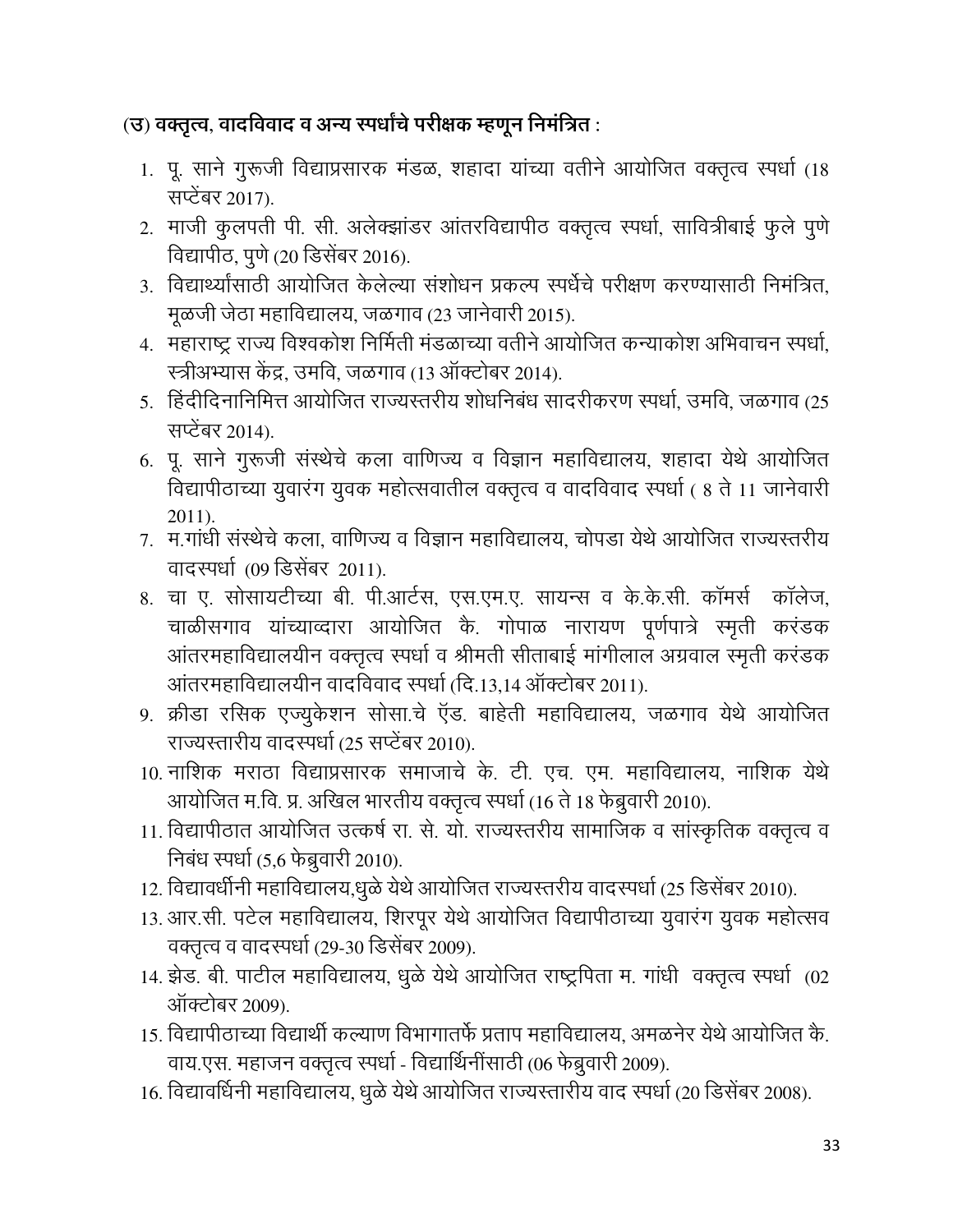## (उ) वक्तृत्व, वादविवाद व अन्य स्पर्धांचे परीक्षक म्हणून निमंत्रित :

- 1. पू. साने गुरूजी विद्याप्रसारक मंडळ, शहादा यांच्या वतीने आयोजित वक्तृत्व स्पर्धा (18 सप्टेंबर 2017).
- 2. माजी कुलपती पी. सी. अलेक्झांडर आंतरविद्यापीठ वक्तृत्व स्पर्धा, सावित्रीबाई फुले पुणे विद्यापीठ, पुणे (20 डिसेंबर 2016).
- 3. विद्यार्थ्यांसाठी आयोजित केलेल्या संशोधन प्रकल्प स्पर्धेचे परीक्षण करण्यासाठी निमंत्रित. मूळजी जेठा महाविद्यालय, जळगाव (23 जानेवारी 2015).
- 4. महाराष्ट्र राज्य विश्वकोश निर्मिती मंडळाच्या वतीने आयोजित कन्याकोश अभिवाचन स्पर्धा, स्त्रीअभ्यास केंद्र, उमवि, जळगाव (13 ऑक्टोबर 2014).
- 5. हिंदीदिनानिमित्त आयोजित राज्यस्तरीय शोधनिबंध सादरीकरण स्पर्धा, उमवि, जळगाव (25 सप्टेंबर 2014).
- 6. पू. साने गुरूजी संस्थेचे कला वाणिज्य व विज्ञान महाविद्यालय, शहादा येथे आयोजित विद्यापीठाच्या युवारंग युवक महोत्सवातील वक्तृत्व व वादविवाद स्पर्धा ( 8 ते 11 जानेवारी  $2011$ ).
- 7. म.गांधी संस्थेचे कला, वाणिज्य व विज्ञान महाविद्यालय, चोपडा येथे आयोजित राज्यस्तरीय वादस्पर्धा (09 डिसेंबर 2011).
- 8. चा ए. सोसायटीच्या बी. पी.आर्टस, एस.एम.ए. सायन्स व के.के.सी. कॉमर्स कॉलेज, चाळीसगाव यांच्याव्दारा आयोजित कै. गोपाळ नारायण पूर्णपात्रे स्मृती करंडक आंतरमहाविद्यालयीन वक्तृत्व स्पर्धा व श्रीमती सीताबाई मांगीलाल अग्रवाल स्मृती करंडक आंतरमहाविद्यालयीन वादविवाद स्पर्धा (दि.13.14 ऑक्टोबर 2011).
- 9. क्रीडा रसिक एज्यूकेशन सोसा.चे ऍड. बाहेती महाविद्यालय, जळगाव येथे आयोजित राज्यस्तारीय वादस्पर्धा (25 सप्टेंबर 2010).
- 10. नाशिक मराठा विद्याप्रसारक समाजाचे के. टी. एच. एम. महाविद्यालय, नाशिक येथे आयोजित म.वि. प्र. अखिल भारतीय वक्तृत्व स्पर्धा (16 ते 18 फेब्रुवारी 2010).
- 11. विद्यापीठात आयोजित उत्कर्ष रा. से. यो. राज्यस्तरीय सामाजिक व सांस्कृतिक वक्तृत्व व निबंध स्पर्धा (5,6 फेब्रुवारी 2010).
- 12. विद्यावर्धीनी महाविद्यालय,धूळे येथे आयोजित राज्यस्तरीय वादस्पर्धा (25 डिसेंबर 2010).
- 13. आर.सी. पटेल महाविद्यालय, शिरपूर येथे आयोजित विद्यापीठाच्या युवारंग युवक महोत्सव वक्तृत्व व वादस्पर्धा (29-30 डिसेंबर 2009).
- 14. झेड. बी. पाटील महाविद्यालय, धूळे येथे आयोजित राष्ट्रपिता म. गांधी वक्तृत्व स्पर्धा (02 ऑक्टोबर 2009).
- 15. विद्यापीठाच्या विद्यार्थी कल्याण विभागातर्फे प्रताप महाविद्यालय, अमळनेर येथे आयोजित के. वाय.एस. महाजन वक्तृत्व स्पर्धा - विद्यार्थिनींसाठी (06 फेब्रुवारी 2009).
- 16. विद्यावर्धिनी महाविद्यालय, धुळे येथे आयोजित राज्यस्तारीय वाद स्पर्धा (20 डिसेंबर 2008).